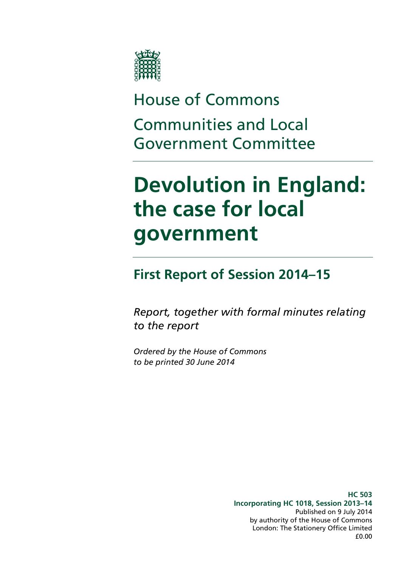

# House of Commons Communities and Local Government Committee

# **Devolution in England: the case for local government**

# **First Report of Session 2014–15**

*Report, together with formal minutes relating to the report*

*Ordered by the House of Commons to be printed 30 June 2014*

> **HC 503 Incorporating HC 1018, Session 2013–14** Published on 9 July 2014 by authority of the House of Commons London: The Stationery Office Limited £0.00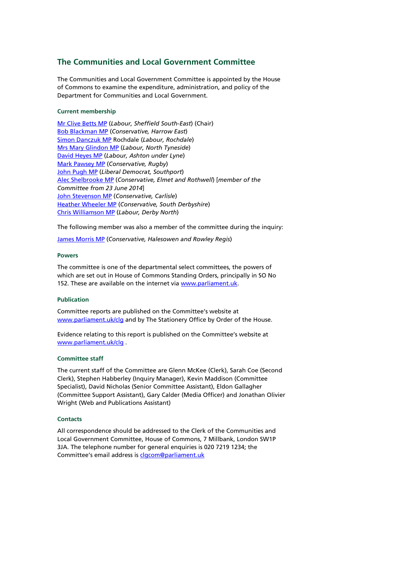#### **The Communities and Local Government Committee**

The Communities and Local Government Committee is appointed by the House of Commons to examine the expenditure, administration, and policy of the Department for Communities and Local Government.

#### **Current membership**

[Mr Clive Betts MP](http://www.parliament.uk/biographies/commons/mr-clive-betts/394) (*Labour, Sheffield South-East*) (Chair) [Bob Blackman MP](http://www.parliament.uk/biographies/commons/bob-blackman/4005) (*Conservative, Harrow East*) [Simon Danczuk MP](http://www.parliament.uk/biographies/commons/simon-danczuk/4059) Rochdale (*Labour, Rochdale*) [Mrs Mary Glindon MP](http://www.parliament.uk/biographies/commons/mrs-mary-glindon/4126) (*Labour, North Tyneside*) [David Heyes MP](http://www.parliament.uk/biographies/commons/david-heyes/1386) (*Labour, Ashton under Lyne*) [Mark Pawsey MP](http://www.parliament.uk/biographies/commons/mark-pawsey/4052) (*Conservative, Rugby*) [John Pugh MP](http://www.parliament.uk/biographies/commons/john-pugh/1454) (*Liberal Democrat, Southport*) Alec [Shelbrooke MP](http://www.parliament.uk/biographies/commons/alec-shelbrooke/3997) (*Conservative, Elmet and Rothwell*) [*member of the Committee from 23 June 2014*] [John Stevenson MP](http://www.parliament.uk/biographies/commons/john-stevenson/3942) (*Conservative, Carlisle*) [Heather Wheeler MP](http://www.parliament.uk/biographies/commons/heather-wheeler/4053) (*Conservative, South Derbyshire*) [Chris Williamson MP](http://www.parliament.uk/biographies/commons/chris-williamson/3976) (*Labour, Derby North*)

The following member was also a member of the committee during the inquiry:

[James Morris MP](http://www.parliament.uk/biographies/commons/james-morris/3992) (*Conservative, Halesowen and Rowley Regis*)

#### **Powers**

The committee is one of the departmental select committees, the powers of which are set out in House of Commons Standing Orders, principally in SO No 152. These are available on the internet vi[a www.parliament.uk.](http://www.parliament.uk/)

#### **Publication**

Committee reports are published on the Committee's website at [www.parliament.uk/clg](http://www.parliament.uk/clg) and by The Stationery Office by Order of the House.

Evidence relating to this report is published on the Committee's website at [www.parliament.uk/clg](http://www.parliament.uk/clg) .

#### **Committee staff**

The current staff of the Committee are Glenn McKee (Clerk), Sarah Coe (Second Clerk), Stephen Habberley (Inquiry Manager), Kevin Maddison (Committee Specialist), David Nicholas (Senior Committee Assistant), Eldon Gallagher (Committee Support Assistant), Gary Calder (Media Officer) and Jonathan Olivier Wright (Web and Publications Assistant)

#### **Contacts**

All correspondence should be addressed to the Clerk of the Communities and Local Government Committee, House of Commons, 7 Millbank, London SW1P 3JA. The telephone number for general enquiries is 020 7219 1234; the Committee's email address is [clgcom@parliament.uk](mailto:clgcom@parliament.uk)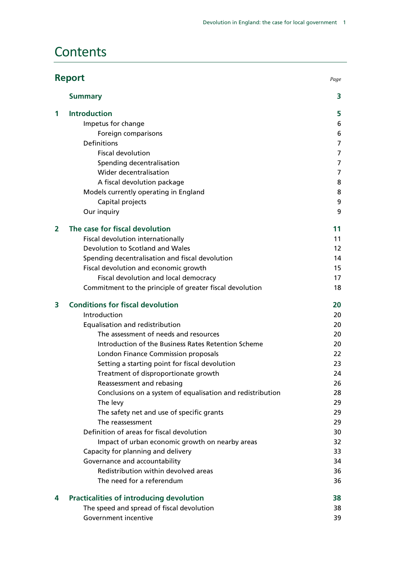## **Contents**

| <b>Report</b><br>Page |                                                            |                   |
|-----------------------|------------------------------------------------------------|-------------------|
|                       | <b>Summary</b>                                             | 3                 |
| 1                     | <b>Introduction</b>                                        | 5                 |
|                       | Impetus for change                                         | 6                 |
|                       | Foreign comparisons                                        | 6                 |
|                       | Definitions                                                | 7                 |
|                       | <b>Fiscal devolution</b>                                   | 7                 |
|                       | Spending decentralisation                                  | 7                 |
|                       | Wider decentralisation                                     | 7                 |
|                       | A fiscal devolution package                                | 8                 |
|                       | Models currently operating in England                      | 8                 |
|                       | Capital projects                                           | 9                 |
|                       | Our inquiry                                                | 9                 |
| $\overline{2}$        | The case for fiscal devolution                             | 11                |
|                       | Fiscal devolution internationally                          | 11                |
|                       | Devolution to Scotland and Wales                           | $12 \overline{ }$ |
|                       | Spending decentralisation and fiscal devolution            | 14                |
|                       | Fiscal devolution and economic growth                      | 15                |
|                       | Fiscal devolution and local democracy                      | 17                |
|                       | Commitment to the principle of greater fiscal devolution   | 18                |
| 3                     | <b>Conditions for fiscal devolution</b>                    | 20                |
|                       | Introduction                                               | 20                |
|                       | Equalisation and redistribution                            | 20                |
|                       | The assessment of needs and resources                      | 20                |
|                       | Introduction of the Business Rates Retention Scheme        | 20                |
|                       | London Finance Commission proposals                        | 22                |
|                       | Setting a starting point for fiscal devolution             | 23                |
|                       | Treatment of disproportionate growth                       | 24                |
|                       | Reassessment and rebasing                                  | 26                |
|                       | Conclusions on a system of equalisation and redistribution | 28                |
|                       | The levy                                                   | 29                |
|                       | The safety net and use of specific grants                  | 29                |
|                       | The reassessment                                           | 29                |
|                       | Definition of areas for fiscal devolution                  | 30                |
|                       | Impact of urban economic growth on nearby areas            | 32                |
|                       | Capacity for planning and delivery                         | 33                |
|                       | Governance and accountability                              | 34                |
|                       | Redistribution within devolved areas                       | 36                |
|                       | The need for a referendum                                  | 36                |
| 4                     | <b>Practicalities of introducing devolution</b>            | 38                |
|                       | The speed and spread of fiscal devolution                  | 38                |
|                       | Government incentive                                       | 39                |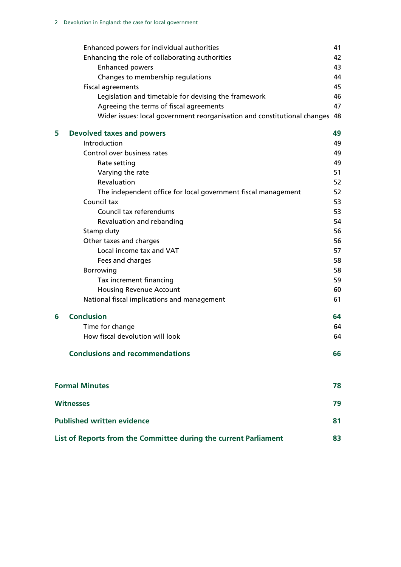|   | Enhanced powers for individual authorities                               | 41 |
|---|--------------------------------------------------------------------------|----|
|   | Enhancing the role of collaborating authorities                          | 42 |
|   | <b>Enhanced powers</b>                                                   | 43 |
|   | Changes to membership regulations                                        | 44 |
|   | <b>Fiscal agreements</b>                                                 | 45 |
|   | Legislation and timetable for devising the framework                     | 46 |
|   | Agreeing the terms of fiscal agreements                                  | 47 |
|   | Wider issues: local government reorganisation and constitutional changes | 48 |
| 5 | <b>Devolved taxes and powers</b>                                         | 49 |
|   | Introduction                                                             | 49 |
|   | Control over business rates                                              | 49 |
|   | Rate setting                                                             | 49 |
|   | Varying the rate                                                         | 51 |
|   | Revaluation                                                              | 52 |
|   | The independent office for local government fiscal management            | 52 |
|   | Council tax                                                              | 53 |
|   | Council tax referendums                                                  | 53 |
|   | Revaluation and rebanding                                                | 54 |
|   | Stamp duty                                                               | 56 |
|   | Other taxes and charges                                                  | 56 |
|   | Local income tax and VAT                                                 | 57 |
|   | Fees and charges                                                         | 58 |
|   | Borrowing                                                                | 58 |
|   | Tax increment financing                                                  | 59 |
|   | <b>Housing Revenue Account</b>                                           | 60 |
|   | National fiscal implications and management                              | 61 |
| 6 | <b>Conclusion</b>                                                        | 64 |
|   | Time for change                                                          | 64 |
|   | How fiscal devolution will look                                          | 64 |
|   | <b>Conclusions and recommendations</b>                                   | 66 |
|   | <b>Formal Minutes</b>                                                    | 78 |
|   | <b>Witnesses</b>                                                         | 79 |

| <b>Published written evidence</b>                                |    |
|------------------------------------------------------------------|----|
| List of Reports from the Committee during the current Parliament | 83 |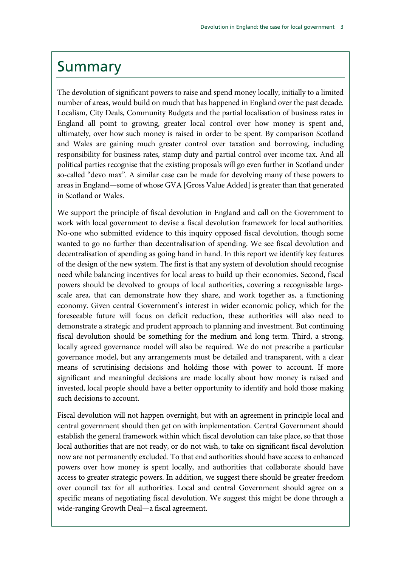## <span id="page-4-0"></span>Summary

The devolution of significant powers to raise and spend money locally, initially to a limited number of areas, would build on much that has happened in England over the past decade. Localism, City Deals, Community Budgets and the partial localisation of business rates in England all point to growing, greater local control over how money is spent and, ultimately, over how such money is raised in order to be spent. By comparison Scotland and Wales are gaining much greater control over taxation and borrowing, including responsibility for business rates, stamp duty and partial control over income tax. And all political parties recognise that the existing proposals will go even further in Scotland under so-called "devo max". A similar case can be made for devolving many of these powers to areas in England—some of whose GVA [Gross Value Added] is greater than that generated in Scotland or Wales.

We support the principle of fiscal devolution in England and call on the Government to work with local government to devise a fiscal devolution framework for local authorities. No-one who submitted evidence to this inquiry opposed fiscal devolution, though some wanted to go no further than decentralisation of spending. We see fiscal devolution and decentralisation of spending as going hand in hand. In this report we identify key features of the design of the new system. The first is that any system of devolution should recognise need while balancing incentives for local areas to build up their economies. Second, fiscal powers should be devolved to groups of local authorities, covering a recognisable largescale area, that can demonstrate how they share, and work together as, a functioning economy. Given central Government's interest in wider economic policy, which for the foreseeable future will focus on deficit reduction, these authorities will also need to demonstrate a strategic and prudent approach to planning and investment. But continuing fiscal devolution should be something for the medium and long term. Third, a strong, locally agreed governance model will also be required. We do not prescribe a particular governance model, but any arrangements must be detailed and transparent, with a clear means of scrutinising decisions and holding those with power to account. If more significant and meaningful decisions are made locally about how money is raised and invested, local people should have a better opportunity to identify and hold those making such decisions to account.

Fiscal devolution will not happen overnight, but with an agreement in principle local and central government should then get on with implementation. Central Government should establish the general framework within which fiscal devolution can take place, so that those local authorities that are not ready, or do not wish, to take on significant fiscal devolution now are not permanently excluded. To that end authorities should have access to enhanced powers over how money is spent locally, and authorities that collaborate should have access to greater strategic powers. In addition, we suggest there should be greater freedom over council tax for all authorities. Local and central Government should agree on a specific means of negotiating fiscal devolution. We suggest this might be done through a wide-ranging Growth Deal—a fiscal agreement.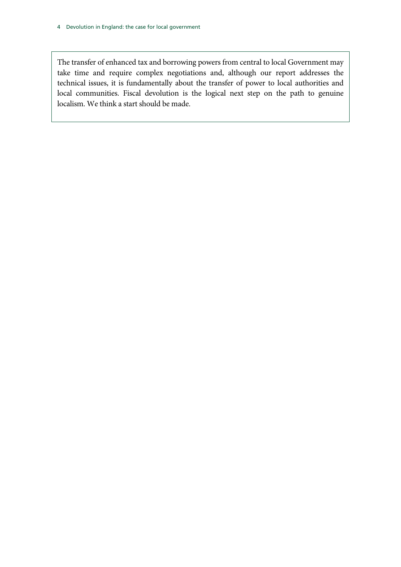The transfer of enhanced tax and borrowing powers from central to local Government may take time and require complex negotiations and, although our report addresses the technical issues, it is fundamentally about the transfer of power to local authorities and local communities. Fiscal devolution is the logical next step on the path to genuine localism. We think a start should be made.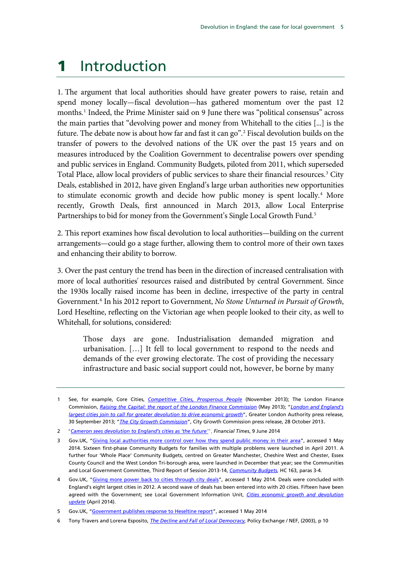# <span id="page-6-0"></span>1 Introduction

<span id="page-6-7"></span>1. The argument that local authorities should have greater powers to raise, retain and spend money locally—fiscal devolution—has gathered momentum over the past 12 months.<sup>[1](#page-6-1)</sup> Indeed, the Prime Minister said on 9 June there was "political consensus" across the main parties that "devolving power and money from Whitehall to the cities [...] is the future. The debate now is about how far and fast it can go".[2](#page-6-2) Fiscal devolution builds on the transfer of powers to the devolved nations of the UK over the past 15 years and on measures introduced by the Coalition Government to decentralise powers over spending and public services in England. Community Budgets, piloted from 2011, which superseded Total Place, allow local providers of public services to share their financial resources.<sup>[3](#page-6-3)</sup> City Deals, established in 2012, have given England's large urban authorities new opportunities to stimulate economic growth and decide how public money is spent locally.<sup>[4](#page-6-4)</sup> More recently, Growth Deals, first announced in March 2013, allow Local Enterprise Partnerships to bid for money from the Government's Single Local Growth Fund. [5](#page-6-5)

2. This report examines how fiscal devolution to local authorities—building on the current arrangements—could go a stage further, allowing them to control more of their own taxes and enhancing their ability to borrow.

3. Over the past century the trend has been in the direction of increased centralisation with more of local authorities' resources raised and distributed by central Government. Since the 1930s locally raised income has been in decline, irrespective of the party in central Government.[6](#page-6-6) In his 2012 report to Government, *No Stone Unturned in Pursuit of Growth*, Lord Heseltine, reflecting on the Victorian age when people looked to their city, as well to Whitehall, for solutions, considered:

Those days are gone. Industrialisation demanded migration and urbanisation. […] It fell to local government to respond to the needs and demands of the ever growing electorate. The cost of providing the necessary infrastructure and basic social support could not, however, be borne by many

<span id="page-6-1"></span><sup>1</sup> See, for example, Core Cities, *[Competitive Cities, Prosperous People](http://www.corecities.com/sites/default/files/images/publications/Competitive%20Cities,%20Prosperous%20People_%20Final%20Draft.pdf)* (November 2013); The London Finance Commission, *[Raising the Capital: the report of the London Finance Commission](http://www.london.gov.uk/sites/default/files/Raising%20the%20capital.pdf)* (May 2013); "*[London and England's](http://www.london.gov.uk/media/mayor-press-releases/2013/09/london-and-englands-largest-cities-join-to-call-for-greater)  [largest cities join to call for greater devolution to drive economic growth](http://www.london.gov.uk/media/mayor-press-releases/2013/09/london-and-englands-largest-cities-join-to-call-for-greater)*", Greater London Authority press release, 30 September 2013; "*[The City Growth Commission](http://www.citygrowthcommission.com/press/press-release-one/)*", City Growth Commission press release, 28 October 2013.

<span id="page-6-2"></span><sup>2</sup> "*[Cameron sees devolution to England's cities as 'the future](http://www.ft.com/cms/s/0/06517304-efed-11e3-a943-00144feabdc0.html#axzz34G2bm5Od)'*", *Financial Times*, 9 June 2014

<span id="page-6-3"></span><sup>3</sup> Gov.UK, ["Giving local authorities more control over how they spend public money in their area"](https://www.gov.uk/government/policies/giving-local-authorities-more-control-over-how-they-spend-public-money-in-their-area--2/supporting-pages/community-budgets), accessed 1 May 2014. Sixteen first-phase Community Budgets for families with multiple problems were launched in April 2011. A further four 'Whole Place' Community Budgets, centred on Greater Manchester, Cheshire West and Chester, Essex County Council and the West London Tri-borough area, were launched in December that year; see the Communities and Local Government Committee, Third Report of Session 2013-14, *[Community Budgets](http://www.publications.parliament.uk/pa/cm201314/cmselect/cmcomloc/163/163.pdf)*, HC 163, paras 3-4.

<span id="page-6-4"></span><sup>4</sup> Gov.UK, ["Giving more power back to cities through city deals"](https://www.gov.uk/government/policies/giving-more-power-back-to-cities-through-city-deals), accessed 1 May 2014. Deals were concluded with England's eight largest cities in 2012. A second wave of deals has been entered into with 20 cities. Fifteen have been agreed with the Government; see Local Government Information Unit, *[Cities economic growth and devolution](http://www.lgiu.org.uk/wp-content/uploads/2014/04/Cities-economic-growth-and-devolution-update.pdf)  [update](http://www.lgiu.org.uk/wp-content/uploads/2014/04/Cities-economic-growth-and-devolution-update.pdf)* (April 2014).

<span id="page-6-5"></span><sup>5</sup> Gov.UK, ["Government publishes response to Heseltine report"](https://www.gov.uk/government/news/government-publishes-response-to-lord-heseltine-report), accessed 1 May 2014

<span id="page-6-6"></span><sup>6</sup> Tony Travers and Lorena Esposito, *[The Decline and Fall of Local Democracy,](http://www.policyexchange.org.uk/publications/category/item/the-decline-and-fall-of-local-democracy-a-history-of-local-government-finance)* Policy Exchange / NEF, (2003), p 10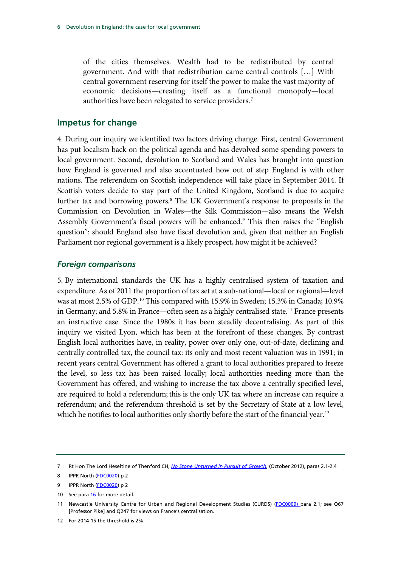of the cities themselves. Wealth had to be redistributed by central government. And with that redistribution came central controls […] With central government reserving for itself the power to make the vast majority of economic decisions—creating itself as a functional monopoly—local authorities have been relegated to service providers.<sup>[7](#page-7-2)</sup>

#### <span id="page-7-0"></span>**Impetus for change**

4. During our inquiry we identified two factors driving change. First, central Government has put localism back on the political agenda and has devolved some spending powers to local government. Second, devolution to Scotland and Wales has brought into question how England is governed and also accentuated how out of step England is with other nations. The referendum on Scottish independence will take place in September 2014. If Scottish voters decide to stay part of the United Kingdom, Scotland is due to acquire further tax and borrowing powers.<sup>8</sup> The UK Government's response to proposals in the Commission on Devolution in Wales—the Silk Commission—also means the Welsh Assembly Government's fiscal powers will be enhanced.<sup>[9](#page-7-2)</sup> This then raises the "English question": should England also have fiscal devolution and, given that neither an English Parliament nor regional government is a likely prospect, how might it be achieved?

#### <span id="page-7-1"></span>*Foreign comparisons*

5. By international standards the UK has a highly centralised system of taxation and expenditure. As of 2011 the proportion of tax set at a sub-national—local or regional—level was at most 2.5% of GDP. [10](#page-7-2) This compared with 15.9% in Sweden; 15.3% in Canada; 10.9% in Germany; and 5.8% in France—often seen as a highly centralised state.<sup>[11](#page-7-2)</sup> France presents an instructive case. Since the 1980s it has been steadily decentralising. As part of this inquiry we visited Lyon, which has been at the forefront of these changes. By contrast English local authorities have, in reality, power over only one, out-of-date, declining and centrally controlled tax, the council tax: its only and most recent valuation was in 1991; in recent years central Government has offered a grant to local authorities prepared to freeze the level, so less tax has been raised locally; local authorities needing more than the Government has offered, and wishing to increase the tax above a centrally specified level, are required to hold a referendum; this is the only UK tax where an increase can require a referendum; and the referendum threshold is set by the Secretary of State at a low level, which he notifies to local authorities only shortly before the start of the financial year.<sup>[12](#page-7-2)</sup>

<span id="page-7-2"></span><sup>7</sup> Rt Hon The Lord Heseltine of Thenford CH, *[No Stone Unturned in Pursuit of Growth](http://www.bis.gov.uk/assets/biscore/corporate/docs/n/12-1213-no-stone-unturned-in-pursuit-of-growth)*, (October 2012), paras 2.1-2.4

<sup>8</sup> IPPR North [\(FDC0020\)](http://data.parliament.uk/WrittenEvidence/CommitteeEvidence.svc/EvidenceDocument/Communities%20and%20Local%20Government/Fiscal%20devolution%20to%20cities%20and%20city%20regions/written/4929.html) p 2

<sup>9</sup> IPPR North [\(FDC0020\)](http://data.parliament.uk/WrittenEvidence/CommitteeEvidence.svc/EvidenceDocument/Communities%20and%20Local%20Government/Fiscal%20devolution%20to%20cities%20and%20city%20regions/written/4929.html) p 2

<sup>10</sup> See par[a 16](#page-12-2) for more detail.

<sup>11</sup> Newcastle University Centre for Urban and Regional Development Studies (CURDS) [\(FDC0009\)](http://data.parliament.uk/WrittenEvidence/CommitteeEvidence.svc/EvidenceDocument/Communities%20and%20Local%20Government/Fiscal%20devolution%20to%20cities%20and%20city%20regions/written/4896.html) para 2.1; see Q67 [Professor Pike] and Q247 for views on France's centralisation.

<sup>12</sup> For 2014-15 the threshold is 2%.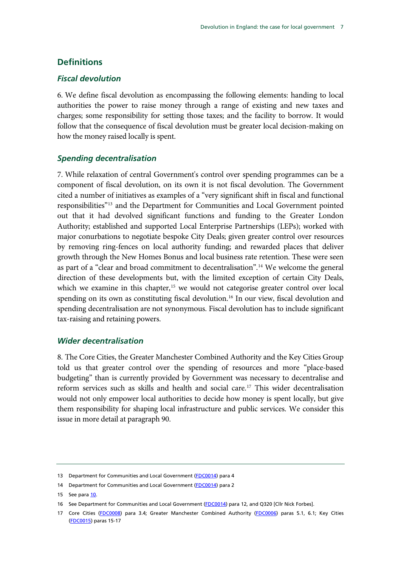#### <span id="page-8-0"></span>**Definitions**

#### <span id="page-8-1"></span>*Fiscal devolution*

6. We define fiscal devolution as encompassing the following elements: handing to local authorities the power to raise money through a range of existing and new taxes and charges; some responsibility for setting those taxes; and the facility to borrow. It would follow that the consequence of fiscal devolution must be greater local decision-making on how the money raised locally is spent.

#### <span id="page-8-2"></span>*Spending decentralisation*

7. While relaxation of central Government's control over spending programmes can be a component of fiscal devolution, on its own it is not fiscal devolution. The Government cited a number of initiatives as examples of a "very significant shift in fiscal and functional responsibilities"[13](#page-8-4) and the Department for Communities and Local Government pointed out that it had devolved significant functions and funding to the Greater London Authority; established and supported Local Enterprise Partnerships (LEPs); worked with major conurbations to negotiate bespoke City Deals; given greater control over resources by removing ring-fences on local authority funding; and rewarded places that deliver growth through the New Homes Bonus and local business rate retention. These were seen as part of a "clear and broad commitment to decentralisation".[14](#page-8-4) We welcome the general direction of these developments but, with the limited exception of certain City Deals, which we examine in this chapter,<sup>[15](#page-8-4)</sup> we would not categorise greater control over local spending on its own as constituting fiscal devolution.<sup>16</sup> In our view, fiscal devolution and spending decentralisation are not synonymous. Fiscal devolution has to include significant tax-raising and retaining powers.

#### <span id="page-8-3"></span>*Wider decentralisation*

8. The Core Cities, the Greater Manchester Combined Authority and the Key Cities Group told us that greater control over the spending of resources and more "place-based budgeting" than is currently provided by Government was necessary to decentralise and reform services such as skills and health and social care[.17](#page-8-4) This wider decentralisation would not only empower local authorities to decide how money is spent locally, but give them responsibility for shaping local infrastructure and public services. We consider this issue in more detail at paragraph [90.](#page-42-1)

<span id="page-8-4"></span><sup>13</sup> Department for Communities and Local Government [\(FDC0014\)](http://data.parliament.uk/WrittenEvidence/CommitteeEvidence.svc/EvidenceDocument/Communities%20and%20Local%20Government/Fiscal%20devolution%20to%20cities%20and%20city%20regions/written/4913.html) para 4

<sup>14</sup> Department for Communities and Local Government [\(FDC0014\)](http://data.parliament.uk/WrittenEvidence/CommitteeEvidence.svc/EvidenceDocument/Communities%20and%20Local%20Government/Fiscal%20devolution%20to%20cities%20and%20city%20regions/written/4913.html) para 2

<sup>15</sup> See par[a 10.](#page-9-2)

<sup>16</sup> See Department for Communities and Local Government [\(FDC0014\)](http://data.parliament.uk/WrittenEvidence/CommitteeEvidence.svc/EvidenceDocument/Communities%20and%20Local%20Government/Fiscal%20devolution%20to%20cities%20and%20city%20regions/written/4913.html) para 12, and Q320 [Cllr Nick Forbes].

<sup>17</sup> Core Cities [\(FDC0008\)](http://data.parliament.uk/WrittenEvidence/CommitteeEvidence.svc/EvidenceDocument/Communities%20and%20Local%20Government/Fiscal%20devolution%20to%20cities%20and%20city%20regions/written/4894.html) para 3.4; Greater Manchester Combined Authority [\(FDC0006\)](http://data.parliament.uk/WrittenEvidence/CommitteeEvidence.svc/EvidenceDocument/Communities%20and%20Local%20Government/Fiscal%20devolution%20to%20cities%20and%20city%20regions/written/4874.html) paras 5.1, 6.1; Key Cities [\(FDC0015\)](http://data.parliament.uk/WrittenEvidence/CommitteeEvidence.svc/EvidenceDocument/Communities%20and%20Local%20Government/Fiscal%20devolution%20to%20cities%20and%20city%20regions/written/4914.html) paras 15-17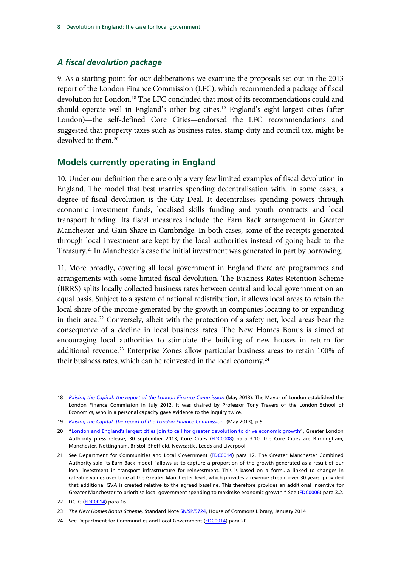#### <span id="page-9-0"></span>*A fiscal devolution package*

9. As a starting point for our deliberations we examine the proposals set out in the 2013 report of the London Finance Commission (LFC), which recommended a package of fiscal devolution for London.[18](#page-9-3) The LFC concluded that most of its recommendations could and should operate well in England's other big cities.<sup>[19](#page-9-3)</sup> England's eight largest cities (after London)—the self-defined Core Cities—endorsed the LFC recommendations and suggested that property taxes such as business rates, stamp duty and council tax, might be devolved to them.<sup>[20](#page-9-3)</sup>

#### <span id="page-9-1"></span>**Models currently operating in England**

<span id="page-9-2"></span>10. Under our definition there are only a very few limited examples of fiscal devolution in England. The model that best marries spending decentralisation with, in some cases, a degree of fiscal devolution is the City Deal. It decentralises spending powers through economic investment funds, localised skills funding and youth contracts and local transport funding. Its fiscal measures include the Earn Back arrangement in Greater Manchester and Gain Share in Cambridge. In both cases, some of the receipts generated through local investment are kept by the local authorities instead of going back to the Treasury.<sup>[21](#page-9-3)</sup> In Manchester's case the initial investment was generated in part by borrowing.

11. More broadly, covering all local government in England there are programmes and arrangements with some limited fiscal devolution. The Business Rates Retention Scheme (BRRS) splits locally collected business rates between central and local government on an equal basis. Subject to a system of national redistribution, it allows local areas to retain the local share of the income generated by the growth in companies locating to or expanding in their area.<sup>[22](#page-9-3)</sup> Conversely, albeit with the protection of a safety net, local areas bear the consequence of a decline in local business rates. The New Homes Bonus is aimed at encouraging local authorities to stimulate the building of new houses in return for additional revenue.<sup>[23](#page-9-3)</sup> Enterprise Zones allow particular business areas to retain 100% of their business rates, which can be reinvested in the local economy.<sup>[24](#page-9-3)</sup>

<span id="page-9-3"></span><sup>18</sup> *[Raising the Capital: the report of the London Finance Commission](http://www.london.gov.uk/sites/default/files/Raising%20the%20capital.pdf)* (May 2013). The Mayor of London established the London Finance Commission in July 2012. It was chaired by Professor Tony Travers of the London School of Economics, who in a personal capacity gave evidence to the inquiry twice.

<sup>19</sup> *[Raising the Capital: the report of the London Finance Commission](http://www.london.gov.uk/sites/default/files/Raising%20the%20capital.pdf)*, (May 2013), p 9

<sup>20</sup> ["London and England's largest cities join to call for greater devolution to drive economic growth"](http://www.london.gov.uk/media/mayor-press-releases/2013/09/london-and-englands-largest-cities-join-to-call-for-greater), Greater London Authority press release, 30 September 2013; Core Cities [\(FDC0008\)](http://data.parliament.uk/WrittenEvidence/CommitteeEvidence.svc/EvidenceDocument/Communities%20and%20Local%20Government/Fiscal%20devolution%20to%20cities%20and%20city%20regions/written/4894.html) para 3.10; the Core Cities are Birmingham, Manchester, Nottingham, Bristol, Sheffield, Newcastle, Leeds and Liverpool.

<sup>21</sup> See Department for Communities and Local Government [\(FDC0014\)](http://data.parliament.uk/WrittenEvidence/CommitteeEvidence.svc/EvidenceDocument/Communities%20and%20Local%20Government/Fiscal%20devolution%20to%20cities%20and%20city%20regions/written/4913.html) para 12. The Greater Manchester Combined Authority said its Earn Back model "allows us to capture a proportion of the growth generated as a result of our local investment in transport infrastructure for reinvestment. This is based on a formula linked to changes in rateable values over time at the Greater Manchester level, which provides a revenue stream over 30 years, provided that additional GVA is created relative to the agreed baseline. This therefore provides an additional incentive for Greater Manchester to prioritise local government spending to maximise economic growth." See [\(FDC0006\)](http://data.parliament.uk/WrittenEvidence/CommitteeEvidence.svc/EvidenceDocument/Communities%20and%20Local%20Government/Fiscal%20devolution%20to%20cities%20and%20city%20regions/written/4874.html) para 3.2.

<sup>22</sup> DCLG [\(FDC0014\)](http://data.parliament.uk/WrittenEvidence/CommitteeEvidence.svc/EvidenceDocument/Communities%20and%20Local%20Government/Fiscal%20devolution%20to%20cities%20and%20city%20regions/written/4913.html) para 16

<sup>23</sup> *The New Homes Bonus Scheme,* Standard Note SN/SP/5724, House of Commons Library, January 2014

<sup>24</sup> See Department for Communities and Local Government [\(FDC0014\)](http://data.parliament.uk/WrittenEvidence/CommitteeEvidence.svc/EvidenceDocument/Communities%20and%20Local%20Government/Fiscal%20devolution%20to%20cities%20and%20city%20regions/written/4913.html) para 20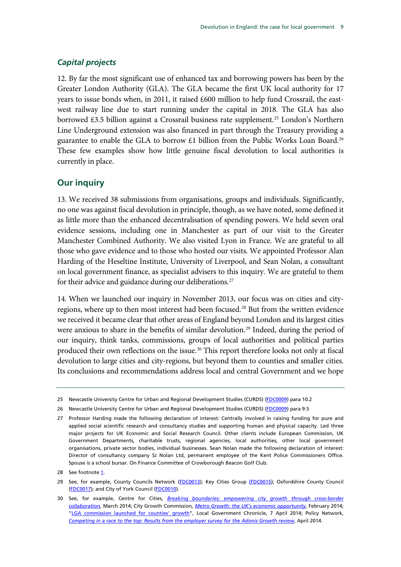#### <span id="page-10-0"></span>*Capital projects*

12. By far the most significant use of enhanced tax and borrowing powers has been by the Greater London Authority (GLA). The GLA became the first UK local authority for 17 years to issue bonds when, in 2011, it raised £600 million to help fund Crossrail, the eastwest railway line due to start running under the capital in 2018. The GLA has also borrowed £3.5 billion against a Crossrail business rate supplement.<sup>[25](#page-10-2)</sup> London's Northern Line Underground extension was also financed in part through the Treasury providing a guarantee to enable the GLA to borrow £1 billion from the Public Works Loan Board.<sup>[26](#page-10-2)</sup> These few examples show how little genuine fiscal devolution to local authorities is currently in place.

#### <span id="page-10-1"></span>**Our inquiry**

13. We received 38 submissions from organisations, groups and individuals. Significantly, no one was against fiscal devolution in principle, though, as we have noted, some defined it as little more than the enhanced decentralisation of spending powers. We held seven oral evidence sessions, including one in Manchester as part of our visit to the Greater Manchester Combined Authority. We also visited Lyon in France. We are grateful to all those who gave evidence and to those who hosted our visits. We appointed Professor Alan Harding of the Heseltine Institute, University of Liverpool, and Sean Nolan, a consultant on local government finance, as specialist advisers to this inquiry. We are grateful to them for their advice and guidance during our deliberations.<sup>[27](#page-10-2)</sup>

14. When we launched our inquiry in November 2013, our focus was on cities and cityregions, where up to then most interest had been focused.[28](#page-10-2) But from the written evidence we received it became clear that other areas of England beyond London and its largest cities were anxious to share in the benefits of similar devolution.<sup>[29](#page-10-2)</sup> Indeed, during the period of our inquiry, think tanks, commissions, groups of local authorities and political parties produced their own reflections on the issue.<sup>[30](#page-10-2)</sup> This report therefore looks not only at fiscal devolution to large cities and city-regions, but beyond them to counties and smaller cities. Its conclusions and recommendations address local and central Government and we hope

<span id="page-10-2"></span><sup>25</sup> Newcastle University Centre for Urban and Regional Development Studies (CURDS) [\(FDC0009\)](http://data.parliament.uk/WrittenEvidence/CommitteeEvidence.svc/EvidenceDocument/Communities%20and%20Local%20Government/Fiscal%20devolution%20to%20cities%20and%20city%20regions/written/4896.html) para 10.2

<sup>26</sup> Newcastle University Centre for Urban and Regional Development Studies (CURDS) [\(FDC0009\)](http://data.parliament.uk/WrittenEvidence/CommitteeEvidence.svc/EvidenceDocument/Communities%20and%20Local%20Government/Fiscal%20devolution%20to%20cities%20and%20city%20regions/written/4896.html) para 9.5

<sup>27</sup> Professor Harding made the following declaration of interest: Centrally involved in raising funding for pure and applied social scientific research and consultancy studies and supporting human and physical capacity. Led three major projects for UK Economic and Social Research Council. Other clients include European Commission, UK Government Departments, charitable trusts, regional agencies, local authorities, other local government organisations, private sector bodies, individual businesses. Sean Nolan made the following declaration of interest: Director of consultancy company SJ Nolan Ltd, permanent employee of the Kent Police Commissioners Office. Spouse is a school bursar. On Finance Committee of Crowborough Beacon Golf Club.

<sup>28</sup> See footnot[e 1.](#page-6-7) 

<sup>29</sup> See, for example, County Councils Network [\(FDC0013\)](http://data.parliament.uk/WrittenEvidence/CommitteeEvidence.svc/EvidenceDocument/Communities%20and%20Local%20Government/Fiscal%20devolution%20to%20cities%20and%20city%20regions/written/4912.html); Key Cities Group [\(FDC0015\)](http://data.parliament.uk/WrittenEvidence/CommitteeEvidence.svc/EvidenceDocument/Communities%20and%20Local%20Government/Fiscal%20devolution%20to%20cities%20and%20city%20regions/written/4914.html); Oxfordshire County Council [\(FDC0017\)](http://data.parliament.uk/WrittenEvidence/CommitteeEvidence.svc/EvidenceDocument/Communities%20and%20Local%20Government/Fiscal%20devolution%20to%20cities%20and%20city%20regions/written/4926.html); and City of York Council [\(FDC0010\)](http://data.parliament.uk/WrittenEvidence/CommitteeEvidence.svc/EvidenceDocument/Communities%20and%20Local%20Government/Fiscal%20devolution%20to%20cities%20and%20city%20regions/written/4904.html).

<sup>30</sup> See, for example, Centre for Cities, *[Breaking boundaries: empowering city growth through cross-border](http://www.centreforcities.org/assets/files/2014/14-03-27-City-Money-Breaking-Boundaries.pdf)  [collaboration](http://www.centreforcities.org/assets/files/2014/14-03-27-City-Money-Breaking-Boundaries.pdf)*, March 2014; City Growth Commission, *[Metro Growth: the UK's economic opportunity](http://www.thersa.org/__data/assets/pdf_file/0004/1539508/Metro-Growth-February-2014.pdf)*, February 2014; ["LGA commission launched for counties' growth"](http://www.lgcplus.com/briefings/services/economic-development/lga-commission-launched-for-counties-growth/5069710.article), Local Government Chronicle, 7 April 2014; Policy Network, *[Competing in a race to the top: Results from the employer survey for the Adonis Growth review](http://www.chambermk.co.uk/images/uploads/competing_in_a_race_to_the_top_-_andrew_adonis.pdf)*, April 2014.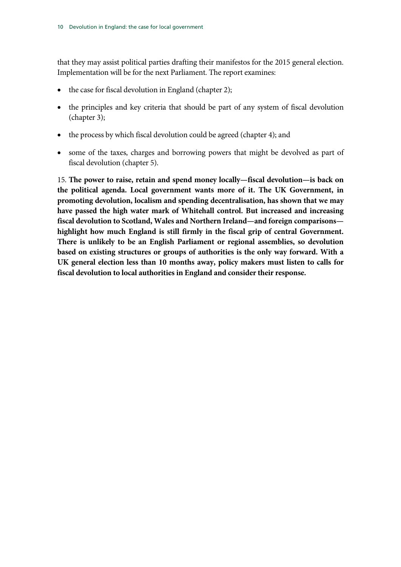that they may assist political parties drafting their manifestos for the 2015 general election. Implementation will be for the next Parliament. The report examines:

- the case for fiscal devolution in England (chapter 2);
- the principles and key criteria that should be part of any system of fiscal devolution (chapter [3\)](#page-21-0);
- the process by which fiscal devolution could be agreed (chapte[r 4\)](#page-39-0); and
- some of the taxes, charges and borrowing powers that might be devolved as part of fiscal devolution (chapter [5\)](#page-50-0).

15. **The power to raise, retain and spend money locally—fiscal devolution—is back on the political agenda. Local government wants more of it. The UK Government, in promoting devolution, localism and spending decentralisation, has shown that we may have passed the high water mark of Whitehall control. But increased and increasing fiscal devolution to Scotland, Wales and Northern Ireland—and foreign comparisons highlight how much England is still firmly in the fiscal grip of central Government. There is unlikely to be an English Parliament or regional assemblies, so devolution based on existing structures or groups of authorities is the only way forward. With a UK general election less than 10 months away, policy makers must listen to calls for fiscal devolution to local authorities in England and consider their response.**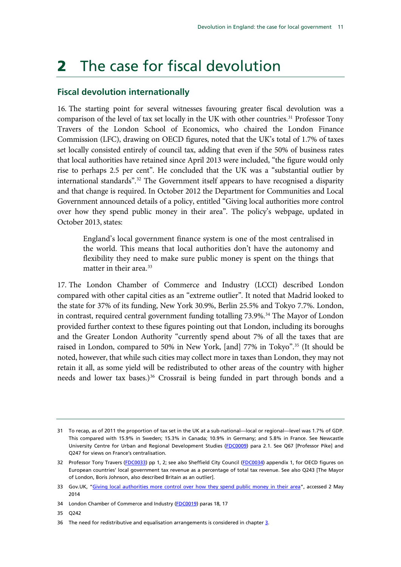# <span id="page-12-0"></span>2 The case for fiscal devolution

### <span id="page-12-1"></span>**Fiscal devolution internationally**

<span id="page-12-2"></span>16. The starting point for several witnesses favouring greater fiscal devolution was a comparison of the level of tax set locally in the UK with other countries. [31](#page-12-3) Professor Tony Travers of the London School of Economics, who chaired the London Finance Commission (LFC), drawing on OECD figures, noted that the UK's total of 1.7% of taxes set locally consisted entirely of council tax, adding that even if the 50% of business rates that local authorities have retained since April 2013 were included, "the figure would only rise to perhaps 2.5 per cent". He concluded that the UK was a "substantial outlier by international standards".[32](#page-12-3) The Government itself appears to have recognised a disparity and that change is required. In October 2012 the Department for Communities and Local Government announced details of a policy, entitled "Giving local authorities more control over how they spend public money in their area". The policy's webpage, updated in October 2013, states:

England's local government finance system is one of the most centralised in the world. This means that local authorities don't have the autonomy and flexibility they need to make sure public money is spent on the things that matter in their area. [33](#page-12-3)

17. The London Chamber of Commerce and Industry (LCCI) described London compared with other capital cities as an "extreme outlier". It noted that Madrid looked to the state for 37% of its funding, New York 30.9%, Berlin 25.5% and Tokyo 7.7%. London, in contrast, required central government funding totalling 73.9%.<sup>[34](#page-12-3)</sup> The Mayor of London provided further context to these figures pointing out that London, including its boroughs and the Greater London Authority "currently spend about 7% of all the taxes that are raised in London, compared to 50% in New York, [and] 77% in Tokyo".[35](#page-12-3) (It should be noted, however, that while such cities may collect more in taxes than London, they may not retain it all, as some yield will be redistributed to other areas of the country with higher needs and lower tax bases.)<sup>[36](#page-12-3)</sup> Crossrail is being funded in part through bonds and a

35 Q242

<span id="page-12-3"></span><sup>31</sup> To recap, as of 2011 the proportion of tax set in the UK at a sub-national—local or regional—level was 1.7% of GDP. This compared with 15.9% in Sweden; 15.3% in Canada; 10.9% in Germany; and 5.8% in France. See Newcastle University Centre for Urban and Regional Development Studies [\(FDC0009\)](http://data.parliament.uk/WrittenEvidence/CommitteeEvidence.svc/EvidenceDocument/Communities%20and%20Local%20Government/Fiscal%20devolution%20to%20cities%20and%20city%20regions/written/4896.html) para 2.1. See Q67 [Professor Pike] and Q247 for views on France's centralisation.

<sup>32</sup> Professor Tony Travers [\(FDC0033\)](http://data.parliament.uk/WrittenEvidence/CommitteeEvidence.svc/EvidenceDocument/Communities%20and%20Local%20Government/Fiscal%20devolution%20to%20cities%20and%20city%20regions/written/5003.html) pp 1, 2; see also Sheffield City Council [\(FDC0034\)](http://data.parliament.uk/WrittenEvidence/CommitteeEvidence.svc/EvidenceDocument/Communities%20and%20Local%20Government/Fiscal%20devolution%20to%20cities%20and%20city%20regions/written/5091.html) appendix 1, for OECD figures on European countries' local government tax revenue as a percentage of total tax revenue. See also Q243 [The Mayor of London, Boris Johnson, also described Britain as an outlier].

<sup>33</sup> Gov.UK, ["Giving local authorities more control over how they spend public money in their area"](https://www.gov.uk/government/policies/giving-local-authorities-more-control-over-how-they-spend-public-money-in-their-area--2), accessed 2 May 2014

<sup>34</sup> London Chamber of Commerce and Industry [\(FDC0019\)](http://data.parliament.uk/WrittenEvidence/CommitteeEvidence.svc/EvidenceDocument/Communities%20and%20Local%20Government/Fiscal%20devolution%20to%20cities%20and%20city%20regions/written/4928.html) paras 18, 17

<sup>36</sup> The need for redistributive and equalisation arrangements is considered in chapter  $\frac{3}{2}$ .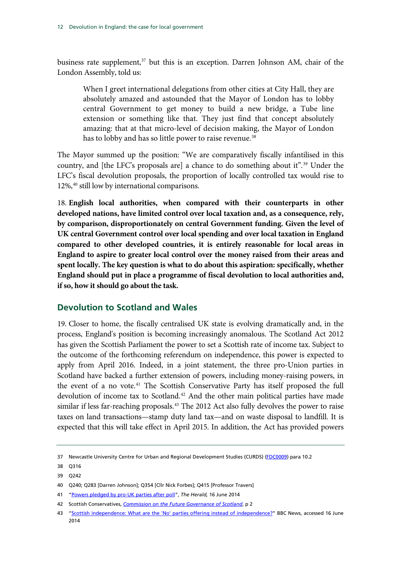business rate supplement,<sup>[37](#page-13-1)</sup> but this is an exception. Darren Johnson AM, chair of the London Assembly, told us:

When I greet international delegations from other cities at City Hall, they are absolutely amazed and astounded that the Mayor of London has to lobby central Government to get money to build a new bridge, a Tube line extension or something like that. They just find that concept absolutely amazing: that at that micro-level of decision making, the Mayor of London has to lobby and has so little power to raise revenue.<sup>[38](#page-13-1)</sup>

The Mayor summed up the position: "We are comparatively fiscally infantilised in this country, and [the LFC's proposals are] a chance to do something about it".<sup>[39](#page-13-1)</sup> Under the LFC's fiscal devolution proposals, the proportion of locally controlled tax would rise to 12%,<sup>[40](#page-13-1)</sup> still low by international comparisons.

18. **English local authorities, when compared with their counterparts in other developed nations, have limited control over local taxation and, as a consequence, rely, by comparison, disproportionately on central Government funding. Given the level of UK central Government control over local spending and over local taxation in England compared to other developed countries, it is entirely reasonable for local areas in England to aspire to greater local control over the money raised from their areas and spent locally. The key question is what to do about this aspiration: specifically, whether England should put in place a programme of fiscal devolution to local authorities and, if so, how it should go about the task.**

#### <span id="page-13-0"></span>**Devolution to Scotland and Wales**

19. Closer to home, the fiscally centralised UK state is evolving dramatically and, in the process, England's position is becoming increasingly anomalous. The Scotland Act 2012 has given the Scottish Parliament the power to set a Scottish rate of income tax. Subject to the outcome of the forthcoming referendum on independence, this power is expected to apply from April 2016. Indeed, in a joint statement, the three pro-Union parties in Scotland have backed a further extension of powers, including money-raising powers, in the event of a no vote.<sup>[41](#page-13-1)</sup> The Scottish Conservative Party has itself proposed the full devolution of income tax to Scotland.<sup>42</sup> And the other main political parties have made similar if less far-reaching proposals.<sup>[43](#page-13-1)</sup> The 2012 Act also fully devolves the power to raise taxes on land transactions—stamp duty land tax—and on waste disposal to landfill. It is expected that this will take effect in April 2015. In addition, the Act has provided powers

<span id="page-13-1"></span><sup>37</sup> Newcastle University Centre for Urban and Regional Development Studies (CURDS) [\(FDC0009\)](http://data.parliament.uk/WrittenEvidence/CommitteeEvidence.svc/EvidenceDocument/Communities%20and%20Local%20Government/Fiscal%20devolution%20to%20cities%20and%20city%20regions/written/4896.html) para 10.2

<sup>38</sup> Q316

<sup>39</sup> Q242

<sup>40</sup> Q240; Q283 [Darren Johnson]; Q354 [Cllr Nick Forbes]; Q415 [Professor Travers]

<sup>41</sup> ["Powers pledged by pro-UK parties after poll"](http://www.heraldscotland.com/politics/referendum-news/powers-pledged-by-pro-uk-parties-after-poll.24492771), *The Herald,* 16 June 2014

<sup>42</sup> Scottish Conservatives, *[Commission on the Future Governance of Scotland](http://www.scottishconservatives.com/wordpress/wp-content/uploads/2014/06/Strathclyde_Commission_14.pdf)*, p 2

<sup>43</sup> ["Scottish independence: What are the 'No' parties offering instead of independence?"](http://www.bbc.co.uk/news/uk-scotland-scotland-politics-25626977) BBC News, accessed 16 June 2014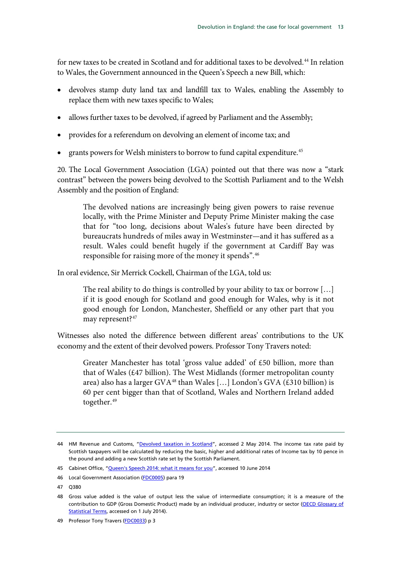for new taxes to be created in Scotland and for additional taxes to be devolved.<sup>[44](#page-14-0)</sup> In relation to Wales, the Government announced in the Queen's Speech a new Bill, which:

- devolves stamp duty land tax and landfill tax to Wales, enabling the Assembly to replace them with new taxes specific to Wales;
- allows further taxes to be devolved, if agreed by Parliament and the Assembly;
- provides for a referendum on devolving an element of income tax; and
- grants powers for Welsh ministers to borrow to fund capital expenditure.<sup>[45](#page-14-0)</sup>

20. The Local Government Association (LGA) pointed out that there was now a "stark contrast" between the powers being devolved to the Scottish Parliament and to the Welsh Assembly and the position of England:

The devolved nations are increasingly being given powers to raise revenue locally, with the Prime Minister and Deputy Prime Minister making the case that for "too long, decisions about Wales's future have been directed by bureaucrats hundreds of miles away in Westminster—and it has suffered as a result. Wales could benefit hugely if the government at Cardiff Bay was responsible for raising more of the money it spends".[46](#page-14-0)

In oral evidence, Sir Merrick Cockell, Chairman of the LGA, told us:

The real ability to do things is controlled by your ability to tax or borrow […] if it is good enough for Scotland and good enough for Wales, why is it not good enough for London, Manchester, Sheffield or any other part that you may represent?<sup>[47](#page-14-0)</sup>

Witnesses also noted the difference between different areas' contributions to the UK economy and the extent of their devolved powers. Professor Tony Travers noted:

Greater Manchester has total 'gross value added' of £50 billion, more than that of Wales (£47 billion). The West Midlands (former metropolitan county area) also has a larger GVA<sup>[48](#page-14-0)</sup> than Wales [...] London's GVA (£310 billion) is 60 per cent bigger than that of Scotland, Wales and Northern Ireland added together.<sup>[49](#page-14-0)</sup>

<span id="page-14-0"></span><sup>44</sup> HM Revenue and Customs, ["Devolved taxation in Scotland"](https://www.google.co.uk/url?sa=t&rct=j&q=&esrc=s&source=web&cd=1&cad=rja&uact=8&ved=0CCsQFjAA&url=http%3A%2F%2Fwww.hmrc.gov.uk%2Fnews%2Fnews-calman.htm&ei=OtUqU-zwGYWmhAeotYCgCw&usg=AFQjCNGTi-TajAf0cOPRpvfwyokPCKE2AA), accessed 2 May 2014. The income tax rate paid by Scottish taxpayers will be calculated by reducing the basic, higher and additional rates of Income tax by 10 pence in the pound and adding a new Scottish rate set by the Scottish Parliament.

<sup>45</sup> Cabinet Office, ["Queen's Speech 2014: what it means for you"](https://www.gov.uk/government/publications/queens-speech-2014-what-it-means-for-you/queens-speech-2014-what-it-means-for-you#wales-bill), accessed 10 June 2014

<sup>46</sup> Local Government Association [\(FDC0005\)](http://data.parliament.uk/WrittenEvidence/CommitteeEvidence.svc/EvidenceDocument/Communities%20and%20Local%20Government/Fiscal%20devolution%20to%20cities%20and%20city%20regions/written/4852.html) para 19

<sup>47</sup> Q380

<sup>48</sup> Gross value added is the value of output less the value of intermediate consumption; it is a measure of the contribution to GDP (Gross Domestic Product) made by an individual producer, industry or sector (OECD Glossary of [Statistical Terms,](http://stats.oecd.org/glossary/detail.asp?ID=1184) accessed on 1 July 2014).

<sup>49</sup> Professor Tony Travers [\(FDC0033\)](http://data.parliament.uk/WrittenEvidence/CommitteeEvidence.svc/EvidenceDocument/Communities%20and%20Local%20Government/Fiscal%20devolution%20to%20cities%20and%20city%20regions/written/5003.html) p 3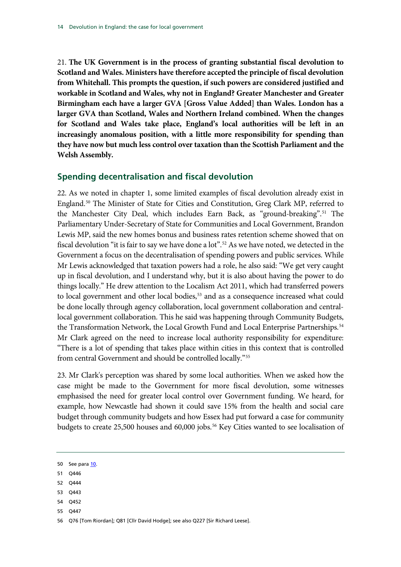21. **The UK Government is in the process of granting substantial fiscal devolution to Scotland and Wales. Ministers have therefore accepted the principle of fiscal devolution from Whitehall. This prompts the question, if such powers are considered justified and workable in Scotland and Wales, why not in England? Greater Manchester and Greater Birmingham each have a larger GVA [Gross Value Added] than Wales. London has a larger GVA than Scotland, Wales and Northern Ireland combined. When the changes for Scotland and Wales take place, England's local authorities will be left in an increasingly anomalous position, with a little more responsibility for spending than they have now but much less control over taxation than the Scottish Parliament and the Welsh Assembly.**

### <span id="page-15-0"></span>**Spending decentralisation and fiscal devolution**

22. As we noted in chapter [1,](#page-6-0) some limited examples of fiscal devolution already exist in England.<sup>[50](#page-15-1)</sup> The Minister of State for Cities and Constitution, Greg Clark MP, referred to the Manchester City Deal, which includes Earn Back, as "ground-breaking".[51](#page-15-1) The Parliamentary Under-Secretary of State for Communities and Local Government, Brandon Lewis MP, said the new homes bonus and business rates retention scheme showed that on fiscal devolution "it is fair to say we have done a lot".<sup>[52](#page-15-1)</sup> As we have noted, we detected in the Government a focus on the decentralisation of spending powers and public services. While Mr Lewis acknowledged that taxation powers had a role, he also said: "We get very caught up in fiscal devolution, and I understand why, but it is also about having the power to do things locally." He drew attention to the Localism Act 2011, which had transferred powers to local government and other local bodies,<sup>[53](#page-15-1)</sup> and as a consequence increased what could be done locally through agency collaboration, local government collaboration and centrallocal government collaboration. This he said was happening through Community Budgets, the Transformation Network, the Local Growth Fund and Local Enterprise Partnerships.<sup>[54](#page-15-1)</sup> Mr Clark agreed on the need to increase local authority responsibility for expenditure: "There is a lot of spending that takes place within cities in this context that is controlled from central Government and should be controlled locally."[55](#page-15-1)

23. Mr Clark's perception was shared by some local authorities. When we asked how the case might be made to the Government for more fiscal devolution, some witnesses emphasised the need for greater local control over Government funding. We heard, for example, how Newcastle had shown it could save 15% from the health and social care budget through community budgets and how Essex had put forward a case for community budgets to create 25,500 houses and 60,000 jobs.<sup>[56](#page-15-1)</sup> Key Cities wanted to see localisation of

- 51 Q446
- 52 Q444
- 53 Q443
- 54 Q452
- 55 Q447

<span id="page-15-1"></span><sup>50</sup> See par[a 10.](#page-9-2)

<sup>56</sup> Q76 [Tom Riordan]; Q81 [Cllr David Hodge]; see also Q227 [Sir Richard Leese].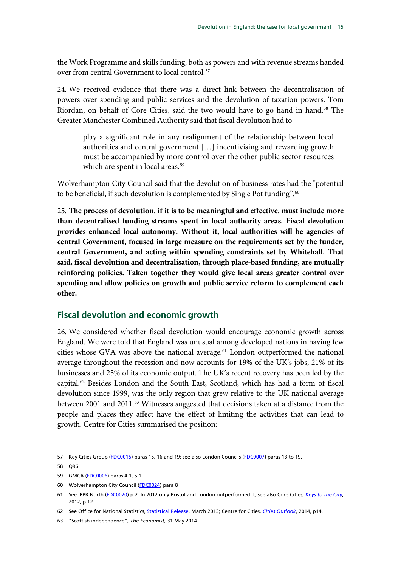the Work Programme and skills funding, both as powers and with revenue streams handed over from central Government to local control.<sup>[57](#page-16-1)</sup>

24. We received evidence that there was a direct link between the decentralisation of powers over spending and public services and the devolution of taxation powers. Tom Riordan, on behalf of Core Cities, said the two would have to go hand in hand.<sup>[58](#page-16-1)</sup> The Greater Manchester Combined Authority said that fiscal devolution had to

play a significant role in any realignment of the relationship between local authorities and central government […] incentivising and rewarding growth must be accompanied by more control over the other public sector resources which are spent in local areas.<sup>[59](#page-16-1)</sup>

Wolverhampton City Council said that the devolution of business rates had the "potential to be beneficial, if such devolution is complemented by Single Pot funding".<sup>[60](#page-16-1)</sup>

25. **The process of devolution, if it is to be meaningful and effective, must include more than decentralised funding streams spent in local authority areas. Fiscal devolution provides enhanced local autonomy. Without it, local authorities will be agencies of central Government, focused in large measure on the requirements set by the funder, central Government, and acting within spending constraints set by Whitehall. That said, fiscal devolution and decentralisation, through place-based funding, are mutually reinforcing policies. Taken together they would give local areas greater control over spending and allow policies on growth and public service reform to complement each other.**

#### <span id="page-16-0"></span>**Fiscal devolution and economic growth**

26. We considered whether fiscal devolution would encourage economic growth across England. We were told that England was unusual among developed nations in having few cities whose GVA was above the national average.<sup>[61](#page-16-1)</sup> London outperformed the national average throughout the recession and now accounts for 19% of the UK's jobs, 21% of its businesses and 25% of its economic output. The UK's recent recovery has been led by the capital.<sup>[62](#page-16-1)</sup> Besides London and the South East, Scotland, which has had a form of fiscal devolution since 1999, was the only region that grew relative to the UK national average between 2001 and 2011.<sup>[63](#page-16-1)</sup> Witnesses suggested that decisions taken at a distance from the people and places they affect have the effect of limiting the activities that can lead to growth. Centre for Cities summarised the position:

<span id="page-16-1"></span><sup>57</sup> Key Cities Group [\(FDC0015\)](http://data.parliament.uk/WrittenEvidence/CommitteeEvidence.svc/EvidenceDocument/Communities%20and%20Local%20Government/Fiscal%20devolution%20to%20cities%20and%20city%20regions/written/4914.html) paras 15, 16 and 19; see also London Councils [\(FDC0007\)](http://data.parliament.uk/WrittenEvidence/CommitteeEvidence.svc/EvidenceDocument/Communities%20and%20Local%20Government/Fiscal%20devolution%20to%20cities%20and%20city%20regions/written/4878.html) paras 13 to 19.

<sup>58</sup> Q96

<sup>59</sup> GMCA [\(FDC0006\)](http://data.parliament.uk/writtenevidence/committeeevidence.svc/evidencedocument/communities-and-local-government-committee/fiscal-devolution-to-cities-and-city-regions/written/4874.html) paras 4.1, 5.1

<sup>60</sup> Wolverhampton City Council [\(FDC0024\)](http://data.parliament.uk/WrittenEvidence/CommitteeEvidence.svc/EvidenceDocument/Communities%20and%20Local%20Government/Fiscal%20devolution%20to%20cities%20and%20city%20regions/written/4936.html) para 8

<sup>61</sup> See IPPR North [\(FDC0020\)](http://data.parliament.uk/WrittenEvidence/CommitteeEvidence.svc/EvidenceDocument/Communities%20and%20Local%20Government/Fiscal%20devolution%20to%20cities%20and%20city%20regions/written/4929.html) p 2. In 2012 only Bristol and London outperformed it; see also Core Cities, *[Keys to the City](http://www.corecities.com/sites/default/files/images/publications/75699_Core_Cities_Devolution_Book_WEB.pdf)*, 2012, p 12.

<sup>62</sup> See Office for National Statistics[, Statistical Release,](http://www.ons.gov.uk/ons/rel/regional-trends/regional-economic-indicators/march-2013/sum-london.html) March 2013; Centre for Cities, *[Cities Outlook](http://www.centreforcities.org/assets/files/2014/Cities_Outlook_2014.pdf)*, 2014, p14.

<sup>63</sup> "Scottish independence", *The Economist*, 31 May 2014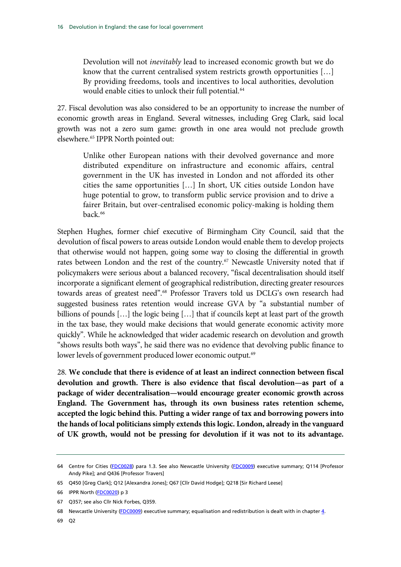Devolution will not *inevitably* lead to increased economic growth but we do know that the current centralised system restricts growth opportunities […] By providing freedoms, tools and incentives to local authorities, devolution would enable cities to unlock their full potential.<sup>[64](#page-17-0)</sup>

27. Fiscal devolution was also considered to be an opportunity to increase the number of economic growth areas in England. Several witnesses, including Greg Clark, said local growth was not a zero sum game: growth in one area would not preclude growth elsewhere.[65](#page-17-0) IPPR North pointed out:

Unlike other European nations with their devolved governance and more distributed expenditure on infrastructure and economic affairs, central government in the UK has invested in London and not afforded its other cities the same opportunities […] In short, UK cities outside London have huge potential to grow, to transform public service provision and to drive a fairer Britain, but over-centralised economic policy-making is holding them back.<sup>[66](#page-17-0)</sup>

Stephen Hughes, former chief executive of Birmingham City Council, said that the devolution of fiscal powers to areas outside London would enable them to develop projects that otherwise would not happen, going some way to closing the differential in growth rates between London and the rest of the country.<sup>[67](#page-17-0)</sup> Newcastle University noted that if policymakers were serious about a balanced recovery, "fiscal decentralisation should itself incorporate a significant element of geographical redistribution, directing greater resources towards areas of greatest need".[68](#page-17-0) Professor Travers told us DCLG's own research had suggested business rates retention would increase GVA by "a substantial number of billions of pounds […] the logic being […] that if councils kept at least part of the growth in the tax base, they would make decisions that would generate economic activity more quickly". While he acknowledged that wider academic research on devolution and growth "shows results both ways", he said there was no evidence that devolving public finance to lower levels of government produced lower economic output.<sup>[69](#page-17-0)</sup>

28. **We conclude that there is evidence of at least an indirect connection between fiscal devolution and growth. There is also evidence that fiscal devolution—as part of a package of wider decentralisation—would encourage greater economic growth across England. The Government has, through its own business rates retention scheme, accepted the logic behind this. Putting a wider range of tax and borrowing powers into the hands of local politicians simply extends this logic. London, already in the vanguard of UK growth, would not be pressing for devolution if it was not to its advantage.** 

<span id="page-17-0"></span><sup>64</sup> Centre for Cities [\(FDC0028\)](http://data.parliament.uk/WrittenEvidence/CommitteeEvidence.svc/EvidenceDocument/Communities%20and%20Local%20Government/Fiscal%20devolution%20to%20cities%20and%20city%20regions/written/4948.html) para 1.3. See also Newcastle University [\(FDC0009\)](http://data.parliament.uk/WrittenEvidence/CommitteeEvidence.svc/EvidenceDocument/Communities%20and%20Local%20Government/Fiscal%20devolution%20to%20cities%20and%20city%20regions/written/4896.html) executive summary; Q114 [Professor Andy Pike]; and Q436 [Professor Travers]

<sup>65</sup> Q450 [Greg Clark]; Q12 [Alexandra Jones]; Q67 [Cllr David Hodge]; Q218 [Sir Richard Leese]

<sup>66</sup> IPPR North [\(FDC0020\)](http://data.parliament.uk/WrittenEvidence/CommitteeEvidence.svc/EvidenceDocument/Communities%20and%20Local%20Government/Fiscal%20devolution%20to%20cities%20and%20city%20regions/written/4929.html) p 3

<sup>67</sup> Q357; see also Cllr Nick Forbes, Q359.

<sup>68</sup> Newcastle University [\(FDC0009\)](http://data.parliament.uk/WrittenEvidence/CommitteeEvidence.svc/EvidenceDocument/Communities%20and%20Local%20Government/Fiscal%20devolution%20to%20cities%20and%20city%20regions/written/4896.html) executive summary; equalisation and redistribution is dealt with in chapter 4.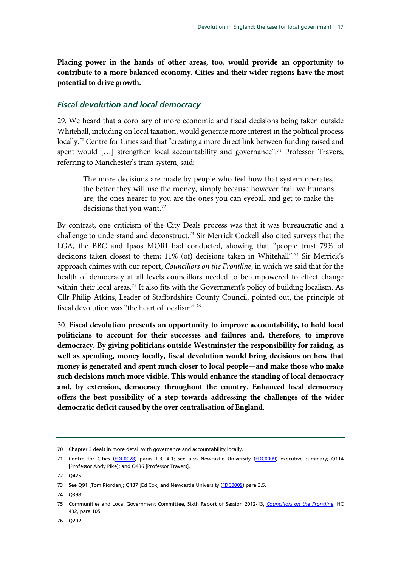**Placing power in the hands of other areas, too, would provide an opportunity to contribute to a more balanced economy. Cities and their wider regions have the most potential to drive growth.**

#### <span id="page-18-0"></span>*Fiscal devolution and local democracy*

29. We heard that a corollary of more economic and fiscal decisions being taken outside Whitehall, including on local taxation, would generate more interest in the political process locally.<sup>[70](#page-18-1)</sup> Centre for Cities said that "creating a more direct link between funding raised and spent would [...] strengthen local accountability and governance".<sup>[71](#page-18-1)</sup> Professor Travers, referring to Manchester's tram system, said:

The more decisions are made by people who feel how that system operates, the better they will use the money, simply because however frail we humans are, the ones nearer to you are the ones you can eyeball and get to make the decisions that you want.<sup>[72](#page-18-1)</sup>

By contrast, one criticism of the City Deals process was that it was bureaucratic and a challenge to understand and deconstruct.<sup>[73](#page-18-1)</sup> Sir Merrick Cockell also cited surveys that the LGA, the BBC and Ipsos MORI had conducted, showing that "people trust 79% of decisions taken closest to them; 11% (of) decisions taken in Whitehall".<sup>[74](#page-18-1)</sup> Sir Merrick's approach chimes with our report, *Councillors on the Frontline*, in which we said that for the health of democracy at all levels councillors needed to be empowered to effect change within their local areas.<sup>[75](#page-18-1)</sup> It also fits with the Government's policy of building localism. As Cllr Philip Atkins, Leader of Staffordshire County Council, pointed out, the principle of fiscal devolution was "the heart of localism".[76](#page-18-1)

30. **Fiscal devolution presents an opportunity to improve accountability, to hold local politicians to account for their successes and failures and, therefore, to improve democracy. By giving politicians outside Westminster the responsibility for raising, as well as spending, money locally, fiscal devolution would bring decisions on how that money is generated and spent much closer to local people—and make those who make such decisions much more visible. This would enhance the standing of local democracy and, by extension, democracy throughout the country. Enhanced local democracy offers the best possibility of a step towards addressing the challenges of the wider democratic deficit caused by the over centralisation of England.**

<span id="page-18-1"></span><sup>70</sup> Chapter  $\frac{3}{2}$  deals in more detail with governance and accountability locally.

<sup>71</sup> Centre for Cities [\(FDC0028\)](http://data.parliament.uk/WrittenEvidence/CommitteeEvidence.svc/EvidenceDocument/Communities%20and%20Local%20Government/Fiscal%20devolution%20to%20cities%20and%20city%20regions/written/4948.html) paras 1.3, 4.1; see also Newcastle University [\(FDC0009\)](http://data.parliament.uk/WrittenEvidence/CommitteeEvidence.svc/EvidenceDocument/Communities%20and%20Local%20Government/Fiscal%20devolution%20to%20cities%20and%20city%20regions/written/4896.html) executive summary; Q114 [Professor Andy Pike]; and Q436 [Professor Travers].

<sup>72</sup> Q425

<sup>73</sup> See Q91 [Tom Riordan]; Q137 [Ed Cox] and Newcastle University [\(FDC0009\)](http://data.parliament.uk/WrittenEvidence/CommitteeEvidence.svc/EvidenceDocument/Communities%20and%20Local%20Government/Fiscal%20devolution%20to%20cities%20and%20city%20regions/written/4896.html) para 3.5.

<sup>74</sup> Q398

<sup>75</sup> Communities and Local Government Committee, Sixth Report of Session 2012-13, *[Councillors on the Frontline](http://www.publications.parliament.uk/pa/cm201213/cmselect/cmcomloc/432/432.pdf)*, HC 432, para 105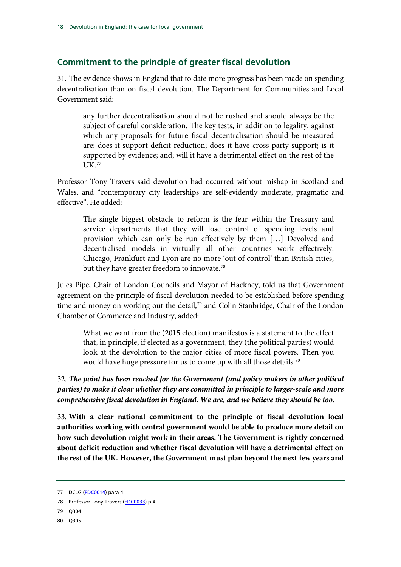### <span id="page-19-0"></span>**Commitment to the principle of greater fiscal devolution**

31. The evidence shows in England that to date more progress has been made on spending decentralisation than on fiscal devolution. The Department for Communities and Local Government said:

any further decentralisation should not be rushed and should always be the subject of careful consideration. The key tests, in addition to legality, against which any proposals for future fiscal decentralisation should be measured are: does it support deficit reduction; does it have cross-party support; is it supported by evidence; and; will it have a detrimental effect on the rest of the UK. [77](#page-19-1)

Professor Tony Travers said devolution had occurred without mishap in Scotland and Wales, and "contemporary city leaderships are self-evidently moderate, pragmatic and effective". He added:

The single biggest obstacle to reform is the fear within the Treasury and service departments that they will lose control of spending levels and provision which can only be run effectively by them […] Devolved and decentralised models in virtually all other countries work effectively. Chicago, Frankfurt and Lyon are no more 'out of control' than British cities, but they have greater freedom to innovate.<sup>[78](#page-19-1)</sup>

Jules Pipe, Chair of London Councils and Mayor of Hackney, told us that Government agreement on the principle of fiscal devolution needed to be established before spending time and money on working out the detail,<sup>[79](#page-19-1)</sup> and Colin Stanbridge, Chair of the London Chamber of Commerce and Industry, added:

What we want from the (2015 election) manifestos is a statement to the effect that, in principle, if elected as a government, they (the political parties) would look at the devolution to the major cities of more fiscal powers. Then you would have huge pressure for us to come up with all those details.<sup>[80](#page-19-1)</sup>

32. *The point has been reached for the Government (and policy makers in other political parties) to make it clear whether they are committed in principle to larger-scale and more comprehensive fiscal devolution in England. We are, and we believe they should be too.*

33. **With a clear national commitment to the principle of fiscal devolution local authorities working with central government would be able to produce more detail on how such devolution might work in their areas. The Government is rightly concerned about deficit reduction and whether fiscal devolution will have a detrimental effect on the rest of the UK. However, the Government must plan beyond the next few years and** 

- 79 Q304
- 80 Q305

<span id="page-19-1"></span><sup>77</sup> DCLG [\(FDC0014\)](http://data.parliament.uk/WrittenEvidence/CommitteeEvidence.svc/EvidenceDocument/Communities%20and%20Local%20Government/Fiscal%20devolution%20to%20cities%20and%20city%20regions/written/4913.html) para 4

<sup>78</sup> Professor Tony Travers [\(FDC0033\)](http://data.parliament.uk/WrittenEvidence/CommitteeEvidence.svc/EvidenceDocument/Communities%20and%20Local%20Government/Fiscal%20devolution%20to%20cities%20and%20city%20regions/written/5003.html) p 4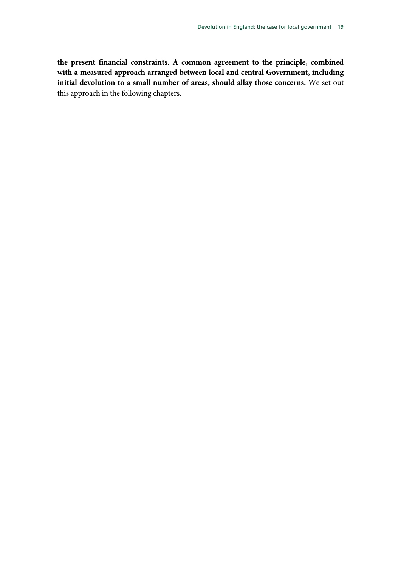**the present financial constraints. A common agreement to the principle, combined with a measured approach arranged between local and central Government, including initial devolution to a small number of areas, should allay those concerns.** We set out this approach in the following chapters.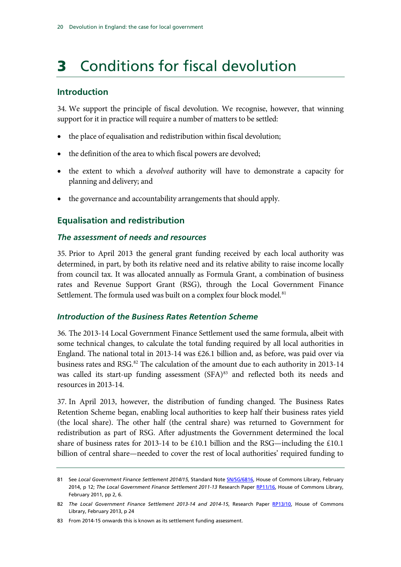# <span id="page-21-0"></span>3 Conditions for fiscal devolution

### <span id="page-21-1"></span>**Introduction**

34. We support the principle of fiscal devolution. We recognise, however, that winning support for it in practice will require a number of matters to be settled:

- the place of equalisation and redistribution within fiscal devolution;
- the definition of the area to which fiscal powers are devolved;
- the extent to which a *devolved* authority will have to demonstrate a capacity for planning and delivery; and
- the governance and accountability arrangements that should apply.

### <span id="page-21-2"></span>**Equalisation and redistribution**

#### <span id="page-21-3"></span>*The assessment of needs and resources*

35. Prior to April 2013 the general grant funding received by each local authority was determined, in part, by both its relative need and its relative ability to raise income locally from council tax. It was allocated annually as Formula Grant, a combination of business rates and Revenue Support Grant (RSG), through the Local Government Finance Settlement. The formula used was built on a complex four block model.<sup>[81](#page-21-5)</sup>

#### <span id="page-21-4"></span>*Introduction of the Business Rates Retention Scheme*

36. The 2013-14 Local Government Finance Settlement used the same formula, albeit with some technical changes, to calculate the total funding required by all local authorities in England. The national total in 2013-14 was £26.1 billion and, as before, was paid over via business rates and RSG.<sup>82</sup> The calculation of the amount due to each authority in 2013-14 was called its start-up funding assessment (SFA)<sup>[83](#page-21-5)</sup> and reflected both its needs and resources in 2013-14.

37. In April 2013, however, the distribution of funding changed. The Business Rates Retention Scheme began, enabling local authorities to keep half their business rates yield (the local share). The other half (the central share) was returned to Government for redistribution as part of RSG. After adjustments the Government determined the local share of business rates for 2013-14 to be £10.1 billion and the RSG—including the £10.1 billion of central share—needed to cover the rest of local authorities' required funding to

<span id="page-21-5"></span><sup>81</sup> See *Local Government Finance Settlement 2014/15,* Standard Note [SN/SG/6816,](http://www.parliament.uk/briefing-papers/SN06816/local-government-finance-settlement-201415) House of Commons Library, February 2014, p 12; *The Local Government Finance Settlement 2011-13* Research Paper [RP11/16,](http://www.parliament.uk/briefing-papers/RP11-16/the-local-government-finance-settlement-201113) House of Commons Library, February 2011, pp 2, 6.

<sup>82</sup> The Local Government Finance Settlement 2013-14 and 2014-15, Research Paper [RP13/10, H](http://www.parliament.uk/briefing-papers/RP13-10/the-local-government-finance-settlement-201314-and-201415)ouse of Commons Library, February 2013, p 24

<sup>83</sup> From 2014-15 onwards this is known as its settlement funding assessment.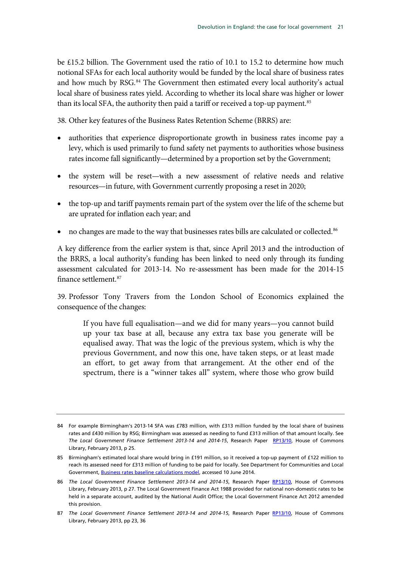be £15.2 billion. The Government used the ratio of 10.1 to 15.2 to determine how much notional SFAs for each local authority would be funded by the local share of business rates and how much by RSG.<sup>[84](#page-22-0)</sup> The Government then estimated every local authority's actual local share of business rates yield. According to whether its local share was higher or lower than its local SFA, the authority then paid a tariff or received a top-up payment.<sup>[85](#page-22-0)</sup>

38. Other key features of the Business Rates Retention Scheme (BRRS) are:

- authorities that experience disproportionate growth in business rates income pay a levy, which is used primarily to fund safety net payments to authorities whose business rates income fall significantly—determined by a proportion set by the Government;
- the system will be reset—with a new assessment of relative needs and relative resources—in future, with Government currently proposing a reset in 2020;
- the top-up and tariff payments remain part of the system over the life of the scheme but are uprated for inflation each year; and
- no changes are made to the way that businesses rates bills are calculated or collected.<sup>[86](#page-22-0)</sup>

A key difference from the earlier system is that, since April 2013 and the introduction of the BRRS, a local authority's funding has been linked to need only through its funding assessment calculated for 2013-14. No re-assessment has been made for the 2014-15 finance settlement.<sup>[87](#page-22-0)</sup>

39. Professor Tony Travers from the London School of Economics explained the consequence of the changes:

If you have full equalisation—and we did for many years—you cannot build up your tax base at all, because any extra tax base you generate will be equalised away. That was the logic of the previous system, which is why the previous Government, and now this one, have taken steps, or at least made an effort, to get away from that arrangement. At the other end of the spectrum, there is a "winner takes all" system, where those who grow build

<span id="page-22-0"></span><sup>84</sup> For example Birmingham's 2013-14 SFA was £783 million, with £313 million funded by the local share of business rates and £430 million by RSG; Birmingham was assessed as needing to fund £313 million of that amount locally. See *The Local Government Finance Settlement 2013-14 and 2014-15*, Research Paper [RP13/10, H](http://www.parliament.uk/briefing-papers/RP13-10/the-local-government-finance-settlement-201314-and-201415)ouse of Commons Library, February 2013, p 25.

<sup>85</sup> Birmingham's estimated local share would bring in £191 million, so it received a top-up payment of £122 million to reach its assessed need for £313 million of funding to be paid for locally. See Department for Communities and Local Government, [Business rates baseline calculations model,](http://www.local.communities.gov.uk/finance/1314/BR_Baselines_calc_model.xls) accessed 10 June 2014.

<sup>86</sup> *The Local Government Finance Settlement 2013-14 and 2014-15*, Research Paper [RP13/10,](http://www.parliament.uk/briefing-papers/RP13-10/the-local-government-finance-settlement-201314-and-201415) House of Commons Library, February 2013, p 27. The Local Government Finance Act 1988 provided for national non-domestic rates to be held in a separate account, audited by the National Audit Office; the Local Government Finance Act 2012 amended this provision.

<sup>87</sup> *The Local Government Finance Settlement 2013-14 and 2014-15*, Research Paper [RP13/10,](http://www.parliament.uk/briefing-papers/RP13-10/the-local-government-finance-settlement-201314-and-201415) House of Commons Library, February 2013, pp 23, 36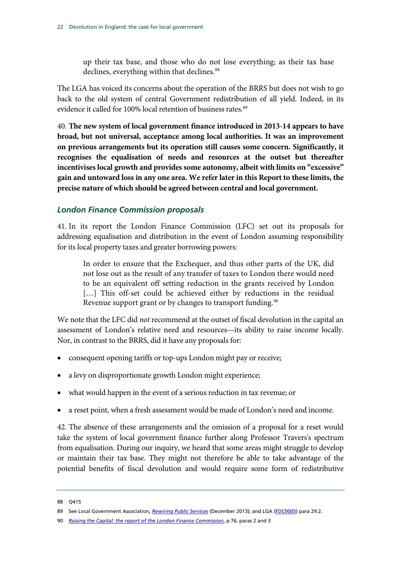up their tax base, and those who do not lose everything; as their tax base declines, everything within that declines.<sup>[88](#page-23-1)</sup>

The LGA has voiced its concerns about the operation of the BRRS but does not wish to go back to the old system of central Government redistribution of all yield. Indeed, in its evidence it called for 100% local retention of business rates.<sup>[89](#page-23-1)</sup>

40. **The new system of local government finance introduced in 2013-14 appears to have broad, but not universal, acceptance among local authorities. It was an improvement on previous arrangements but its operation still causes some concern. Significantly, it recognises the equalisation of needs and resources at the outset but thereafter incentivises local growth and provides some autonomy, albeit with limits on "excessive" gain and untoward loss in any one area. We refer later in this Report to these limits, the precise nature of which should be agreed between central and local government.**

#### <span id="page-23-0"></span>*London Finance Commission proposals*

41. In its report the London Finance Commission (LFC) set out its proposals for addressing equalisation and distribution in the event of London assuming responsibility for its local property taxes and greater borrowing powers:

In order to ensure that the Exchequer, and thus other parts of the UK, did not lose out as the result of any transfer of taxes to London there would need to be an equivalent off setting reduction in the grants received by London [...] This off-set could be achieved either by reductions in the residual Revenue support grant or by changes to transport funding.<sup>[90](#page-23-1)</sup>

We note that the LFC did *not* recommend at the outset of fiscal devolution in the capital an assessment of London's relative need and resources—its ability to raise income locally. Nor, in contrast to the BRRS, did it have any proposals for:

- consequent opening tariffs or top-ups London might pay or receive;
- a levy on disproportionate growth London might experience;
- what would happen in the event of a serious reduction in tax revenue; or
- a reset point, when a fresh assessment would be made of London's need and income.

42. The absence of these arrangements and the omission of a proposal for a reset would take the system of local government finance further along Professor Travers's spectrum from equalisation. During our inquiry, we heard that some areas might struggle to develop or maintain their tax base. They might not therefore be able to take advantage of the potential benefits of fiscal devolution and would require some form of redistributive

<span id="page-23-1"></span><sup>88</sup> Q415

<sup>89</sup> See Local Government Association, *[Rewiring Public Services](http://www.local.gov.uk/documents/10180/11531/The+story+so+far+-+business+rate+retention.pdf/2175c47c-6916-4b93-add8-c2201db60482)* (December 2013); and LGA [\(FDC0005\)](http://data.parliament.uk/WrittenEvidence/CommitteeEvidence.svc/EvidenceDocument/Communities%20and%20Local%20Government/Fiscal%20devolution%20to%20cities%20and%20city%20regions/written/4852.html) para 29.2.

<sup>90</sup> *[Raising the Capital: the report of the London Finance Commission](http://www.london.gov.uk/sites/default/files/Raising%20the%20capital.pdf)*, p 76, paras 2 and 3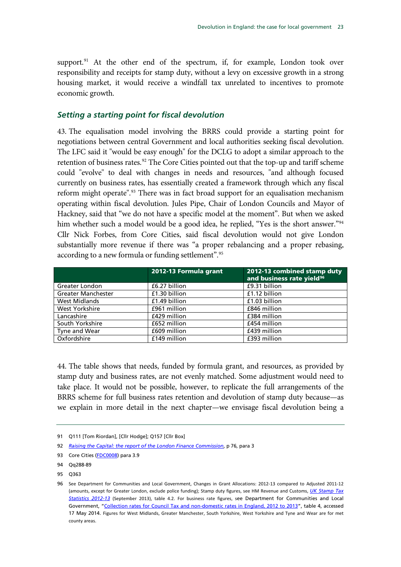support.<sup>[91](#page-24-1)</sup> At the other end of the spectrum, if, for example, London took over responsibility and receipts for stamp duty, without a levy on excessive growth in a strong housing market, it would receive a windfall tax unrelated to incentives to promote economic growth.

#### <span id="page-24-0"></span>*Setting a starting point for fiscal devolution*

43. The equalisation model involving the BRRS could provide a starting point for negotiations between central Government and local authorities seeking fiscal devolution. The LFC said it "would be easy enough" for the DCLG to adopt a similar approach to the retention of business rates.<sup>[92](#page-24-1)</sup> The Core Cities pointed out that the top-up and tariff scheme could "evolve" to deal with changes in needs and resources, "and although focused currently on business rates, has essentially created a framework through which any fiscal reform might operate".<sup>[93](#page-24-1)</sup> There was in fact broad support for an equalisation mechanism operating within fiscal devolution. Jules Pipe, Chair of London Councils and Mayor of Hackney, said that "we do not have a specific model at the moment". But when we asked him whether such a model would be a good idea, he replied, "Yes is the short answer."<sup>[94](#page-24-1)</sup> Cllr Nick Forbes, from Core Cities, said fiscal devolution would not give London substantially more revenue if there was "a proper rebalancing and a proper rebasing, according to a new formula or funding settlement".[95](#page-24-1)

|                           | 2012-13 Formula grant | 2012-13 combined stamp duty<br>and business rate yield <sup>96</sup> |
|---------------------------|-----------------------|----------------------------------------------------------------------|
| Greater London            | £6.27 billion         | £9.31 billion                                                        |
| <b>Greater Manchester</b> | £1.30 billion         | £1.12 billion                                                        |
| <b>West Midlands</b>      | £1.49 billion         | £1.03 billion                                                        |
| <b>West Yorkshire</b>     | £961 million          | £846 million                                                         |
| Lancashire                | £429 million          | £384 million                                                         |
| South Yorkshire           | £652 million          | £454 million                                                         |
| Tyne and Wear             | £609 million          | £439 million                                                         |
| Oxfordshire               | £149 million          | £393 million                                                         |

44. The table shows that needs, funded by formula grant, and resources, as provided by stamp duty and business rates, are not evenly matched. Some adjustment would need to take place. It would not be possible, however, to replicate the full arrangements of the BRRS scheme for full business rates retention and devolution of stamp duty because—as we explain in more detail in the next chapter—we envisage fiscal devolution being a

<span id="page-24-1"></span><sup>91</sup> Q111 [Tom Riordan], [Cllr Hodge]; Q157 [Cllr Box]

<sup>92</sup> *[Raising the Capital: the report of the London Finance Commission](http://www.london.gov.uk/sites/default/files/Raising%20the%20capital.pdf)*, p 76, para 3

<sup>93</sup> Core Cities [\(FDC0008\)](http://data.parliament.uk/WrittenEvidence/CommitteeEvidence.svc/EvidenceDocument/Communities%20and%20Local%20Government/Fiscal%20devolution%20to%20cities%20and%20city%20regions/written/4894.html) para 3.9

<sup>94</sup> Qq288-89

<sup>95</sup> Q363

<sup>96</sup> See Department for Communities and Local Government, [Changes in Grant Allocations: 2012-13 compared to Adjusted 2011-12](http://www.local.communities.gov.uk/finance/1213/chng.xls)  [\(amounts, except for Greater London, exclude police funding\); S](http://www.local.communities.gov.uk/finance/1213/chng.xls)tamp duty figures, see HM Revenue and Customs, *[UK Stamp Tax](https://www.gov.uk/government/uploads/system/uploads/attachment_data/file/249656/stamp-tax-sep13.pdf)  [Statistics 2012-13](https://www.gov.uk/government/uploads/system/uploads/attachment_data/file/249656/stamp-tax-sep13.pdf)* (September 2013), table 4.2. For business rate figures, see Department for Communities and Local Government, ["Collection rates for Council Tax and non-domestic](https://www.gov.uk/government/publications/collection-rates-for-council-tax-and-non-domestic-rates-in-england-2012-to-2013) rates in England, 2012 to 2013", table 4, accessed 17 May 2014. Figures for West Midlands, Greater Manchester, South Yorkshire, West Yorkshire and Tyne and Wear are for met county areas.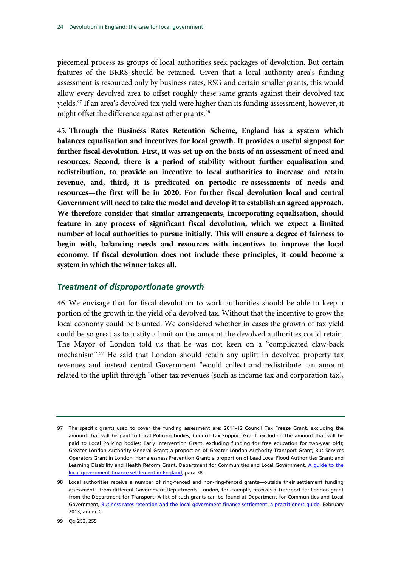piecemeal process as groups of local authorities seek packages of devolution. But certain features of the BRRS should be retained. Given that a local authority area's funding assessment is resourced only by business rates, RSG and certain smaller grants, this would allow every devolved area to offset roughly these same grants against their devolved tax yields.<sup>[97](#page-25-1)</sup> If an area's devolved tax yield were higher than its funding assessment, however, it might offset the difference against other grants.<sup>[98](#page-25-1)</sup>

45. **Through the Business Rates Retention Scheme, England has a system which balances equalisation and incentives for local growth. It provides a useful signpost for further fiscal devolution. First, it was set up on the basis of an assessment of need and resources. Second, there is a period of stability without further equalisation and redistribution, to provide an incentive to local authorities to increase and retain revenue, and, third, it is predicated on periodic re-assessments of needs and resources—the first will be in 2020. For further fiscal devolution local and central Government will need to take the model and develop it to establish an agreed approach. We therefore consider that similar arrangements, incorporating equalisation, should feature in any process of significant fiscal devolution, which we expect a limited number of local authorities to pursue initially. This will ensure a degree of fairness to begin with, balancing needs and resources with incentives to improve the local economy. If fiscal devolution does not include these principles, it could become a system in which the winner takes all.**

#### <span id="page-25-0"></span>*Treatment of disproportionate growth*

46. We envisage that for fiscal devolution to work authorities should be able to keep a portion of the growth in the yield of a devolved tax. Without that the incentive to grow the local economy could be blunted. We considered whether in cases the growth of tax yield could be so great as to justify a limit on the amount the devolved authorities could retain. The Mayor of London told us that he was not keen on a "complicated claw-back mechanism".[99](#page-25-1) He said that London should retain any uplift in devolved property tax revenues and instead central Government "would collect and redistribute" an amount related to the uplift through "other tax revenues (such as income tax and corporation tax),

<span id="page-25-1"></span><sup>97</sup> The specific grants used to cover the funding assessment are: 2011-12 Council Tax Freeze Grant, excluding the amount that will be paid to Local Policing bodies; Council Tax Support Grant, excluding the amount that will be paid to Local Policing bodies; Early Intervention Grant, excluding funding for free education for two-year olds; Greater London Authority General Grant; a proportion of Greater London Authority Transport Grant; Bus Services Operators Grant in London; Homelessness Prevention Grant; a proportion of Lead Local Flood Authorities Grant; and Learning Disability and Health Reform Grant. Department for Communities and Local Government, [A guide to the](https://www.gov.uk/government/uploads/system/uploads/attachment_data/file/266886/LGFS_Guide.pdf)  [local government finance settlement in England,](https://www.gov.uk/government/uploads/system/uploads/attachment_data/file/266886/LGFS_Guide.pdf) para 38.

<sup>98</sup> Local authorities receive a number of ring-fenced and non-ring-fenced grants—outside their settlement funding assessment—from different Government Departments. London, for example, receives a Transport for London grant from the Department for Transport. A list of such grants can be found at Department for Communities and Local Government, [Business rates retention and the local government finance settlement: a practitioners guide,](http://www.local.communities.gov.uk/finance/1314/practitionersguides.pdf) February 2013, annex C.

<sup>99</sup> Qq 253, 255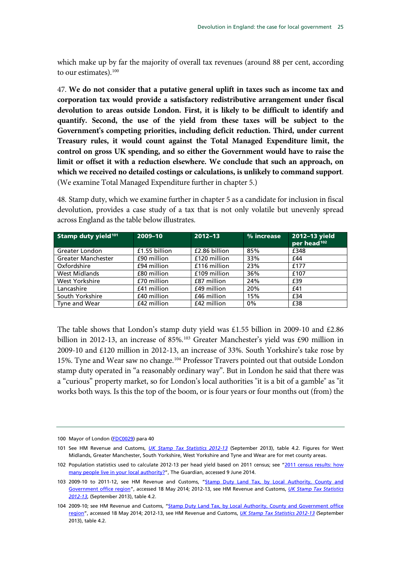which make up by far the majority of overall tax revenues (around 88 per cent, according to our estimates).<sup>[100](#page-26-0)</sup>

47. **We do not consider that a putative general uplift in taxes such as income tax and corporation tax would provide a satisfactory redistributive arrangement under fiscal devolution to areas outside London. First, it is likely to be difficult to identify and quantify. Second, the use of the yield from these taxes will be subject to the Government's competing priorities, including deficit reduction. Third, under current Treasury rules, it would count against the Total Managed Expenditure limit, the control on gross UK spending, and so either the Government would have to raise the limit or offset it with a reduction elsewhere. We conclude that such an approach, on which we received no detailed costings or calculations, is unlikely to command support**. (We examine Total Managed Expenditure further in chapter [5.](#page-50-0))

48. Stamp duty, which we examine further in chapter [5](#page-50-0) as a candidate for inclusion in fiscal devolution, provides a case study of a tax that is not only volatile but unevenly spread across England as the table below illustrates.

| Stamp duty yield <sup>101</sup> | 2009-10       | $2012 - 13$   | % increase | 2012-13 yield<br>per head <sup>102</sup> |
|---------------------------------|---------------|---------------|------------|------------------------------------------|
| Greater London                  | £1.55 billion | £2.86 billion | 85%        | £348                                     |
| <b>Greater Manchester</b>       | £90 million   | £120 million  | 33%        | £44                                      |
| Oxfordshire                     | £94 million   | £116 million  | 23%        | £177                                     |
| <b>West Midlands</b>            | £80 million   | £109 million  | 36%        | £107                                     |
| West Yorkshire                  | £70 million   | £87 million   | 24%        | £39                                      |
| Lancashire                      | £41 million   | £49 million   | 20%        | £41                                      |
| South Yorkshire                 | £40 million   | £46 million   | 15%        | £34                                      |
| Tyne and Wear                   | £42 million   | £42 million   | 0%         | £38                                      |

The table shows that London's stamp duty yield was £1.55 billion in 2009-10 and £2.86 billion in 2012-13, an increase of 85%. [103](#page-26-0) Greater Manchester's yield was £90 million in 2009-10 and £120 million in 2012-13, an increase of 33%. South Yorkshire's take rose by 15%. Tyne and Wear saw no change.<sup>[104](#page-26-0)</sup> Professor Travers pointed out that outside London stamp duty operated in "a reasonably ordinary way". But in London he said that there was a "curious" property market, so for London's local authorities "it is a bit of a gamble" as "it works both ways. Is this the top of the boom, or is four years or four months out (from) the

<span id="page-26-0"></span><sup>100</sup> Mayor of London [\(FDC0029\)](http://data.parliament.uk/WrittenEvidence/CommitteeEvidence.svc/EvidenceDocument/Communities%20and%20Local%20Government/Fiscal%20devolution%20to%20cities%20and%20city%20regions/written/4949.html) para 40

<sup>101</sup> See HM Revenue and Customs, *[UK Stamp Tax Statistics 2012-13](https://www.gov.uk/government/uploads/system/uploads/attachment_data/file/249656/stamp-tax-sep13.pdf)* (September 2013), table 4.2. Figures for West Midlands, Greater Manchester, South Yorkshire, West Yorkshire and Tyne and Wear are for met county areas.

<sup>102</sup> Population statistics used to calculate 2012-13 per head yield based on 2011 census; see "2011 census results: how [many people live in your local authority?"](http://www.theguardian.com/uk/datablog/2012/jul/16/2011-census-results-data#data), The Guardian, accessed 9 June 2014.

<sup>103 2009-10</sup> to 2011-12, see HM Revenue and Customs, "Stamp Duty Land Tax, by Local Authority, County and [Government office region"](https://www.gov.uk/government/publications/stamp-duty-land-tax-by-local-authority-county-and-government-office-region), accessed 18 May 2014; 2012-13, see HM Revenue and Customs, *[UK Stamp Tax Statistics](https://www.gov.uk/government/uploads/system/uploads/attachment_data/file/249656/stamp-tax-sep13.pdf)  [2012-13](https://www.gov.uk/government/uploads/system/uploads/attachment_data/file/249656/stamp-tax-sep13.pdf)*, (September 2013), table 4.2.

<sup>104</sup> 2009-10; see HM Revenue and Customs, ["Stamp Duty Land Tax, by Local Authority, County and Government office](https://www.gov.uk/government/publications/stamp-duty-land-tax-by-local-authority-county-and-government-office-region)  [region"](https://www.gov.uk/government/publications/stamp-duty-land-tax-by-local-authority-county-and-government-office-region), accessed 18 May 2014; 2012-13, see HM Revenue and Customs, *[UK Stamp Tax Statistics 2012-13](https://www.gov.uk/government/uploads/system/uploads/attachment_data/file/249656/stamp-tax-sep13.pdf)* (September 2013), table 4.2.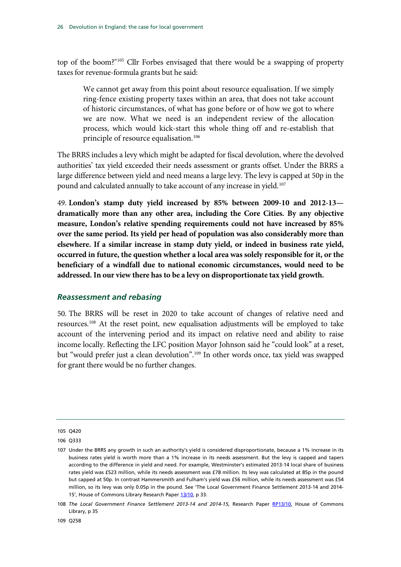top of the boom?"[105](#page-27-1) Cllr Forbes envisaged that there would be a swapping of property taxes for revenue-formula grants but he said:

We cannot get away from this point about resource equalisation. If we simply ring-fence existing property taxes within an area, that does not take account of historic circumstances, of what has gone before or of how we got to where we are now. What we need is an independent review of the allocation process, which would kick-start this whole thing off and re-establish that principle of resource equalisation.<sup>[106](#page-27-1)</sup>

The BRRS includes a levy which might be adapted for fiscal devolution, where the devolved authorities' tax yield exceeded their needs assessment or grants offset. Under the BRRS a large difference between yield and need means a large levy. The levy is capped at 50p in the pound and calculated annually to take account of any increase in yield. [107](#page-27-1)

49. **London's stamp duty yield increased by 85% between 2009-10 and 2012-13 dramatically more than any other area, including the Core Cities. By any objective measure, London's relative spending requirements could not have increased by 85% over the same period. Its yield per head of population was also considerably more than elsewhere. If a similar increase in stamp duty yield, or indeed in business rate yield, occurred in future, the question whether a local area was solely responsible for it, or the beneficiary of a windfall due to national economic circumstances, would need to be addressed. In our view there has to be a levy on disproportionate tax yield growth.**

#### <span id="page-27-0"></span>*Reassessment and rebasing*

50. The BRRS will be reset in 2020 to take account of changes of relative need and resources.[108](#page-27-1) At the reset point, new equalisation adjustments will be employed to take account of the intervening period and its impact on relative need and ability to raise income locally. Reflecting the LFC position Mayor Johnson said he "could look" at a reset, but "would prefer just a clean devolution".<sup>[109](#page-27-1)</sup> In other words once, tax yield was swapped for grant there would be no further changes.

<span id="page-27-1"></span><sup>105</sup> Q420

<sup>106</sup> Q333

<sup>107</sup> Under the BRRS any growth in such an authority's yield is considered disproportionate, because a 1% increase in its business rates yield is worth more than a 1% increase in its needs assessment. But the levy is capped and tapers according to the difference in yield and need. For example, Westminster's estimated 2013-14 local share of business rates yield was £523 million, while its needs assessment was £78 million. Its levy was calculated at 85p in the pound but capped at 50p. In contrast Hammersmith and Fulham's yield was £56 million, while its needs assessment was £54 million, so its levy was only 0.05p in the pound. See 'The Local Government Finance Settlement 2013-14 and 2014- 15', House of Commons Library Research Paper [13/10,](http://www.google.co.uk/url?sa=t&rct=j&q=&esrc=s&frm=1&source=web&cd=4&cad=rja&uact=8&ved=0CDYQFjAD&url=http%3A%2F%2Fwww.parliament.uk%2Fbriefing-papers%2FRP13-10.pdf&ei=-vSrU5-EAon2O4yNgfgL&usg=AFQjCNEFZnw60271vAp6lUT9nxkMrluHiA) p 33.

<sup>108</sup> *The Local Government Finance Settlement 2013-14 and 2014-15*, Research Paper [RP13/10,](http://www.parliament.uk/briefing-papers/RP13-10/the-local-government-finance-settlement-201314-and-201415) House of Commons Library, p 35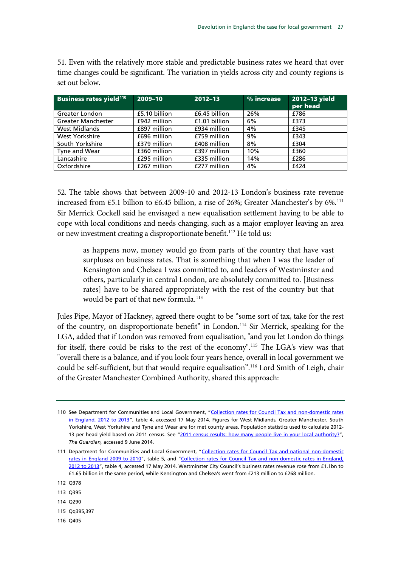51. Even with the relatively more stable and predictable business rates we heard that over time changes could be significant. The variation in yields across city and county regions is set out below.

| <b>Business rates yield<sup>110</sup></b> | 2009-10       | $2012 - 13$   | % increase | 2012-13 yield<br>per head |
|-------------------------------------------|---------------|---------------|------------|---------------------------|
| Greater London                            | £5.10 billion | £6.45 billion | 26%        | £786                      |
| <b>Greater Manchester</b>                 | £942 million  | £1.01 billion | 6%         | £373                      |
| <b>West Midlands</b>                      | £897 million  | £934 million  | 4%         | £345                      |
| West Yorkshire                            | £696 million  | £759 million  | 9%         | £343                      |
| South Yorkshire                           | £379 million  | £408 million  | 8%         | £304                      |
| Tyne and Wear                             | £360 million  | £397 million  | 10%        | £360                      |
| Lancashire                                | £295 million  | £335 million  | 14%        | £286                      |
| Oxfordshire                               | £267 million  | £277 million  | 4%         | £424                      |

52. The table shows that between 2009-10 and 2012-13 London's business rate revenue increased from £5.1 billion to £6.45 billion, a rise of 26%; Greater Manchester's by  $6\%$ .<sup>[111](#page-28-0)</sup> Sir Merrick Cockell said he envisaged a new equalisation settlement having to be able to cope with local conditions and needs changing, such as a major employer leaving an area or new investment creating a disproportionate benefit.<sup>112</sup> He told us:

as happens now, money would go from parts of the country that have vast surpluses on business rates. That is something that when I was the leader of Kensington and Chelsea I was committed to, and leaders of Westminster and others, particularly in central London, are absolutely committed to. [Business rates] have to be shared appropriately with the rest of the country but that would be part of that new formula.<sup>[113](#page-28-0)</sup>

Jules Pipe, Mayor of Hackney, agreed there ought to be "some sort of tax, take for the rest of the country, on disproportionate benefit" in London. [114](#page-28-0) Sir Merrick, speaking for the LGA, added that if London was removed from equalisation, "and you let London do things for itself, there could be risks to the rest of the economy".[115](#page-28-0) The LGA's view was that "overall there is a balance, and if you look four years hence, overall in local government we could be self-sufficient, but that would require equalisation".[116](#page-28-0) Lord Smith of Leigh, chair of the Greater Manchester Combined Authority, shared this approach:

- 114 Q290
- 115 Qq395,397
- 116 Q405

<span id="page-28-0"></span><sup>110</sup> See Department for Communities and Local Government, ["Collection rates for Council Tax and non-domestic rates](https://www.gov.uk/government/publications/collection-rates-for-council-tax-and-non-domestic-rates-in-england-2012-to-2013)  [in England, 2012 to 2013"](https://www.gov.uk/government/publications/collection-rates-for-council-tax-and-non-domestic-rates-in-england-2012-to-2013), table 4, accessed 17 May 2014. Figures for West Midlands, Greater Manchester, South Yorkshire, West Yorkshire and Tyne and Wear are for met county areas. Population statistics used to calculate 2012- 13 per head yield based on 2011 census. See ["2011 census results: how many people live in your local authority?"](http://www.theguardian.com/uk/datablog/2012/jul/16/2011-census-results-data#data), *The Guardian,* accessed 9 June 2014.

<sup>111</sup> Department for Communities and Local Government, "Collection rates for Council Tax and national non-domestic [rates in England 2009](https://www.gov.uk/government/publications/collection-rates-for-council-tax-and-national-non-domestic-rates-in-england-2009-to-2010) to 2010", table 5, and ["Collection rates for Council Tax and non-domestic rates in England,](https://www.gov.uk/government/publications/collection-rates-for-council-tax-and-non-domestic-rates-in-england-2012-to-2013)  [2012 to 2013"](https://www.gov.uk/government/publications/collection-rates-for-council-tax-and-non-domestic-rates-in-england-2012-to-2013), table 4, accessed 17 May 2014. Westminster City Council's business rates revenue rose from £1.1bn to £1.65 billion in the same period, while Kensington and Chelsea's went from £213 million to £268 million.

<sup>112</sup> Q378

<sup>113</sup> Q395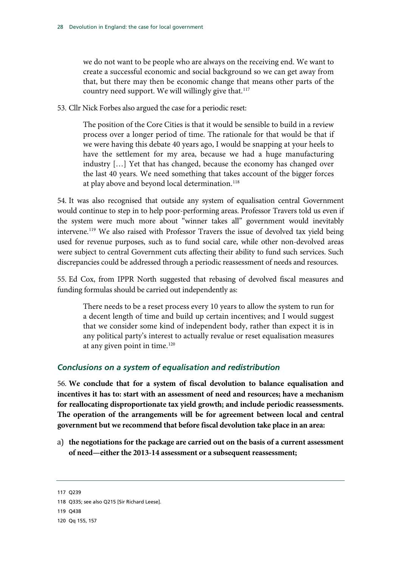we do not want to be people who are always on the receiving end. We want to create a successful economic and social background so we can get away from that, but there may then be economic change that means other parts of the country need support. We will willingly give that.<sup>[117](#page-29-1)</sup>

53. Cllr Nick Forbes also argued the case for a periodic reset:

The position of the Core Cities is that it would be sensible to build in a review process over a longer period of time. The rationale for that would be that if we were having this debate 40 years ago, I would be snapping at your heels to have the settlement for my area, because we had a huge manufacturing industry […] Yet that has changed, because the economy has changed over the last 40 years. We need something that takes account of the bigger forces at play above and beyond local determination.<sup>[118](#page-29-1)</sup>

54. It was also recognised that outside any system of equalisation central Government would continue to step in to help poor-performing areas. Professor Travers told us even if the system were much more about "winner takes all" government would inevitably intervene.<sup>[119](#page-29-1)</sup> We also raised with Professor Travers the issue of devolved tax yield being used for revenue purposes, such as to fund social care, while other non-devolved areas were subject to central Government cuts affecting their ability to fund such services. Such discrepancies could be addressed through a periodic reassessment of needs and resources.

55. Ed Cox, from IPPR North suggested that rebasing of devolved fiscal measures and funding formulas should be carried out independently as:

There needs to be a reset process every 10 years to allow the system to run for a decent length of time and build up certain incentives; and I would suggest that we consider some kind of independent body, rather than expect it is in any political party's interest to actually revalue or reset equalisation measures at any given point in time.<sup>[120](#page-29-1)</sup>

#### <span id="page-29-0"></span>*Conclusions on a system of equalisation and redistribution*

56. **We conclude that for a system of fiscal devolution to balance equalisation and incentives it has to: start with an assessment of need and resources; have a mechanism for reallocating disproportionate tax yield growth; and include periodic reassessments. The operation of the arrangements will be for agreement between local and central government but we recommend that before fiscal devolution take place in an area:**

a) **the negotiations for the package are carried out on the basis of a current assessment of need—either the 2013-14 assessment or a subsequent reassessment;**

<span id="page-29-1"></span><sup>117</sup> Q239

<sup>118</sup> Q335; see also Q215 [Sir Richard Leese].

<sup>119</sup> Q438

<sup>120</sup> Qq 155, 157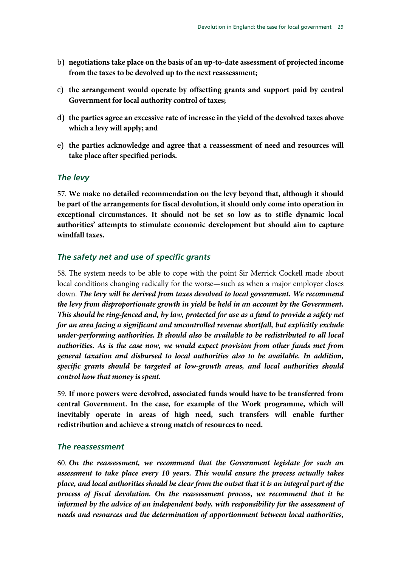- b) **negotiations take place on the basis of an up-to-date assessment of projected income from the taxes to be devolved up to the next reassessment;**
- c) **the arrangement would operate by offsetting grants and support paid by central Government for local authority control of taxes;**
- d) **the parties agree an excessive rate of increase in the yield of the devolved taxes above which a levy will apply; and**
- e) **the parties acknowledge and agree that a reassessment of need and resources will take place after specified periods.**

#### <span id="page-30-0"></span>*The levy*

57. **We make no detailed recommendation on the levy beyond that, although it should be part of the arrangements for fiscal devolution, it should only come into operation in exceptional circumstances. It should not be set so low as to stifle dynamic local authorities' attempts to stimulate economic development but should aim to capture windfall taxes.**

#### <span id="page-30-1"></span>*The safety net and use of specific grants*

58. The system needs to be able to cope with the point Sir Merrick Cockell made about local conditions changing radically for the worse—such as when a major employer closes down. *The levy will be derived from taxes devolved to local government. We recommend the levy from disproportionate growth in yield be held in an account by the Government. This should be ring-fenced and, by law, protected for use as a fund to provide a safety net for an area facing a significant and uncontrolled revenue shortfall, but explicitly exclude under-performing authorities. It should also be available to be redistributed to all local authorities. As is the case now, we would expect provision from other funds met from general taxation and disbursed to local authorities also to be available. In addition, specific grants should be targeted at low-growth areas, and local authorities should control how that money is spent.*

59. **If more powers were devolved, associated funds would have to be transferred from central Government. In the case, for example of the Work programme, which will inevitably operate in areas of high need, such transfers will enable further redistribution and achieve a strong match of resources to need.**

#### <span id="page-30-2"></span>*The reassessment*

60. *On the reassessment, we recommend that the Government legislate for such an assessment to take place every 10 years. This would ensure the process actually takes place, and local authorities should be clear from the outset that it is an integral part of the process of fiscal devolution. On the reassessment process, we recommend that it be informed by the advice of an independent body, with responsibility for the assessment of needs and resources and the determination of apportionment between local authorities,*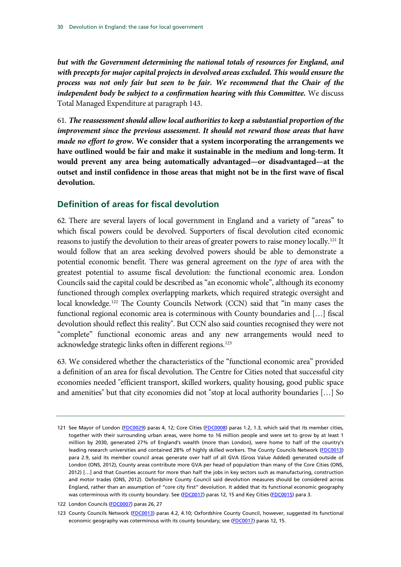*but with the Government determining the national totals of resources for England, and with precepts for major capital projects in devolved areas excluded. This would ensure the process was not only fair but seen to be fair. We recommend that the Chair of the independent body be subject to a confirmation hearing with this Committee.* We discuss Total Managed Expenditure at paragraph [143.](#page-62-1)

61. *The reassessment should allow local authorities to keep a substantial proportion of the improvement since the previous assessment. It should not reward those areas that have made no effort to grow.* **We consider that a system incorporating the arrangements we have outlined would be fair and make it sustainable in the medium and long-term. It would prevent any area being automatically advantaged—or disadvantaged—at the outset and instil confidence in those areas that might not be in the first wave of fiscal devolution.**

### <span id="page-31-0"></span>**Definition of areas for fiscal devolution**

62. There are several layers of local government in England and a variety of "areas" to which fiscal powers could be devolved. Supporters of fiscal devolution cited economic reasons to justify the devolution to their areas of greater powers to raise money locally.[121](#page-31-1) It would follow that an area seeking devolved powers should be able to demonstrate a potential economic benefit. There was general agreement on the *type* of area with the greatest potential to assume fiscal devolution: the functional economic area. London Councils said the capital could be described as "an economic whole", although its economy functioned through complex overlapping markets, which required strategic oversight and local knowledge.<sup>[122](#page-31-1)</sup> The County Councils Network (CCN) said that "in many cases the functional regional economic area is coterminous with County boundaries and […] fiscal devolution should reflect this reality". But CCN also said counties recognised they were not "complete" functional economic areas and any new arrangements would need to acknowledge strategic links often in different regions.<sup>[123](#page-31-1)</sup>

63. We considered whether the characteristics of the "functional economic area" provided a definition of an area for fiscal devolution. The Centre for Cities noted that successful city economies needed "efficient transport, skilled workers, quality housing, good public space and amenities" but that city economies did not "stop at local authority boundaries […] So

<span id="page-31-1"></span><sup>121</sup> See Mayor of London [\(FDC0029\)](http://data.parliament.uk/WrittenEvidence/CommitteeEvidence.svc/EvidenceDocument/Communities%20and%20Local%20Government/Fiscal%20devolution%20to%20cities%20and%20city%20regions/written/4949.html) paras 4, 12; Core Cities [\(FDC0008\)](http://data.parliament.uk/WrittenEvidence/CommitteeEvidence.svc/EvidenceDocument/Communities%20and%20Local%20Government/Fiscal%20devolution%20to%20cities%20and%20city%20regions/written/4894.html) paras 1.2, 1.3, which said that its member cities, together with their surrounding urban areas, were home to 16 million people and were set to grow by at least 1 million by 2030, generated 27% of England's wealth (more than London), were home to half of the country's leading research universities and contained 28% of highly skilled workers. The County Councils Network [\(FDC0013\)](http://data.parliament.uk/WrittenEvidence/CommitteeEvidence.svc/EvidenceDocument/Communities%20and%20Local%20Government/Fiscal%20devolution%20to%20cities%20and%20city%20regions/written/4912.html) para 2.9, said its member council areas generate over half of all GVA (Gross Value Added) generated outside of London (ONS, 2012), County areas contribute more GVA per head of population than many of the Core Cities (ONS, 2012) […] and that Counties account for more than half the jobs in key sectors such as manufacturing, construction and motor trades (ONS, 2012). Oxfordshire County Council said devolution measures should be considered across England, rather than an assumption of "core city first" devolution. It added that its functional economic geography was coterminous with its county boundary. See [\(FDC0017\)](http://data.parliament.uk/WrittenEvidence/CommitteeEvidence.svc/EvidenceDocument/Communities%20and%20Local%20Government/Fiscal%20devolution%20to%20cities%20and%20city%20regions/written/4926.html) paras 12, 15 and Key Cities [\(FDC0015\)](http://data.parliament.uk/WrittenEvidence/CommitteeEvidence.svc/EvidenceDocument/Communities%20and%20Local%20Government/Fiscal%20devolution%20to%20cities%20and%20city%20regions/written/4914.html) para 3.

<sup>122</sup> London Councils [\(FDC0007\)](http://data.parliament.uk/WrittenEvidence/CommitteeEvidence.svc/EvidenceDocument/Communities%20and%20Local%20Government/Fiscal%20devolution%20to%20cities%20and%20city%20regions/written/4878.html) paras 26, 27

<sup>123</sup> County Councils Network [\(FDC0013\)](http://data.parliament.uk/WrittenEvidence/CommitteeEvidence.svc/EvidenceDocument/Communities%20and%20Local%20Government/Fiscal%20devolution%20to%20cities%20and%20city%20regions/written/4912.html) paras 4.2, 4.10; Oxfordshire County Council, however, suggested its functional economic geography was coterminous with its county boundary; see [\(FDC0017\)](http://data.parliament.uk/WrittenEvidence/CommitteeEvidence.svc/EvidenceDocument/Communities%20and%20Local%20Government/Fiscal%20devolution%20to%20cities%20and%20city%20regions/written/4926.html) paras 12, 15.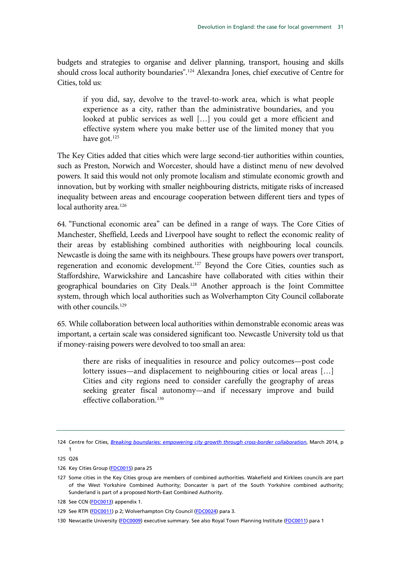budgets and strategies to organise and deliver planning, transport, housing and skills should cross local authority boundaries".<sup>[124](#page-32-0)</sup> Alexandra Jones, chief executive of Centre for Cities, told us:

if you did, say, devolve to the travel-to-work area, which is what people experience as a city, rather than the administrative boundaries, and you looked at public services as well […] you could get a more efficient and effective system where you make better use of the limited money that you have got.<sup>[125](#page-32-0)</sup>

The Key Cities added that cities which were large second-tier authorities within counties, such as Preston, Norwich and Worcester, should have a distinct menu of new devolved powers. It said this would not only promote localism and stimulate economic growth and innovation, but by working with smaller neighbouring districts, mitigate risks of increased inequality between areas and encourage cooperation between different tiers and types of local authority area.<sup>[126](#page-32-0)</sup>

64. "Functional economic area" can be defined in a range of ways. The Core Cities of Manchester, Sheffield, Leeds and Liverpool have sought to reflect the economic reality of their areas by establishing combined authorities with neighbouring local councils. Newcastle is doing the same with its neighbours. These groups have powers over transport, regeneration and economic development.<sup>[127](#page-32-0)</sup> Beyond the Core Cities, counties such as Staffordshire, Warwickshire and Lancashire have collaborated with cities within their geographical boundaries on City Deals[.128](#page-32-0) Another approach is the Joint Committee system, through which local authorities such as Wolverhampton City Council collaborate with other councils.<sup>[129](#page-32-0)</sup>

65. While collaboration between local authorities within demonstrable economic areas was important, a certain scale was considered significant too. Newcastle University told us that if money-raising powers were devolved to too small an area:

there are risks of inequalities in resource and policy outcomes—post code lottery issues—and displacement to neighbouring cities or local areas […] Cities and city regions need to consider carefully the geography of areas seeking greater fiscal autonomy—and if necessary improve and build effective collaboration.<sup>[130](#page-32-0)</sup>

<span id="page-32-0"></span><sup>124</sup> Centre for Cities, *[Breaking boundaries: empowering city growth through cross-border collaboration](http://www.centreforcities.org/assets/files/2014/14-03-27-City-Money-Breaking-Boundaries.pdf)*, March 2014, p

<sup>1</sup> 125 Q26

<sup>126</sup> Key Cities Group [\(FDC0015\)](http://data.parliament.uk/WrittenEvidence/CommitteeEvidence.svc/EvidenceDocument/Communities%20and%20Local%20Government/Fiscal%20devolution%20to%20cities%20and%20city%20regions/written/4914.html) para 25

<sup>127</sup> Some cities in the Key Cities group are members of combined authorities. Wakefield and Kirklees councils are part of the West Yorkshire Combined Authority; Doncaster is part of the South Yorkshire combined authority; Sunderland is part of a proposed North-East Combined Authority.

<sup>128</sup> See CCN [\(FDC0013\)](http://data.parliament.uk/WrittenEvidence/CommitteeEvidence.svc/EvidenceDocument/Communities%20and%20Local%20Government/Fiscal%20devolution%20to%20cities%20and%20city%20regions/written/4912.html) appendix 1.

<sup>129</sup> See RTPI [\(FDC0011\)](http://data.parliament.uk/WrittenEvidence/CommitteeEvidence.svc/EvidenceDocument/Communities%20and%20Local%20Government/Fiscal%20devolution%20to%20cities%20and%20city%20regions/written/4906.html) p 2; Wolverhampton City Council [\(FDC0024\)](http://data.parliament.uk/WrittenEvidence/CommitteeEvidence.svc/EvidenceDocument/Communities%20and%20Local%20Government/Fiscal%20devolution%20to%20cities%20and%20city%20regions/written/4936.html) para 3.

<sup>130</sup> Newcastle University [\(FDC0009\)](http://data.parliament.uk/WrittenEvidence/CommitteeEvidence.svc/EvidenceDocument/Communities%20and%20Local%20Government/Fiscal%20devolution%20to%20cities%20and%20city%20regions/written/4896.html) executive summary. See also Royal Town Planning Institute [\(FDC0011\)](http://data.parliament.uk/WrittenEvidence/CommitteeEvidence.svc/EvidenceDocument/Communities%20and%20Local%20Government/Fiscal%20devolution%20to%20cities%20and%20city%20regions/written/4906.html) para 1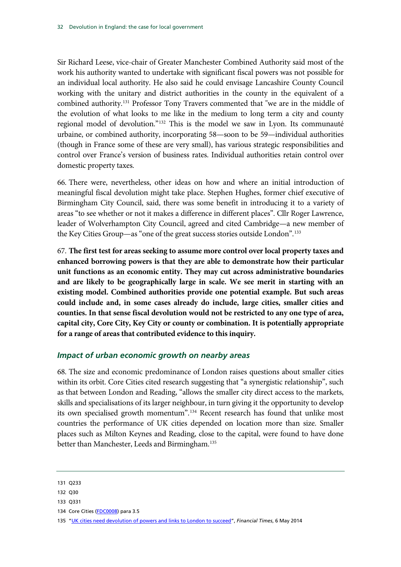Sir Richard Leese, vice-chair of Greater Manchester Combined Authority said most of the work his authority wanted to undertake with significant fiscal powers was not possible for an individual local authority. He also said he could envisage Lancashire County Council working with the unitary and district authorities in the county in the equivalent of a combined authority.[131](#page-33-1) Professor Tony Travers commented that "we are in the middle of the evolution of what looks to me like in the medium to long term a city and county regional model of devolution."[132](#page-33-1) This is the model we saw in Lyon. Its communauté urbaine, or combined authority, incorporating 58—soon to be 59—individual authorities (though in France some of these are very small), has various strategic responsibilities and control over France's version of business rates. Individual authorities retain control over domestic property taxes.

66. There were, nevertheless, other ideas on how and where an initial introduction of meaningful fiscal devolution might take place. Stephen Hughes, former chief executive of Birmingham City Council, said, there was some benefit in introducing it to a variety of areas "to see whether or not it makes a difference in different places". Cllr Roger Lawrence, leader of Wolverhampton City Council, agreed and cited Cambridge—a new member of the Key Cities Group—as "one of the great success stories outside London".<sup>[133](#page-33-1)</sup>

67. **The first test for areas seeking to assume more control over local property taxes and enhanced borrowing powers is that they are able to demonstrate how their particular unit functions as an economic entity. They may cut across administrative boundaries and are likely to be geographically large in scale. We see merit in starting with an existing model. Combined authorities provide one potential example. But such areas could include and, in some cases already do include, large cities, smaller cities and counties. In that sense fiscal devolution would not be restricted to any one type of area, capital city, Core City, Key City or county or combination. It is potentially appropriate for a range of areas that contributed evidence to this inquiry.**

#### <span id="page-33-0"></span>*Impact of urban economic growth on nearby areas*

68. The size and economic predominance of London raises questions about smaller cities within its orbit. Core Cities cited research suggesting that "a synergistic relationship", such as that between London and Reading, "allows the smaller city direct access to the markets, skills and specialisations of its larger neighbour, in turn giving it the opportunity to develop its own specialised growth momentum".[134](#page-33-1) Recent research has found that unlike most countries the performance of UK cities depended on location more than size. Smaller places such as Milton Keynes and Reading, close to the capital, were found to have done better than Manchester, Leeds and Birmingham.<sup>[135](#page-33-1)</sup>

<span id="page-33-1"></span><sup>131</sup> Q233

<sup>132</sup> Q30

<sup>133</sup> Q331

<sup>134</sup> Core Cities [\(FDC0008\)](http://data.parliament.uk/WrittenEvidence/CommitteeEvidence.svc/EvidenceDocument/Communities%20and%20Local%20Government/Fiscal%20devolution%20to%20cities%20and%20city%20regions/written/4894.html) para 3.5

<sup>135</sup> ["UK cities need devolution of powers and links to London to succeed"](http://www.ft.com/cms/s/0/35c7a600-d51f-11e3-9187-00144feabdc0.html#axzz32WvkTKuf), *Financial Times*, 6 May 2014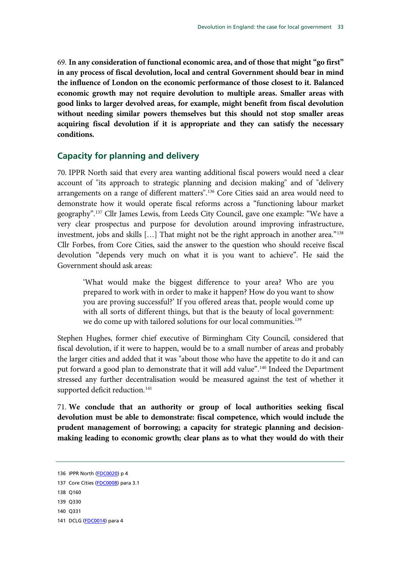69. **In any consideration of functional economic area, and of those that might "go first" in any process of fiscal devolution, local and central Government should bear in mind the influence of London on the economic performance of those closest to it. Balanced economic growth may not require devolution to multiple areas. Smaller areas with good links to larger devolved areas, for example, might benefit from fiscal devolution without needing similar powers themselves but this should not stop smaller areas acquiring fiscal devolution if it is appropriate and they can satisfy the necessary conditions.**

#### <span id="page-34-0"></span>**Capacity for planning and delivery**

70. IPPR North said that every area wanting additional fiscal powers would need a clear account of "its approach to strategic planning and decision making" and of "delivery arrangements on a range of different matters".[136](#page-34-1) Core Cities said an area would need to demonstrate how it would operate fiscal reforms across a "functioning labour market geography".[137](#page-34-1) Cllr James Lewis, from Leeds City Council, gave one example: "We have a very clear prospectus and purpose for devolution around improving infrastructure, investment, jobs and skills [...] That might not be the right approach in another area."<sup>[138](#page-34-1)</sup> Cllr Forbes, from Core Cities, said the answer to the question who should receive fiscal devolution "depends very much on what it is you want to achieve". He said the Government should ask areas:

'What would make the biggest difference to your area? Who are you prepared to work with in order to make it happen? How do you want to show you are proving successful?' If you offered areas that, people would come up with all sorts of different things, but that is the beauty of local government: we do come up with tailored solutions for our local communities.<sup>[139](#page-34-1)</sup>

Stephen Hughes, former chief executive of Birmingham City Council, considered that fiscal devolution, if it were to happen, would be to a small number of areas and probably the larger cities and added that it was "about those who have the appetite to do it and can put forward a good plan to demonstrate that it will add value".[140](#page-34-1) Indeed the Department stressed any further decentralisation would be measured against the test of whether it supported deficit reduction.<sup>[141](#page-34-1)</sup>

71. **We conclude that an authority or group of local authorities seeking fiscal devolution must be able to demonstrate: fiscal competence, which would include the prudent management of borrowing; a capacity for strategic planning and decisionmaking leading to economic growth; clear plans as to what they would do with their** 

<span id="page-34-1"></span><sup>136</sup> IPPR North [\(FDC0020\)](http://data.parliament.uk/WrittenEvidence/CommitteeEvidence.svc/EvidenceDocument/Communities%20and%20Local%20Government/Fiscal%20devolution%20to%20cities%20and%20city%20regions/written/4929.html) p 4

<sup>137</sup> Core Cities [\(FDC0008\)](http://data.parliament.uk/WrittenEvidence/CommitteeEvidence.svc/EvidenceDocument/Communities%20and%20Local%20Government/Fiscal%20devolution%20to%20cities%20and%20city%20regions/written/4894.html) para 3.1

<sup>138</sup> Q160

<sup>139</sup> Q330

<sup>140</sup> Q331

<sup>141</sup> DCLG [\(FDC0014\)](http://data.parliament.uk/WrittenEvidence/CommitteeEvidence.svc/EvidenceDocument/Communities%20and%20Local%20Government/Fiscal%20devolution%20to%20cities%20and%20city%20regions/written/4913.html) para 4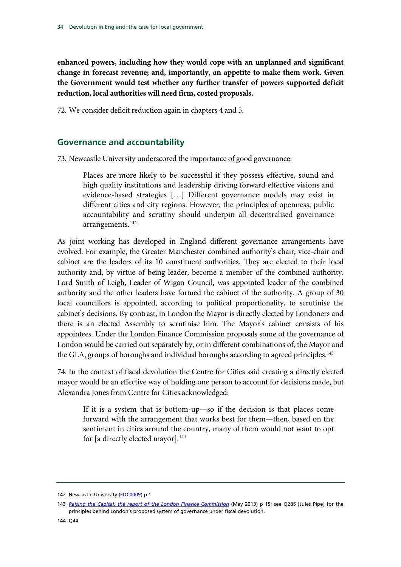**enhanced powers, including how they would cope with an unplanned and significant change in forecast revenue; and, importantly, an appetite to make them work. Given the Government would test whether any further transfer of powers supported deficit reduction, local authorities will need firm, costed proposals.**

72. We consider deficit reduction again in chapters 4 and 5.

### <span id="page-35-0"></span>**Governance and accountability**

73. Newcastle University underscored the importance of good governance:

Places are more likely to be successful if they possess effective, sound and high quality institutions and leadership driving forward effective visions and evidence-based strategies […] Different governance models may exist in different cities and city regions. However, the principles of openness, public accountability and scrutiny should underpin all decentralised governance arrangements.<sup>[142](#page-35-1)</sup>

As joint working has developed in England different governance arrangements have evolved. For example, the Greater Manchester combined authority's chair, vice-chair and cabinet are the leaders of its 10 constituent authorities. They are elected to their local authority and, by virtue of being leader, become a member of the combined authority. Lord Smith of Leigh, Leader of Wigan Council, was appointed leader of the combined authority and the other leaders have formed the cabinet of the authority. A group of 30 local councillors is appointed, according to political proportionality, to scrutinise the cabinet's decisions. By contrast, in London the Mayor is directly elected by Londoners and there is an elected Assembly to scrutinise him. The Mayor's cabinet consists of his appointees. Under the London Finance Commission proposals some of the governance of London would be carried out separately by, or in different combinations of, the Mayor and the GLA, groups of boroughs and individual boroughs according to agreed principles.<sup>143</sup>

74. In the context of fiscal devolution the Centre for Cities said creating a directly elected mayor would be an effective way of holding one person to account for decisions made, but Alexandra Jones from Centre for Cities acknowledged:

If it is a system that is bottom-up—so if the decision is that places come forward with the arrangement that works best for them—then, based on the sentiment in cities around the country, many of them would not want to opt for [a directly elected mayor].<sup>[144](#page-35-1)</sup>

<span id="page-35-1"></span><sup>142</sup> Newcastle University [\(FDC0009\)](http://data.parliament.uk/WrittenEvidence/CommitteeEvidence.svc/EvidenceDocument/Communities%20and%20Local%20Government/Fiscal%20devolution%20to%20cities%20and%20city%20regions/written/4896.html) p 1

<sup>143</sup> *[Raising the Capital: the report of the London Finance Commission](http://www.london.gov.uk/sites/default/files/Raising%20the%20capital.pdf)* (May 2013) p 15; see Q285 [Jules Pipe] for the principles behind London's proposed system of governance under fiscal devolution.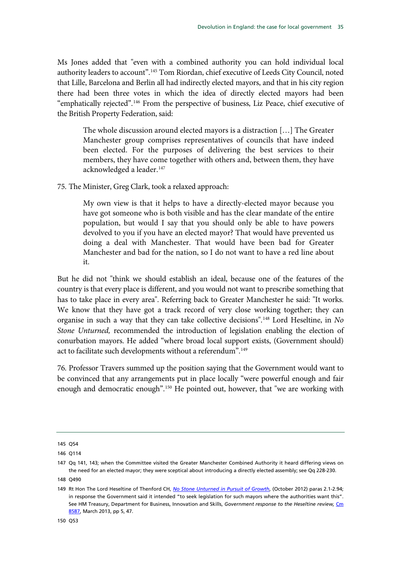Ms Jones added that "even with a combined authority you can hold individual local authority leaders to account".<sup>145</sup> Tom Riordan, chief executive of Leeds City Council, noted that Lille, Barcelona and Berlin all had indirectly elected mayors, and that in his city region there had been three votes in which the idea of directly elected mayors had been "emphatically rejected".[146](#page-36-0) From the perspective of business, Liz Peace, chief executive of the British Property Federation, said:

The whole discussion around elected mayors is a distraction […] The Greater Manchester group comprises representatives of councils that have indeed been elected. For the purposes of delivering the best services to their members, they have come together with others and, between them, they have acknowledged a leader.<sup>[147](#page-36-0)</sup>

75. The Minister, Greg Clark, took a relaxed approach:

My own view is that it helps to have a directly-elected mayor because you have got someone who is both visible and has the clear mandate of the entire population, but would I say that you should only be able to have powers devolved to you if you have an elected mayor? That would have prevented us doing a deal with Manchester. That would have been bad for Greater Manchester and bad for the nation, so I do not want to have a red line about it.

But he did not "think we should establish an ideal, because one of the features of the country is that every place is different, and you would not want to prescribe something that has to take place in every area". Referring back to Greater Manchester he said: "It works. We know that they have got a track record of very close working together; they can organise in such a way that they can take collective decisions".[148](#page-36-0) Lord Heseltine, in *No Stone Unturned,* recommended the introduction of legislation enabling the election of conurbation mayors. He added "where broad local support exists, (Government should) act to facilitate such developments without a referendum".<sup>149</sup>

76. Professor Travers summed up the position saying that the Government would want to be convinced that any arrangements put in place locally "were powerful enough and fair enough and democratic enough".[150](#page-36-0) He pointed out, however, that "we are working with

<span id="page-36-0"></span><sup>145</sup> Q54

<sup>146</sup> Q114

<sup>147</sup> Qq 141, 143; when the Committee visited the Greater Manchester Combined Authority it heard differing views on the need for an elected mayor; they were sceptical about introducing a directly elected assembly; see Qq 228-230.

<sup>148</sup> Q490

<sup>149</sup> Rt Hon The Lord Heseltine of Thenford CH, *[No Stone Unturned in Pursuit of Growth](http://www.bis.gov.uk/assets/biscore/corporate/docs/n/12-1213-no-stone-unturned-in-pursuit-of-growth)*, (October 2012) paras 2.1-2.94; in response the Government said it intended "to seek legislation for such mayors where the authorities want this". See HM Treasury, Department for Business, Innovation and Skills, *Government response to the Heseltine review,* [Cm](https://www.gov.uk/government/uploads/system/uploads/attachment_data/file/221902/PU1465_Govt_response_to_Heseltine_review.pdf)  [8587,](https://www.gov.uk/government/uploads/system/uploads/attachment_data/file/221902/PU1465_Govt_response_to_Heseltine_review.pdf) March 2013, pp 5, 47.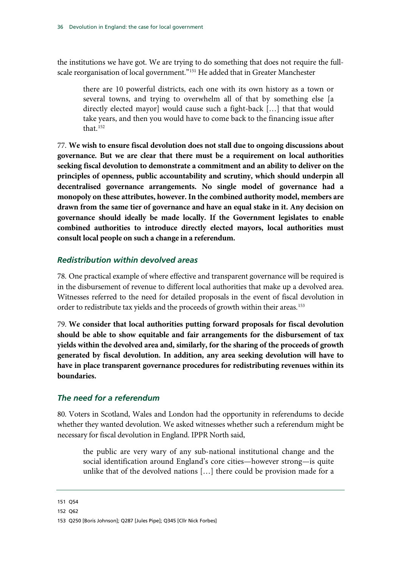the institutions we have got. We are trying to do something that does not require the full-scale reorganisation of local government."<sup>[151](#page-37-0)</sup> He added that in Greater Manchester

there are 10 powerful districts, each one with its own history as a town or several towns, and trying to overwhelm all of that by something else [a directly elected mayor] would cause such a fight-back […] that that would take years, and then you would have to come back to the financing issue after that. [152](#page-37-0)

77. **We wish to ensure fiscal devolution does not stall due to ongoing discussions about governance. But we are clear that there must be a requirement on local authorities seeking fiscal devolution to demonstrate a commitment and an ability to deliver on the principles of openness, public accountability and scrutiny, which should underpin all decentralised governance arrangements. No single model of governance had a monopoly on these attributes, however. In the combined authority model, members are drawn from the same tier of governance and have an equal stake in it. Any decision on governance should ideally be made locally. If the Government legislates to enable combined authorities to introduce directly elected mayors, local authorities must consult local people on such a change in a referendum.**

#### *Redistribution within devolved areas*

78. One practical example of where effective and transparent governance will be required is in the disbursement of revenue to different local authorities that make up a devolved area. Witnesses referred to the need for detailed proposals in the event of fiscal devolution in order to redistribute tax yields and the proceeds of growth within their areas.<sup>[153](#page-37-0)</sup>

79. **We consider that local authorities putting forward proposals for fiscal devolution should be able to show equitable and fair arrangements for the disbursement of tax yields within the devolved area and, similarly, for the sharing of the proceeds of growth generated by fiscal devolution. In addition, any area seeking devolution will have to have in place transparent governance procedures for redistributing revenues within its boundaries.**

#### *The need for a referendum*

80. Voters in Scotland, Wales and London had the opportunity in referendums to decide whether they wanted devolution. We asked witnesses whether such a referendum might be necessary for fiscal devolution in England. IPPR North said,

the public are very wary of any sub-national institutional change and the social identification around England's core cities—however strong—is quite unlike that of the devolved nations […] there could be provision made for a

<span id="page-37-0"></span>151 Q54

<sup>152</sup> Q62

<sup>153</sup> Q250 [Boris Johnson]; Q287 [Jules Pipe]; Q345 [Cllr Nick Forbes]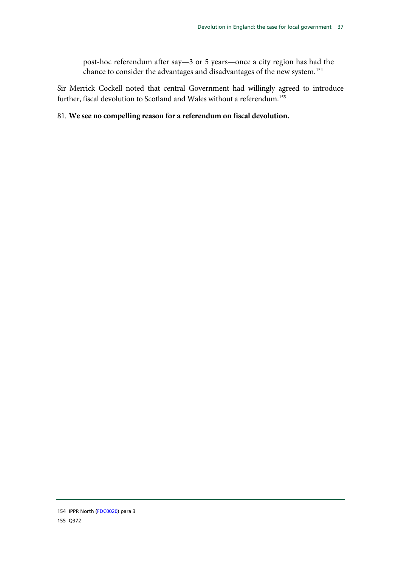post-hoc referendum after say—3 or 5 years—once a city region has had the chance to consider the advantages and disadvantages of the new system.[154](#page-38-0)

Sir Merrick Cockell noted that central Government had willingly agreed to introduce further, fiscal devolution to Scotland and Wales without a referendum.[155](#page-38-0)

#### 81. **We see no compelling reason for a referendum on fiscal devolution.**

<span id="page-38-0"></span><sup>154</sup> IPPR North [\(FDC0020\)](http://data.parliament.uk/WrittenEvidence/CommitteeEvidence.svc/EvidenceDocument/Communities%20and%20Local%20Government/Fiscal%20devolution%20to%20cities%20and%20city%20regions/written/4929.html) para 3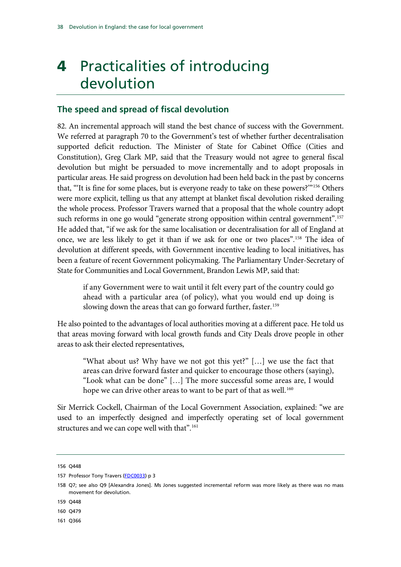# 4 Practicalities of introducing devolution

## **The speed and spread of fiscal devolution**

82. An incremental approach will stand the best chance of success with the Government. We referred at paragraph [70](#page-34-0) to the Government's test of whether further decentralisation supported deficit reduction. The Minister of State for Cabinet Office (Cities and Constitution), Greg Clark MP, said that the Treasury would not agree to general fiscal devolution but might be persuaded to move incrementally and to adopt proposals in particular areas. He said progress on devolution had been held back in the past by concerns that, "'It is fine for some places, but is everyone ready to take on these powers?'"[156](#page-39-0) Others were more explicit, telling us that any attempt at blanket fiscal devolution risked derailing the whole process. Professor Travers warned that a proposal that the whole country adopt such reforms in one go would "generate strong opposition within central government".<sup>[157](#page-39-0)</sup> He added that, "if we ask for the same localisation or decentralisation for all of England at once, we are less likely to get it than if we ask for one or two places".[158](#page-39-0) The idea of devolution at different speeds, with Government incentive leading to local initiatives, has been a feature of recent Government policymaking. The Parliamentary Under-Secretary of State for Communities and Local Government, Brandon Lewis MP, said that:

if any Government were to wait until it felt every part of the country could go ahead with a particular area (of policy), what you would end up doing is slowing down the areas that can go forward further, faster.<sup>[159](#page-39-0)</sup>

He also pointed to the advantages of local authorities moving at a different pace. He told us that areas moving forward with local growth funds and City Deals drove people in other areas to ask their elected representatives,

"What about us? Why have we not got this yet?" […] we use the fact that areas can drive forward faster and quicker to encourage those others (saying), "Look what can be done" […] The more successful some areas are, I would hope we can drive other areas to want to be part of that as well.<sup>[160](#page-39-0)</sup>

Sir Merrick Cockell, Chairman of the Local Government Association, explained: "we are used to an imperfectly designed and imperfectly operating set of local government structures and we can cope well with that".<sup>[161](#page-39-0)</sup>

<span id="page-39-0"></span><sup>156</sup> Q448

<sup>157</sup> Professor Tony Travers [\(FDC0033\)](http://data.parliament.uk/WrittenEvidence/CommitteeEvidence.svc/EvidenceDocument/Communities%20and%20Local%20Government/Fiscal%20devolution%20to%20cities%20and%20city%20regions/written/5003.html) p 3

<sup>158</sup> Q7; see also Q9 [Alexandra Jones]. Ms Jones suggested incremental reform was more likely as there was no mass movement for devolution.

<sup>159</sup> Q448

<sup>160</sup> Q479

<sup>161</sup> Q366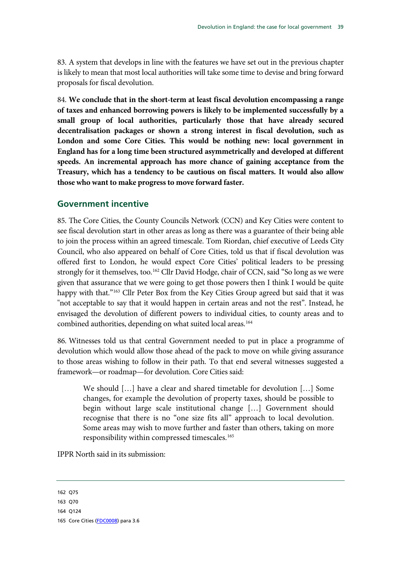83. A system that develops in line with the features we have set out in the previous chapter is likely to mean that most local authorities will take some time to devise and bring forward proposals for fiscal devolution.

84. **We conclude that in the short-term at least fiscal devolution encompassing a range of taxes and enhanced borrowing powers is likely to be implemented successfully by a small group of local authorities, particularly those that have already secured decentralisation packages or shown a strong interest in fiscal devolution, such as London and some Core Cities. This would be nothing new: local government in England has for a long time been structured asymmetrically and developed at different speeds. An incremental approach has more chance of gaining acceptance from the Treasury, which has a tendency to be cautious on fiscal matters. It would also allow those who want to make progress to move forward faster.**

## **Government incentive**

85. The Core Cities, the County Councils Network (CCN) and Key Cities were content to see fiscal devolution start in other areas as long as there was a guarantee of their being able to join the process within an agreed timescale. Tom Riordan, chief executive of Leeds City Council, who also appeared on behalf of Core Cities, told us that if fiscal devolution was offered first to London, he would expect Core Cities' political leaders to be pressing strongly for it themselves, too.<sup>[162](#page-40-0)</sup> Cllr David Hodge, chair of CCN, said "So long as we were given that assurance that we were going to get those powers then I think I would be quite happy with that."<sup>[163](#page-40-0)</sup> Cllr Peter Box from the Key Cities Group agreed but said that it was "not acceptable to say that it would happen in certain areas and not the rest". Instead, he envisaged the devolution of different powers to individual cities, to county areas and to combined authorities, depending on what suited local areas.<sup>[164](#page-40-0)</sup>

86. Witnesses told us that central Government needed to put in place a programme of devolution which would allow those ahead of the pack to move on while giving assurance to those areas wishing to follow in their path. To that end several witnesses suggested a framework—or roadmap—for devolution. Core Cities said:

We should […] have a clear and shared timetable for devolution […] Some changes, for example the devolution of property taxes, should be possible to begin without large scale institutional change […] Government should recognise that there is no "one size fits all" approach to local devolution. Some areas may wish to move further and faster than others, taking on more responsibility within compressed timescales. [165](#page-40-0)

IPPR North said in its submission:

164 Q124

<span id="page-40-0"></span><sup>162</sup> Q75

<sup>163</sup> Q70

<sup>165</sup> Core Cities [\(FDC0008\)](http://data.parliament.uk/WrittenEvidence/CommitteeEvidence.svc/EvidenceDocument/Communities%20and%20Local%20Government/Fiscal%20devolution%20to%20cities%20and%20city%20regions/written/4894.html) para 3.6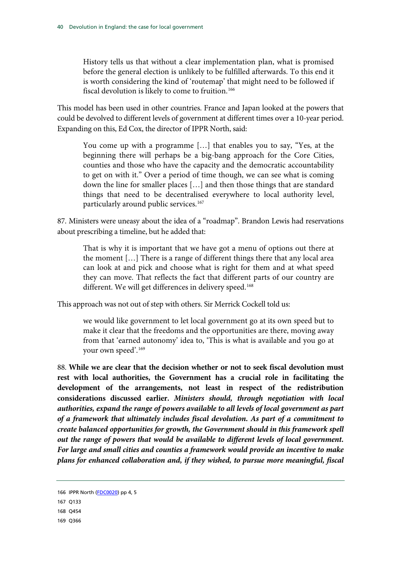History tells us that without a clear implementation plan, what is promised before the general election is unlikely to be fulfilled afterwards. To this end it is worth considering the kind of 'routemap' that might need to be followed if fiscal devolution is likely to come to fruition. [166](#page-41-0)

This model has been used in other countries. France and Japan looked at the powers that could be devolved to different levels of government at different times over a 10-year period. Expanding on this, Ed Cox, the director of IPPR North, said:

You come up with a programme […] that enables you to say, "Yes, at the beginning there will perhaps be a big-bang approach for the Core Cities, counties and those who have the capacity and the democratic accountability to get on with it." Over a period of time though, we can see what is coming down the line for smaller places […] and then those things that are standard things that need to be decentralised everywhere to local authority level, particularly around public services. [167](#page-41-0)

87. Ministers were uneasy about the idea of a "roadmap". Brandon Lewis had reservations about prescribing a timeline, but he added that:

That is why it is important that we have got a menu of options out there at the moment […] There is a range of different things there that any local area can look at and pick and choose what is right for them and at what speed they can move. That reflects the fact that different parts of our country are different. We will get differences in delivery speed.<sup>[168](#page-41-0)</sup>

This approach was not out of step with others. Sir Merrick Cockell told us:

we would like government to let local government go at its own speed but to make it clear that the freedoms and the opportunities are there, moving away from that 'earned autonomy' idea to, 'This is what is available and you go at your own speed'.[169](#page-41-0)

88. **While we are clear that the decision whether or not to seek fiscal devolution must rest with local authorities, the Government has a crucial role in facilitating the development of the arrangements, not least in respect of the redistribution considerations discussed earlier.** *Ministers should, through negotiation with local authorities, expand the range of powers available to all levels of local government as part of a framework that ultimately includes fiscal devolution. As part of a commitment to create balanced opportunities for growth, the Government should in this framework spell out the range of powers that would be available to different levels of local government. For large and small cities and counties a framework would provide an incentive to make plans for enhanced collaboration and, if they wished, to pursue more meaningful, fiscal* 

<span id="page-41-0"></span><sup>166</sup> IPPR North [\(FDC0020\)](http://data.parliament.uk/WrittenEvidence/CommitteeEvidence.svc/EvidenceDocument/Communities%20and%20Local%20Government/Fiscal%20devolution%20to%20cities%20and%20city%20regions/written/4929.html) pp 4, 5

<sup>167</sup> Q133

<sup>168</sup> Q454

<sup>169</sup> Q366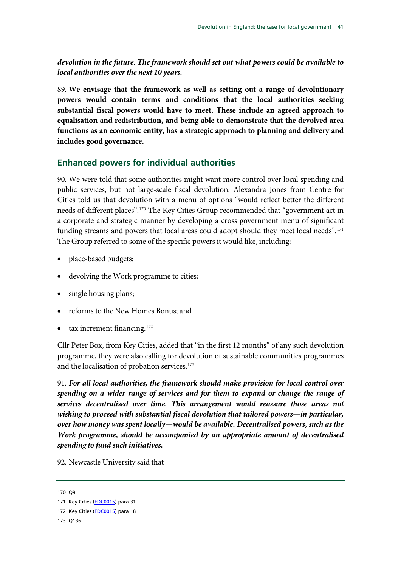*devolution in the future. The framework should set out what powers could be available to local authorities over the next 10 years.*

89. **We envisage that the framework as well as setting out a range of devolutionary powers would contain terms and conditions that the local authorities seeking substantial fiscal powers would have to meet. These include an agreed approach to equalisation and redistribution, and being able to demonstrate that the devolved area functions as an economic entity, has a strategic approach to planning and delivery and includes good governance.**

## **Enhanced powers for individual authorities**

<span id="page-42-1"></span>90. We were told that some authorities might want more control over local spending and public services, but not large-scale fiscal devolution. Alexandra Jones from Centre for Cities told us that devolution with a menu of options "would reflect better the different needs of different places".[170](#page-42-0) The Key Cities Group recommended that "government act in a corporate and strategic manner by developing a cross government menu of significant funding streams and powers that local areas could adopt should they meet local needs".<sup>[171](#page-42-0)</sup> The Group referred to some of the specific powers it would like, including:

- place-based budgets;
- devolving the Work programme to cities;
- single housing plans;
- reforms to the New Homes Bonus; and
- tax increment financing. $172$

Cllr Peter Box, from Key Cities, added that "in the first 12 months" of any such devolution programme, they were also calling for devolution of sustainable communities programmes and the localisation of probation services.<sup>[173](#page-42-0)</sup>

91. *For all local authorities, the framework should make provision for local control over spending on a wider range of services and for them to expand or change the range of services decentralised over time. This arrangement would reassure those areas not wishing to proceed with substantial fiscal devolution that tailored powers—in particular, over how money was spent locally—would be available. Decentralised powers, such as the Work programme, should be accompanied by an appropriate amount of decentralised spending to fund such initiatives.*

92. Newcastle University said that

<span id="page-42-0"></span><sup>170</sup> Q9

<sup>171</sup> Key Cities [\(FDC0015\)](http://data.parliament.uk/WrittenEvidence/CommitteeEvidence.svc/EvidenceDocument/Communities%20and%20Local%20Government/Fiscal%20devolution%20to%20cities%20and%20city%20regions/written/4914.html) para 31

<sup>172</sup> Key Cities [\(FDC0015\)](http://data.parliament.uk/WrittenEvidence/CommitteeEvidence.svc/EvidenceDocument/Communities%20and%20Local%20Government/Fiscal%20devolution%20to%20cities%20and%20city%20regions/written/4914.html) para 18

<sup>173</sup> Q136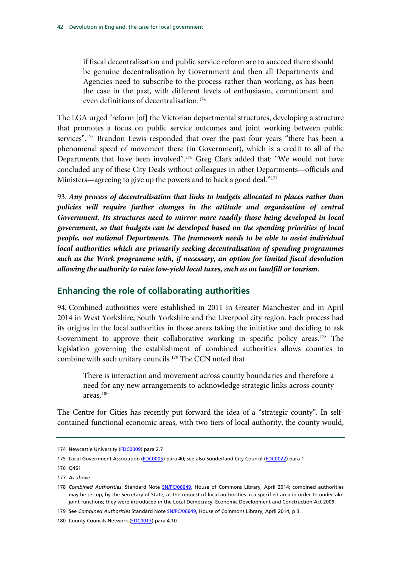if fiscal decentralisation and public service reform are to succeed there should be genuine decentralisation by Government and then all Departments and Agencies need to subscribe to the process rather than working, as has been the case in the past, with different levels of enthusiasm, commitment and even definitions of decentralisation.[174](#page-43-0)

The LGA urged "reform [of] the Victorian departmental structures, developing a structure that promotes a focus on public service outcomes and joint working between public services".<sup>[175](#page-43-0)</sup> Brandon Lewis responded that over the past four years "there has been a phenomenal speed of movement there (in Government), which is a credit to all of the Departments that have been involved".[176](#page-43-0) Greg Clark added that: "We would not have concluded any of these City Deals without colleagues in other Departments—officials and Ministers—agreeing to give up the powers and to back a good deal."<sup>[177](#page-43-0)</sup>

93. *Any process of decentralisation that links to budgets allocated to places rather than policies will require further changes in the attitude and organisation of central Government. Its structures need to mirror more readily those being developed in local government, so that budgets can be developed based on the spending priorities of local people, not national Departments. The framework needs to be able to assist individual local authorities which are primarily seeking decentralisation of spending programmes such as the Work programme with, if necessary, an option for limited fiscal devolution allowing the authority to raise low-yield local taxes, such as on landfill or tourism.*

## **Enhancing the role of collaborating authorities**

94. Combined authorities were established in 2011 in Greater Manchester and in April 2014 in West Yorkshire, South Yorkshire and the Liverpool city region. Each process had its origins in the local authorities in those areas taking the initiative and deciding to ask Government to approve their collaborative working in specific policy areas.<sup>[178](#page-43-0)</sup> The legislation governing the establishment of combined authorities allows counties to combine with such unitary councils.[179](#page-43-0) The CCN noted that

There is interaction and movement across county boundaries and therefore a need for any new arrangements to acknowledge strategic links across county areas.[180](#page-43-0)

The Centre for Cities has recently put forward the idea of a "strategic county". In selfcontained functional economic areas, with two tiers of local authority, the county would,

<span id="page-43-0"></span><sup>174</sup> Newcastle University [\(FDC0009\)](http://data.parliament.uk/WrittenEvidence/CommitteeEvidence.svc/EvidenceDocument/Communities%20and%20Local%20Government/Fiscal%20devolution%20to%20cities%20and%20city%20regions/written/4896.html) para 2.7

<sup>175</sup> Local Government Association [\(FDC0005\)](http://data.parliament.uk/WrittenEvidence/CommitteeEvidence.svc/EvidenceDocument/Communities%20and%20Local%20Government/Fiscal%20devolution%20to%20cities%20and%20city%20regions/written/4852.html) para 40; see also Sunderland City Council [\(FDC0022\)](http://data.parliament.uk/WrittenEvidence/CommitteeEvidence.svc/EvidenceDocument/Communities%20and%20Local%20Government/Fiscal%20devolution%20to%20cities%20and%20city%20regions/written/4933.html) para 1.

<sup>176</sup> Q461

<sup>177</sup> *As above*

<sup>178</sup> *Combined Authorities*, Standard Note [SN/PC/06649, House of Commons Library, April 2014;](http://www.parliament.uk/briefing-papers/SN06649/combined-authorities) combined authorities may be set up, by the Secretary of State, at the request of local authorities in a specified area in order to undertake joint functions; they were introduced in the Local Democracy, Economic Development and Construction Act 2009.

<sup>179</sup> See *Combined Authorities* Standard Not[e SN/PC/06649,](http://www.parliament.uk/briefing-papers/SN06649/combined-authorities) House of Commons Library, April 2014, p 3.

<sup>180</sup> County Councils Network [\(FDC0013\)](http://data.parliament.uk/WrittenEvidence/CommitteeEvidence.svc/EvidenceDocument/Communities%20and%20Local%20Government/Fiscal%20devolution%20to%20cities%20and%20city%20regions/written/4912.html) para 4.10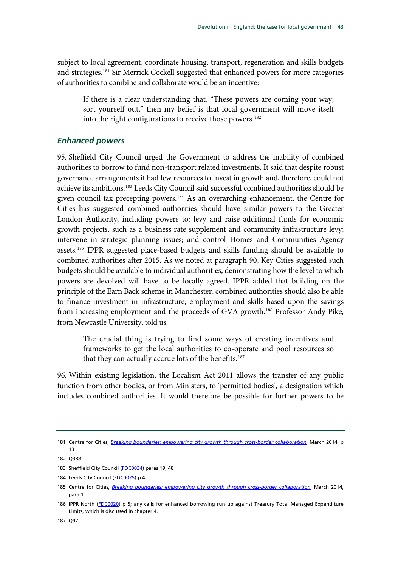subject to local agreement, coordinate housing, transport, regeneration and skills budgets and strategies.<sup>[181](#page-44-0)</sup> Sir Merrick Cockell suggested that enhanced powers for more categories of authorities to combine and collaborate would be an incentive:

If there is a clear understanding that, "These powers are coming your way; sort yourself out," then my belief is that local government will move itself into the right configurations to receive those powers.<sup>[182](#page-44-0)</sup>

## *Enhanced powers*

95. Sheffield City Council urged the Government to address the inability of combined authorities to borrow to fund non-transport related investments. It said that despite robust governance arrangements it had few resources to invest in growth and, therefore, could not achieve its ambitions.[183](#page-44-0) Leeds City Council said successful combined authorities should be given council tax precepting powers.[184](#page-44-0) As an overarching enhancement, the Centre for Cities has suggested combined authorities should have similar powers to the Greater London Authority, including powers to: levy and raise additional funds for economic growth projects, such as a business rate supplement and community infrastructure levy; intervene in strategic planning issues; and control Homes and Communities Agency assets.<sup>[185](#page-44-0)</sup> IPPR suggested place-based budgets and skills funding should be available to combined authorities after 2015. As we noted at paragraph [90,](#page-42-1) Key Cities suggested such budgets should be available to individual authorities, demonstrating how the level to which powers are devolved will have to be locally agreed. IPPR added that building on the principle of the Earn Back scheme in Manchester, combined authorities should also be able to finance investment in infrastructure, employment and skills based upon the savings from increasing employment and the proceeds of GVA growth.<sup>186</sup> Professor Andy Pike, from Newcastle University, told us:

The crucial thing is trying to find some ways of creating incentives and frameworks to get the local authorities to co-operate and pool resources so that they can actually accrue lots of the benefits.<sup>[187](#page-44-0)</sup>

96. Within existing legislation, the Localism Act 2011 allows the transfer of any public function from other bodies, or from Ministers, to 'permitted bodies', a designation which includes combined authorities. It would therefore be possible for further powers to be

<span id="page-44-0"></span><sup>181</sup> Centre for Cities, *[Breaking boundaries: empowering city growth through cross-border collaboration](http://www.centreforcities.org/assets/files/2014/14-03-27-City-Money-Breaking-Boundaries.pdf)*, March 2014, p 13

<sup>182</sup> Q388

<sup>183</sup> Sheffield City Council [\(FDC0034\)](http://data.parliament.uk/WrittenEvidence/CommitteeEvidence.svc/EvidenceDocument/Communities%20and%20Local%20Government/Fiscal%20devolution%20to%20cities%20and%20city%20regions/written/5091.html) paras 19, 48

<sup>184</sup> Leeds City Council [\(FDC0025\)](http://data.parliament.uk/writtenevidence/committeeevidence.svc/evidencedocument/communities-and-local-government-committee/fiscal-devolution-to-cities-and-city-regions/written/4937.html) p 4

<sup>185</sup> Centre for Cities, *[Breaking boundaries: empowering city growth through cross-border collaboration](http://www.centreforcities.org/assets/files/2014/14-03-27-City-Money-Breaking-Boundaries.pdf)*, March 2014, para 1

<sup>186</sup> IPPR North [\(FDC0020\)](http://data.parliament.uk/WrittenEvidence/CommitteeEvidence.svc/EvidenceDocument/Communities%20and%20Local%20Government/Fiscal%20devolution%20to%20cities%20and%20city%20regions/written/4929.html) p 5; any calls for enhanced borrowing run up against Treasury Total Managed Expenditure Limits, which is discussed in chapter 4.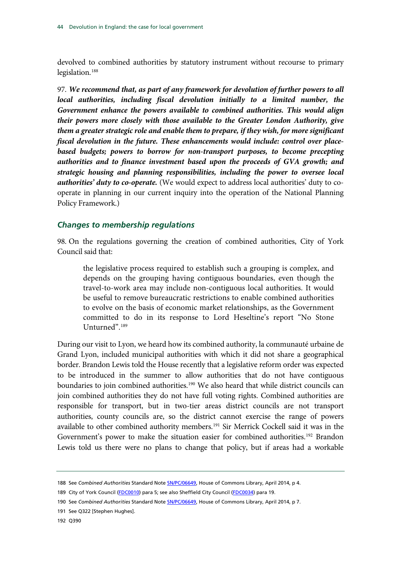devolved to combined authorities by statutory instrument without recourse to primary legislation.<sup>[188](#page-45-0)</sup>

97. *We recommend that, as part of any framework for devolution of further powers to all local authorities, including fiscal devolution initially to a limited number, the Government enhance the powers available to combined authorities. This would align their powers more closely with those available to the Greater London Authority, give them a greater strategic role and enable them to prepare, if they wish, for more significant fiscal devolution in the future. These enhancements would include: control over placebased budgets; powers to borrow for non-transport purposes, to become precepting authorities and to finance investment based upon the proceeds of GVA growth; and strategic housing and planning responsibilities, including the power to oversee local authorities' duty to co-operate.* (We would expect to address local authorities' duty to cooperate in planning in our current inquiry into the operation of the National Planning Policy Framework.)

#### *Changes to membership regulations*

98. On the regulations governing the creation of combined authorities, City of York Council said that:

the legislative process required to establish such a grouping is complex, and depends on the grouping having contiguous boundaries, even though the travel-to-work area may include non-contiguous local authorities. It would be useful to remove bureaucratic restrictions to enable combined authorities to evolve on the basis of economic market relationships, as the Government committed to do in its response to Lord Heseltine's report "No Stone Unturned".[189](#page-45-0)

During our visit to Lyon, we heard how its combined authority, la communauté urbaine de Grand Lyon, included municipal authorities with which it did not share a geographical border. Brandon Lewis told the House recently that a legislative reform order was expected to be introduced in the summer to allow authorities that do not have contiguous boundaries to join combined authorities.<sup>[190](#page-45-0)</sup> We also heard that while district councils can join combined authorities they do not have full voting rights. Combined authorities are responsible for transport, but in two-tier areas district councils are not transport authorities, county councils are, so the district cannot exercise the range of powers available to other combined authority members.<sup>[191](#page-45-0)</sup> Sir Merrick Cockell said it was in the Government's power to make the situation easier for combined authorities.<sup>[192](#page-45-0)</sup> Brandon Lewis told us there were no plans to change that policy, but if areas had a workable

<span id="page-45-0"></span><sup>188</sup> See *Combined Authorities* Standard Not[e SN/PC/06649, House of Commons Library, April 2014, p 4](http://www.parliament.uk/briefing-papers/SN06649/combined-authorities).

<sup>189</sup> City of York Council [\(FDC0010\)](http://data.parliament.uk/WrittenEvidence/CommitteeEvidence.svc/EvidenceDocument/Communities%20and%20Local%20Government/Fiscal%20devolution%20to%20cities%20and%20city%20regions/written/4904.html) para 5; see also Sheffield City Council [\(FDC0034\)](http://data.parliament.uk/WrittenEvidence/CommitteeEvidence.svc/EvidenceDocument/Communities%20and%20Local%20Government/Fiscal%20devolution%20to%20cities%20and%20city%20regions/written/5091.html) para 19.

<sup>190</sup> See *Combined Authorities* Standard Not[e SN/PC/06649, House of Commons Library, April 2014, p 7](http://www.parliament.uk/briefing-papers/SN06649/combined-authorities).

<sup>191</sup> See Q322 [Stephen Hughes].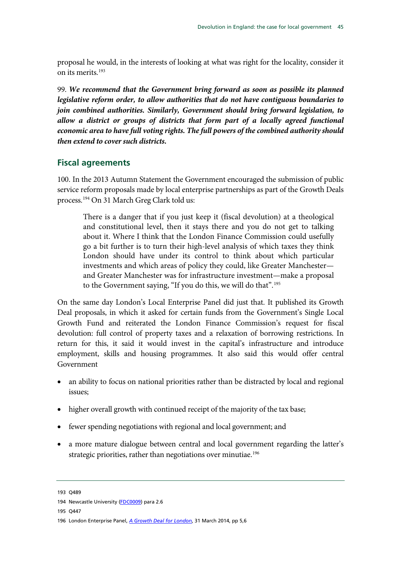proposal he would, in the interests of looking at what was right for the locality, consider it on its merits.[193](#page-46-0)

99. *We recommend that the Government bring forward as soon as possible its planned legislative reform order, to allow authorities that do not have contiguous boundaries to join combined authorities. Similarly, Government should bring forward legislation, to allow a district or groups of districts that form part of a locally agreed functional economic area to have full voting rights. The full powers of the combined authority should then extend to cover such districts.*

## **Fiscal agreements**

100. In the 2013 Autumn Statement the Government encouraged the submission of public service reform proposals made by local enterprise partnerships as part of the Growth Deals process.[194](#page-46-0) On 31 March Greg Clark told us:

There is a danger that if you just keep it (fiscal devolution) at a theological and constitutional level, then it stays there and you do not get to talking about it. Where I think that the London Finance Commission could usefully go a bit further is to turn their high-level analysis of which taxes they think London should have under its control to think about which particular investments and which areas of policy they could, like Greater Manchester and Greater Manchester was for infrastructure investment—make a proposal to the Government saying, "If you do this, we will do that".<sup>[195](#page-46-0)</sup>

On the same day London's Local Enterprise Panel did just that. It published its Growth Deal proposals, in which it asked for certain funds from the Government's Single Local Growth Fund and reiterated the London Finance Commission's request for fiscal devolution: full control of property taxes and a relaxation of borrowing restrictions. In return for this, it said it would invest in the capital's infrastructure and introduce employment, skills and housing programmes. It also said this would offer central Government

- an ability to focus on national priorities rather than be distracted by local and regional issues;
- higher overall growth with continued receipt of the majority of the tax base;
- fewer spending negotiations with regional and local government; and
- a more mature dialogue between central and local government regarding the latter's strategic priorities, rather than negotiations over minutiae.<sup>[196](#page-46-0)</sup>

<span id="page-46-0"></span><sup>193</sup>  $0489$ 

<sup>194</sup> Newcastle University [\(FDC0009\)](http://data.parliament.uk/WrittenEvidence/CommitteeEvidence.svc/EvidenceDocument/Communities%20and%20Local%20Government/Fiscal%20devolution%20to%20cities%20and%20city%20regions/written/4896.html) para 2.6

<sup>195</sup> Q447

<sup>196</sup> London Enterprise Panel, *[A Growth Deal for London](http://www.london.gov.uk/sites/default/files/A%20Growth%20Deal%20for%20London%20%28FINAL%29%2020140331.pdf)*, 31 March 2014, pp 5,6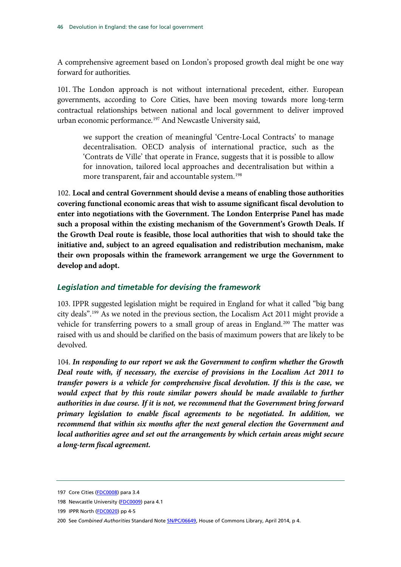A comprehensive agreement based on London's proposed growth deal might be one way forward for authorities.

101. The London approach is not without international precedent, either. European governments, according to Core Cities, have been moving towards more long-term contractual relationships between national and local government to deliver improved urban economic performance.<sup>[197](#page-47-0)</sup> And Newcastle University said,

we support the creation of meaningful 'Centre-Local Contracts' to manage decentralisation. OECD analysis of international practice, such as the 'Contrats de Ville' that operate in France, suggests that it is possible to allow for innovation, tailored local approaches and decentralisation but within a more transparent, fair and accountable system. [198](#page-47-0)

102. **Local and central Government should devise a means of enabling those authorities covering functional economic areas that wish to assume significant fiscal devolution to enter into negotiations with the Government. The London Enterprise Panel has made such a proposal within the existing mechanism of the Government's Growth Deals. If the Growth Deal route is feasible, those local authorities that wish to should take the initiative and, subject to an agreed equalisation and redistribution mechanism, make their own proposals within the framework arrangement we urge the Government to develop and adopt.**

#### *Legislation and timetable for devising the framework*

103. IPPR suggested legislation might be required in England for what it called "big bang city deals".[199](#page-47-0) As we noted in the previous section, the Localism Act 2011 might provide a vehicle for transferring powers to a small group of areas in England.<sup>[200](#page-47-0)</sup> The matter was raised with us and should be clarified on the basis of maximum powers that are likely to be devolved.

104. *In responding to our report we ask the Government to confirm whether the Growth Deal route with, if necessary, the exercise of provisions in the Localism Act 2011 to transfer powers is a vehicle for comprehensive fiscal devolution. If this is the case, we*  would expect that by this route similar powers should be made available to further *authorities in due course. If it is not, we recommend that the Government bring forward primary legislation to enable fiscal agreements to be negotiated. In addition, we recommend that within six months after the next general election the Government and local authorities agree and set out the arrangements by which certain areas might secure a long-term fiscal agreement.*

<span id="page-47-0"></span><sup>197</sup> Core Cities [\(FDC0008\)](http://data.parliament.uk/WrittenEvidence/CommitteeEvidence.svc/EvidenceDocument/Communities%20and%20Local%20Government/Fiscal%20devolution%20to%20cities%20and%20city%20regions/written/4894.html) para 3.4

<sup>198</sup> Newcastle University [\(FDC0009\)](http://data.parliament.uk/WrittenEvidence/CommitteeEvidence.svc/EvidenceDocument/Communities%20and%20Local%20Government/Fiscal%20devolution%20to%20cities%20and%20city%20regions/written/4896.html) para 4.1

<sup>199</sup> IPPR North [\(FDC0020\)](http://data.parliament.uk/writtenevidence/committeeevidence.svc/evidencedocument/communities-and-local-government-committee/fiscal-devolution-to-cities-and-city-regions/written/4929.html) pp 4-5

<sup>200</sup> See *Combined Authorities* Standard Not[e SN/PC/06649, House of Commons Library, April 2014, p 4](http://www.parliament.uk/briefing-papers/SN06649/combined-authorities).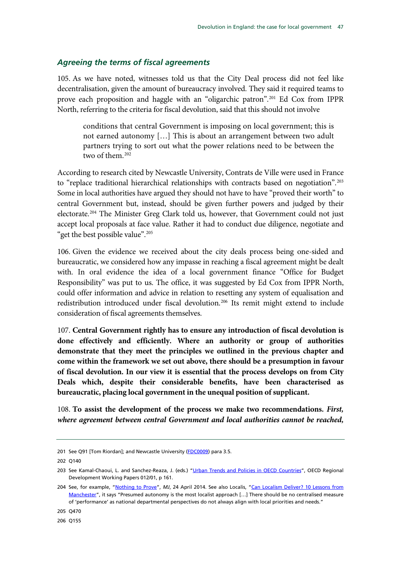#### *Agreeing the terms of fiscal agreements*

105. As we have noted, witnesses told us that the City Deal process did not feel like decentralisation, given the amount of bureaucracy involved. They said it required teams to prove each proposition and haggle with an "oligarchic patron".[201](#page-48-0) Ed Cox from IPPR North, referring to the criteria for fiscal devolution, said that this should not involve

conditions that central Government is imposing on local government; this is not earned autonomy […] This is about an arrangement between two adult partners trying to sort out what the power relations need to be between the two of them.<sup>[202](#page-48-0)</sup>

According to research cited by Newcastle University, Contrats de Ville were used in France to "replace traditional hierarchical relationships with contracts based on negotiation".<sup>[203](#page-48-0)</sup> Some in local authorities have argued they should not have to have "proved their worth" to central Government but, instead, should be given further powers and judged by their electorate.[204](#page-48-0) The Minister Greg Clark told us, however, that Government could not just accept local proposals at face value. Rather it had to conduct due diligence, negotiate and "get the best possible value".<sup>[205](#page-48-0)</sup>

106. Given the evidence we received about the city deals process being one-sided and bureaucratic, we considered how any impasse in reaching a fiscal agreement might be dealt with. In oral evidence the idea of a local government finance "Office for Budget Responsibility" was put to us. The office, it was suggested by Ed Cox from IPPR North, could offer information and advice in relation to resetting any system of equalisation and redistribution introduced under fiscal devolution.<sup>[206](#page-48-0)</sup> Its remit might extend to include consideration of fiscal agreements themselves.

107. **Central Government rightly has to ensure any introduction of fiscal devolution is done effectively and efficiently. Where an authority or group of authorities demonstrate that they meet the principles we outlined in the previous chapter and come within the framework we set out above, there should be a presumption in favour of fiscal devolution. In our view it is essential that the process develops on from City Deals which, despite their considerable benefits, have been characterised as bureaucratic, placing local government in the unequal position of supplicant.**

108. **To assist the development of the process we make two recommendations.** *First, where agreement between central Government and local authorities cannot be reached,* 

<span id="page-48-0"></span><sup>201</sup> See Q91 [Tom Riordan]; and Newcastle University [\(FDC0009\)](http://data.parliament.uk/WrittenEvidence/CommitteeEvidence.svc/EvidenceDocument/Communities%20and%20Local%20Government/Fiscal%20devolution%20to%20cities%20and%20city%20regions/written/4896.html) para 3.5.

<sup>202</sup> Q140

<sup>203</sup> See Kamal-Chaoui, L. and Sanchez-Reaza, J. (eds.) ["Urban Trends and Policies in OECD Countries", O](http://www.oecd-ilibrary.org/docserver/download/5k9fhn1ctjr8.pdf?expires=1400159171&id=id&accname=guest&checksum=02CBD46C064E01242307A22BA5442EF6)ECD Regional Development Working Papers 012/01, p 161.

<sup>204</sup> See, for example, ["Nothing to Prove"](http://themj.co.uk/Nothing-to-prove/196882?id=196896&typeid=1), *MJ*, 24 April 2014. See also Localis, ["Can Localism Deliver? 10 Lessons from](http://www.localis.org.uk/images/articles/10%20Lessons%20from%20Manchester.pdf)  [Manchester"](http://www.localis.org.uk/images/articles/10%20Lessons%20from%20Manchester.pdf), it says "Presumed autonomy is the most localist approach […] There should be no centralised measure of 'performance' as national departmental perspectives do not always align with local priorities and needs."

<sup>205</sup> Q470

<sup>206</sup> Q155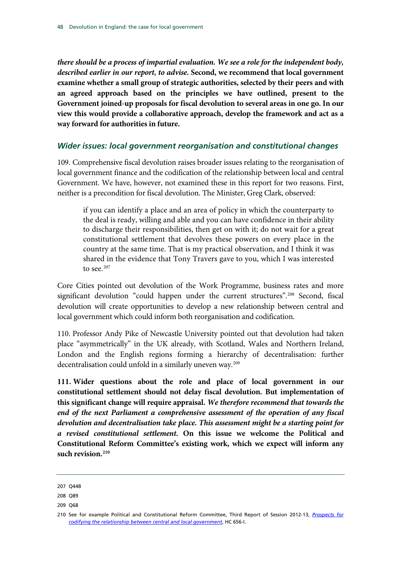*there should be a process of impartial evaluation. We see a role for the independent body, described earlier in our report, to advise***. Second, we recommend that local government examine whether a small group of strategic authorities, selected by their peers and with an agreed approach based on the principles we have outlined, present to the Government joined-up proposals for fiscal devolution to several areas in one go. In our view this would provide a collaborative approach, develop the framework and act as a way forward for authorities in future.**

#### *Wider issues: local government reorganisation and constitutional changes*

109. Comprehensive fiscal devolution raises broader issues relating to the reorganisation of local government finance and the codification of the relationship between local and central Government. We have, however, not examined these in this report for two reasons. First, neither is a precondition for fiscal devolution. The Minister, Greg Clark, observed:

if you can identify a place and an area of policy in which the counterparty to the deal is ready, willing and able and you can have confidence in their ability to discharge their responsibilities, then get on with it; do not wait for a great constitutional settlement that devolves these powers on every place in the country at the same time. That is my practical observation, and I think it was shared in the evidence that Tony Travers gave to you, which I was interested to see. $207$ 

Core Cities pointed out devolution of the Work Programme, business rates and more significant devolution "could happen under the current structures".<sup>[208](#page-49-0)</sup> Second, fiscal devolution will create opportunities to develop a new relationship between central and local government which could inform both reorganisation and codification.

110. Professor Andy Pike of Newcastle University pointed out that devolution had taken place "asymmetrically" in the UK already, with Scotland, Wales and Northern Ireland, London and the English regions forming a hierarchy of decentralisation: further decentralisation could unfold in a similarly uneven way.<sup>[209](#page-49-0)</sup>

**111. Wider questions about the role and place of local government in our constitutional settlement should not delay fiscal devolution. But implementation of this significant change will require appraisal.** *We therefore recommend that towards the*  end of the next Parliament a comprehensive assessment of the operation of any fiscal *devolution and decentralisation take place. This assessment might be a starting point for a revised constitutional settlement.* **On this issue we welcome the Political and Constitutional Reform Committee's existing work, which we expect will inform any such revision.[210](#page-49-0)**

<span id="page-49-0"></span><sup>207</sup> Q448

<sup>208</sup> Q89

<sup>209</sup> Q68

<sup>210</sup> See for example Political and Constitutional Reform Committee, Third Report of Session 2012-13, *[Prospects for](http://www.publications.parliament.uk/pa/cm201213/cmselect/cmpolcon/656/65602.htm)  [codifying the relationship between central and local government](http://www.publications.parliament.uk/pa/cm201213/cmselect/cmpolcon/656/65602.htm)*, HC 656-I.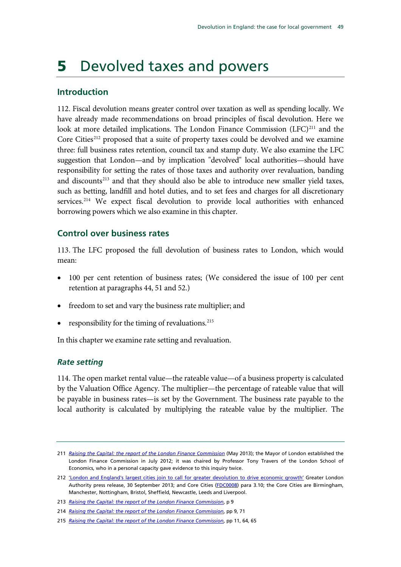## 5 Devolved taxes and powers

## **Introduction**

112. Fiscal devolution means greater control over taxation as well as spending locally. We have already made recommendations on broad principles of fiscal devolution. Here we look at more detailed implications. The London Finance Commission (LFC)<sup>[211](#page-50-0)</sup> and the Core Cities<sup>[212](#page-50-0)</sup> proposed that a suite of property taxes could be devolved and we examine three: full business rates retention, council tax and stamp duty. We also examine the LFC suggestion that London—and by implication "devolved" local authorities—should have responsibility for setting the rates of those taxes and authority over revaluation, banding and discounts<sup>[213](#page-50-0)</sup> and that they should also be able to introduce new smaller yield taxes, such as betting, landfill and hotel duties, and to set fees and charges for all discretionary services.<sup>[214](#page-50-0)</sup> We expect fiscal devolution to provide local authorities with enhanced borrowing powers which we also examine in this chapter.

## **Control over business rates**

113. The LFC proposed the full devolution of business rates to London, which would mean:

- 100 per cent retention of business rates; (We considered the issue of 100 per cent retention at paragraph[s 44,](#page-24-0) [51](#page-28-0) and [52.](#page-28-1))
- freedom to set and vary the business rate multiplier; and
- responsibility for the timing of revaluations.<sup>[215](#page-50-0)</sup>

In this chapter we examine rate setting and revaluation.

## *Rate setting*

114. The open market rental value—the rateable value—of a business property is calculated by the Valuation Office Agency. The multiplier—the percentage of rateable value that will be payable in business rates—is set by the Government. The business rate payable to the local authority is calculated by multiplying the rateable value by the multiplier. The

<span id="page-50-0"></span><sup>211</sup> *[Raising the Capital: the report of the London Finance Commission](http://www.london.gov.uk/sites/default/files/Raising%20the%20capital.pdf)* (May 2013); the Mayor of London established the London Finance Commission in July 2012; it was chaired by Professor Tony Travers of the London School of Economics, who in a personal capacity gave evidence to this inquiry twice.

<sup>212</sup> ['London and England's largest cities join to call for greater devolution to drive economic growth'](http://www.london.gov.uk/media/mayor-press-releases/2013/09/london-and-englands-largest-cities-join-to-call-for-greater) Greater London Authority press release, 30 September 2013; and Core Cities [\(FDC0008\)](http://data.parliament.uk/WrittenEvidence/CommitteeEvidence.svc/EvidenceDocument/Communities%20and%20Local%20Government/Fiscal%20devolution%20to%20cities%20and%20city%20regions/written/4894.html) para 3.10; the Core Cities are Birmingham, Manchester, Nottingham, Bristol, Sheffield, Newcastle, Leeds and Liverpool.

<sup>213</sup> *Raising the Capital: the report of the London Finance Commission*, p 9

<sup>214</sup> *Raising the Capital: the report of the London Finance Commission*, pp 9, 71

<sup>215</sup> *[Raising the Capital: the report of the London Finance Commission](http://www.london.gov.uk/sites/default/files/Raising%20the%20capital.pdf)*, pp 11, 64, 65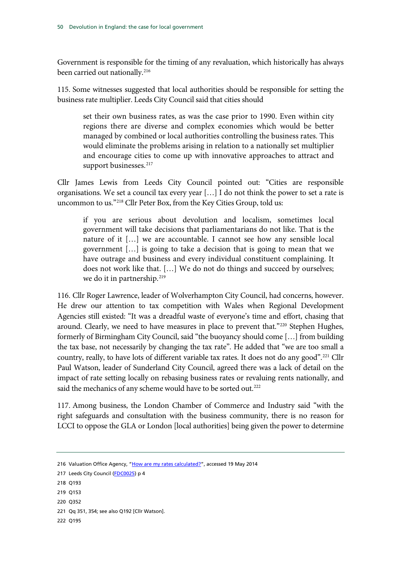Government is responsible for the timing of any revaluation, which historically has always been carried out nationally.<sup>216</sup>

115. Some witnesses suggested that local authorities should be responsible for setting the business rate multiplier. Leeds City Council said that cities should

set their own business rates, as was the case prior to 1990. Even within city regions there are diverse and complex economies which would be better managed by combined or local authorities controlling the business rates. This would eliminate the problems arising in relation to a nationally set multiplier and encourage cities to come up with innovative approaches to attract and support businesses.<sup>[217](#page-51-0)</sup>

Cllr James Lewis from Leeds City Council pointed out: "Cities are responsible organisations. We set a council tax every year […] I do not think the power to set a rate is uncommon to us."[218](#page-51-0) Cllr Peter Box, from the Key Cities Group, told us:

if you are serious about devolution and localism, sometimes local government will take decisions that parliamentarians do not like. That is the nature of it […] we are accountable. I cannot see how any sensible local government […] is going to take a decision that is going to mean that we have outrage and business and every individual constituent complaining. It does not work like that. […] We do not do things and succeed by ourselves; we do it in partnership.<sup>[219](#page-51-0)</sup>

116. Cllr Roger Lawrence, leader of Wolverhampton City Council, had concerns, however. He drew our attention to tax competition with Wales when Regional Development Agencies still existed: "It was a dreadful waste of everyone's time and effort, chasing that around. Clearly, we need to have measures in place to prevent that."<sup>[220](#page-51-0)</sup> Stephen Hughes, formerly of Birmingham City Council, said "the buoyancy should come […] from building the tax base, not necessarily by changing the tax rate". He added that "we are too small a country, really, to have lots of different variable tax rates. It does not do any good".<sup>[221](#page-51-0)</sup> Cllr Paul Watson, leader of Sunderland City Council, agreed there was a lack of detail on the impact of rate setting locally on rebasing business rates or revaluing rents nationally, and said the mechanics of any scheme would have to be sorted out.<sup>[222](#page-51-0)</sup>

117. Among business, the London Chamber of Commerce and Industry said "with the right safeguards and consultation with the business community, there is no reason for LCCI to oppose the GLA or London [local authorities] being given the power to determine

- 219 Q153
- 220 Q352
- 221 Qq 351, 354; see also Q192 [Cllr Watson].

<span id="page-51-0"></span><sup>216</sup> Valuation Office Agency, ["How are my rates calculated?"](http://www.2010.voa.gov.uk/rli/static/HelpPages/English/faqs/faq056-how_are_my_rates_calculated.html), accessed 19 May 2014

<sup>217</sup> Leeds City Council [\(FDC0025\)](http://data.parliament.uk/WrittenEvidence/CommitteeEvidence.svc/EvidenceDocument/Communities%20and%20Local%20Government/Fiscal%20devolution%20to%20cities%20and%20city%20regions/written/4937.html) p 4

<sup>218</sup> Q193

<sup>222</sup> Q195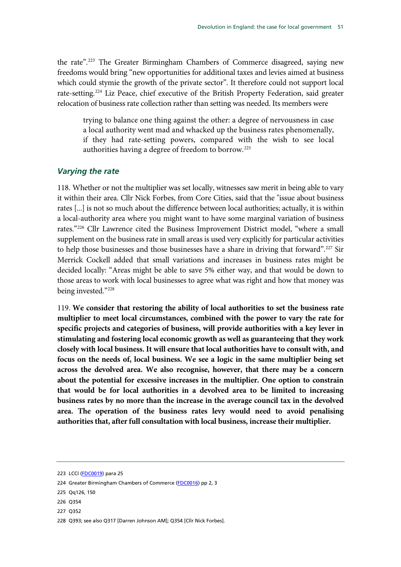the rate".[223](#page-52-0) The Greater Birmingham Chambers of Commerce disagreed, saying new freedoms would bring "new opportunities for additional taxes and levies aimed at business which could stymie the growth of the private sector". It therefore could not support local rate-setting.[224](#page-52-0) Liz Peace, chief executive of the British Property Federation, said greater relocation of business rate collection rather than setting was needed. Its members were

trying to balance one thing against the other: a degree of nervousness in case a local authority went mad and whacked up the business rates phenomenally, if they had rate-setting powers, compared with the wish to see local authorities having a degree of freedom to borrow.[225](#page-52-0)

#### *Varying the rate*

118. Whether or not the multiplier was set locally, witnesses saw merit in being able to vary it within their area. Cllr Nick Forbes, from Core Cities, said that the "issue about business rates [...] is not so much about the difference between local authorities; actually, it is within a local-authority area where you might want to have some marginal variation of business rates."[226](#page-52-0) Cllr Lawrence cited the Business Improvement District model, "where a small supplement on the business rate in small areas is used very explicitly for particular activities to help those businesses and those businesses have a share in driving that forward".[227](#page-52-0) Sir Merrick Cockell added that small variations and increases in business rates might be decided locally: "Areas might be able to save 5% either way, and that would be down to those areas to work with local businesses to agree what was right and how that money was being invested."<sup>[228](#page-52-0)</sup>

119. **We consider that restoring the ability of local authorities to set the business rate multiplier to meet local circumstances, combined with the power to vary the rate for specific projects and categories of business, will provide authorities with a key lever in stimulating and fostering local economic growth as well as guaranteeing that they work closely with local business. It will ensure that local authorities have to consult with, and focus on the needs of, local business. We see a logic in the same multiplier being set across the devolved area. We also recognise, however, that there may be a concern about the potential for excessive increases in the multiplier. One option to constrain that would be for local authorities in a devolved area to be limited to increasing business rates by no more than the increase in the average council tax in the devolved area. The operation of the business rates levy would need to avoid penalising authorities that, after full consultation with local business, increase their multiplier.**

- 226 Q354
- 227 Q352

<span id="page-52-0"></span><sup>223</sup> LCCI [\(FDC0019\)](http://data.parliament.uk/WrittenEvidence/CommitteeEvidence.svc/EvidenceDocument/Communities%20and%20Local%20Government/Fiscal%20devolution%20to%20cities%20and%20city%20regions/written/4928.html) para 25

<sup>224</sup> Greater Birmingham Chambers of Commerce [\(FDC0016\)](http://data.parliament.uk/WrittenEvidence/CommitteeEvidence.svc/EvidenceDocument/Communities%20and%20Local%20Government/Fiscal%20devolution%20to%20cities%20and%20city%20regions/written/4917.html) pp 2, 3

<sup>225</sup> Qq126, 150

<sup>228</sup> Q393; see also Q317 [Darren Johnson AM]; Q354 [Cllr Nick Forbes].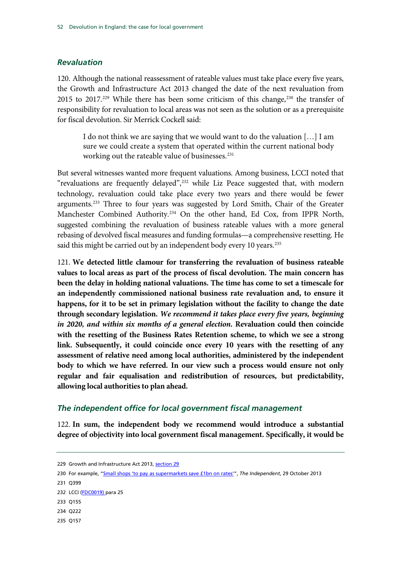#### *Revaluation*

120. Although the national reassessment of rateable values must take place every five years, the Growth and Infrastructure Act 2013 changed the date of the next revaluation from 2015 to 2017.<sup>[229](#page-53-0)</sup> While there has been some criticism of this change,<sup>[230](#page-53-0)</sup> the transfer of responsibility for revaluation to local areas was not seen as the solution or as a prerequisite for fiscal devolution. Sir Merrick Cockell said:

I do not think we are saying that we would want to do the valuation […] I am sure we could create a system that operated within the current national body working out the rateable value of businesses.<sup>[231](#page-53-0)</sup>

But several witnesses wanted more frequent valuations. Among business, LCCI noted that "revaluations are frequently delayed", $^{232}$  $^{232}$  $^{232}$  while Liz Peace suggested that, with modern technology, revaluation could take place every two years and there would be fewer arguments.<sup>[233](#page-53-0)</sup> Three to four years was suggested by Lord Smith, Chair of the Greater Manchester Combined Authority.[234](#page-53-0) On the other hand, Ed Cox, from IPPR North, suggested combining the revaluation of business rateable values with a more general rebasing of devolved fiscal measures and funding formulas—a comprehensive resetting. He said this might be carried out by an independent body every 10 years.<sup>[235](#page-53-0)</sup>

121. **We detected little clamour for transferring the revaluation of business rateable values to local areas as part of the process of fiscal devolution. The main concern has been the delay in holding national valuations. The time has come to set a timescale for an independently commissioned national business rate revaluation and, to ensure it happens, for it to be set in primary legislation without the facility to change the date through secondary legislation.** *We recommend it takes place every five years, beginning in 2020, and within six months of a general election.* **Revaluation could then coincide with the resetting of the Business Rates Retention scheme, to which we see a strong link. Subsequently, it could coincide once every 10 years with the resetting of any assessment of relative need among local authorities, administered by the independent body to which we have referred. In our view such a process would ensure not only regular and fair equalisation and redistribution of resources, but predictability, allowing local authorities to plan ahead.**

#### *The independent office for local government fiscal management*

122. **In sum, the independent body we recommend would introduce a substantial degree of objectivity into local government fiscal management. Specifically, it would be** 

231 Q399

235 Q157

<span id="page-53-0"></span><sup>229</sup> Growth and Infrastructure Act 2013, [section 29](http://www.legislation.gov.uk/ukpga/2013/27/notes/division/5/3/1)

<sup>230</sup> For example, ["Small shops 'to pay as supermarkets save £1bn on rates'"](http://www.independent.co.uk/news/business/news/small-shops-to-pay-as-supermarkets-save-1bn-on-rates-8909691.html), *The Independent*, 29 October 2013

<sup>232</sup> LCCI [\(FDC0019\)](http://data.parliament.uk/WrittenEvidence/CommitteeEvidence.svc/EvidenceDocument/Communities%20and%20Local%20Government/Fiscal%20devolution%20to%20cities%20and%20city%20regions/written/4928.html) para 25

<sup>233</sup> Q155

<sup>234</sup> Q222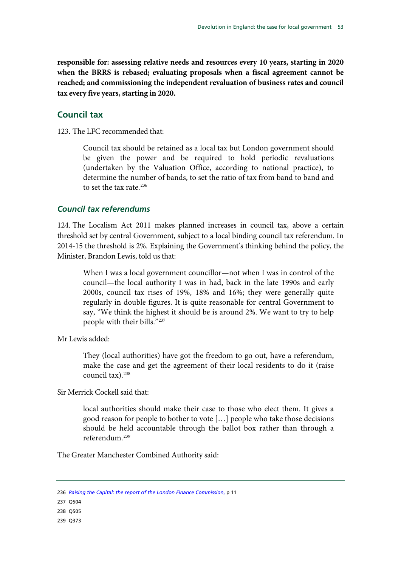**responsible for: assessing relative needs and resources every 10 years, starting in 2020 when the BRRS is rebased; evaluating proposals when a fiscal agreement cannot be reached; and commissioning the independent revaluation of business rates and council tax every five years, starting in 2020.**

## **Council tax**

123. The LFC recommended that:

Council tax should be retained as a local tax but London government should be given the power and be required to hold periodic revaluations (undertaken by the Valuation Office, according to national practice), to determine the number of bands, to set the ratio of tax from band to band and to set the tax rate.<sup>[236](#page-54-0)</sup>

#### *Council tax referendums*

124. The Localism Act 2011 makes planned increases in council tax, above a certain threshold set by central Government, subject to a local binding council tax referendum. In 2014-15 the threshold is 2%. Explaining the Government's thinking behind the policy, the Minister, Brandon Lewis, told us that:

When I was a local government councillor—not when I was in control of the council—the local authority I was in had, back in the late 1990s and early 2000s, council tax rises of 19%, 18% and 16%; they were generally quite regularly in double figures. It is quite reasonable for central Government to say, "We think the highest it should be is around 2%. We want to try to help people with their bills."[237](#page-54-0)

Mr Lewis added:

They (local authorities) have got the freedom to go out, have a referendum, make the case and get the agreement of their local residents to do it (raise council tax).<sup>[238](#page-54-0)</sup>

Sir Merrick Cockell said that:

local authorities should make their case to those who elect them. It gives a good reason for people to bother to vote […] people who take those decisions should be held accountable through the ballot box rather than through a referendum.[239](#page-54-0)

The Greater Manchester Combined Authority said:

<span id="page-54-0"></span>236 *[Raising the Capital: the report of the London Finance Commission](http://www.london.gov.uk/sites/default/files/Raising%20the%20capital.pdf)*, p 11

238 Q505

239 Q373

<sup>237</sup> Q504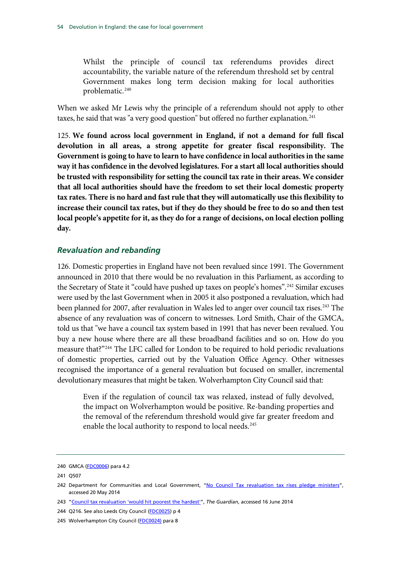Whilst the principle of council tax referendums provides direct accountability, the variable nature of the referendum threshold set by central Government makes long term decision making for local authorities problematic.<sup>[240](#page-55-0)</sup>

When we asked Mr Lewis why the principle of a referendum should not apply to other taxes, he said that was "a very good question" but offered no further explanation.<sup>[241](#page-55-0)</sup>

125. **We found across local government in England, if not a demand for full fiscal devolution in all areas, a strong appetite for greater fiscal responsibility. The Government is going to have to learn to have confidence in local authorities in the same way it has confidence in the devolved legislatures. For a start all local authorities should be trusted with responsibility for setting the council tax rate in their areas. We consider that all local authorities should have the freedom to set their local domestic property tax rates. There is no hard and fast rule that they will automatically use this flexibility to increase their council tax rates, but if they do they should be free to do so and then test local people's appetite for it, as they do for a range of decisions, on local election polling day.**

#### *Revaluation and rebanding*

126. Domestic properties in England have not been revalued since 1991. The Government announced in 2010 that there would be no revaluation in this Parliament, as according to the Secretary of State it "could have pushed up taxes on people's homes".<sup>[242](#page-55-0)</sup> Similar excuses were used by the last Government when in 2005 it also postponed a revaluation, which had been planned for 2007, after revaluation in Wales led to anger over council tax rises.<sup>[243](#page-55-0)</sup> The absence of any revaluation was of concern to witnesses. Lord Smith, Chair of the GMCA, told us that "we have a council tax system based in 1991 that has never been revalued. You buy a new house where there are all these broadband facilities and so on. How do you measure that?"[244](#page-55-0) The LFC called for London to be required to hold periodic revaluations of domestic properties, carried out by the Valuation Office Agency. Other witnesses recognised the importance of a general revaluation but focused on smaller, incremental devolutionary measures that might be taken. Wolverhampton City Council said that:

Even if the regulation of council tax was relaxed, instead of fully devolved, the impact on Wolverhampton would be positive. Re-banding properties and the removal of the referendum threshold would give far greater freedom and enable the local authority to respond to local needs.<sup>[245](#page-55-0)</sup>

<span id="page-55-0"></span><sup>240</sup> GMCA [\(FDC0006\)](http://data.parliament.uk/WrittenEvidence/CommitteeEvidence.svc/EvidenceDocument/Communities%20and%20Local%20Government/Fiscal%20devolution%20to%20cities%20and%20city%20regions/written/4874.html) para 4.2

<sup>241</sup> Q507

<sup>242</sup> Department for Communities and Local Government, ["No Council Tax revaluation tax rises pledge ministers"](https://www.gov.uk/government/news/no-council-tax-revaluation-tax-rises-pledge-ministers), accessed 20 May 2014

<sup>243</sup> ["Council tax revaluation 'would hit poorest the hardest'"](http://www.theguardian.com/politics/2010/sep/24/council-tax-revaluation-hit-poorest), *The Guardian*, accessed 16 June 2014

<sup>244</sup> Q216. See also Leeds City Council [\(FDC0025\)](http://data.parliament.uk/WrittenEvidence/CommitteeEvidence.svc/EvidenceDocument/Communities%20and%20Local%20Government/Fiscal%20devolution%20to%20cities%20and%20city%20regions/written/4937.html) p 4

<sup>245</sup> Wolverhampton City Council [\(FDC0024\)](http://data.parliament.uk/WrittenEvidence/CommitteeEvidence.svc/EvidenceDocument/Communities%20and%20Local%20Government/Fiscal%20devolution%20to%20cities%20and%20city%20regions/written/4936.html) para 8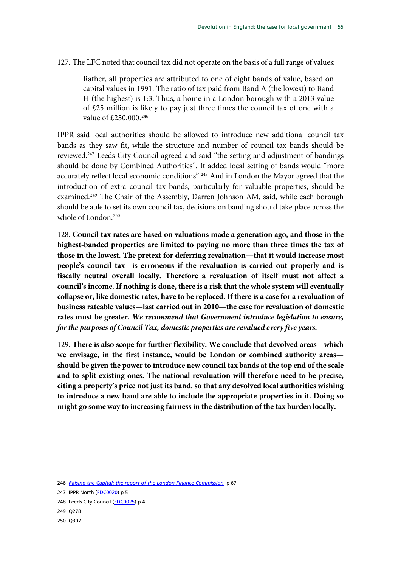127. The LFC noted that council tax did not operate on the basis of a full range of values:

Rather, all properties are attributed to one of eight bands of value, based on capital values in 1991. The ratio of tax paid from Band A (the lowest) to Band H (the highest) is 1:3. Thus, a home in a London borough with a 2013 value of £25 million is likely to pay just three times the council tax of one with a value of £250,000.<sup>[246](#page-56-0)</sup>

IPPR said local authorities should be allowed to introduce new additional council tax bands as they saw fit, while the structure and number of council tax bands should be reviewed.[247](#page-56-0) Leeds City Council agreed and said "the setting and adjustment of bandings should be done by Combined Authorities". It added local setting of bands would "more accurately reflect local economic conditions".[248](#page-56-0) And in London the Mayor agreed that the introduction of extra council tax bands, particularly for valuable properties, should be examined.<sup>[249](#page-56-0)</sup> The Chair of the Assembly, Darren Johnson AM, said, while each borough should be able to set its own council tax, decisions on banding should take place across the whole of London.<sup>[250](#page-56-0)</sup>

128. **Council tax rates are based on valuations made a generation ago, and those in the highest-banded properties are limited to paying no more than three times the tax of those in the lowest. The pretext for deferring revaluation―that it would increase most people's council tax—is erroneous if the revaluation is carried out properly and is fiscally neutral overall locally. Therefore a revaluation of itself must not affect a council's income. If nothing is done, there is a risk that the whole system will eventually collapse or, like domestic rates, have to be replaced. If there is a case for a revaluation of business rateable values—last carried out in 2010—the case for revaluation of domestic rates must be greater.** *We recommend that Government introduce legislation to ensure, for the purposes of Council Tax, domestic properties are revalued every five years.*

129. **There is also scope for further flexibility. We conclude that devolved areas—which we envisage, in the first instance, would be London or combined authority areas should be given the power to introduce new council tax bands at the top end of the scale and to split existing ones. The national revaluation will therefore need to be precise, citing a property's price not just its band, so that any devolved local authorities wishing to introduce a new band are able to include the appropriate properties in it. Doing so might go some way to increasing fairness in the distribution of the tax burden locally.**

<span id="page-56-0"></span><sup>246</sup> *[Raising the Capital: the report of the London Finance Commission](http://www.london.gov.uk/sites/default/files/Raising%20the%20capital.pdf)*, p 67

<sup>247</sup> IPPR North [\(FDC0020\)](http://data.parliament.uk/WrittenEvidence/CommitteeEvidence.svc/EvidenceDocument/Communities%20and%20Local%20Government/Fiscal%20devolution%20to%20cities%20and%20city%20regions/written/4929.html) p 5

<sup>248</sup> Leeds City Council [\(FDC0025\)](http://data.parliament.uk/WrittenEvidence/CommitteeEvidence.svc/EvidenceDocument/Communities%20and%20Local%20Government/Fiscal%20devolution%20to%20cities%20and%20city%20regions/written/4937.html) p 4

<sup>249</sup> Q278

<sup>250</sup> Q307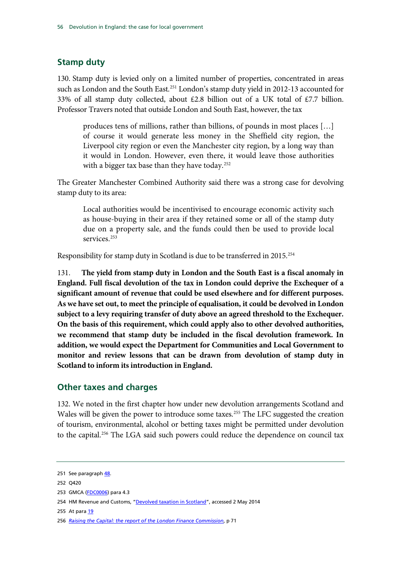## **Stamp duty**

130. Stamp duty is levied only on a limited number of properties, concentrated in areas such as London and the South East.<sup>[251](#page-57-0)</sup> London's stamp duty yield in 2012-13 accounted for 33% of all stamp duty collected, about £2.8 billion out of a UK total of £7.7 billion. Professor Travers noted that outside London and South East, however, the tax

produces tens of millions, rather than billions, of pounds in most places […] of course it would generate less money in the Sheffield city region, the Liverpool city region or even the Manchester city region, by a long way than it would in London. However, even there, it would leave those authorities with a bigger tax base than they have today.<sup>[252](#page-57-0)</sup>

The Greater Manchester Combined Authority said there was a strong case for devolving stamp duty to its area:

Local authorities would be incentivised to encourage economic activity such as house-buying in their area if they retained some or all of the stamp duty due on a property sale, and the funds could then be used to provide local services.<sup>[253](#page-57-0)</sup>

Responsibility for stamp duty in Scotland is due to be transferred in 2015.<sup>[254](#page-57-0)</sup>

131. **The yield from stamp duty in London and the South East is a fiscal anomaly in England. Full fiscal devolution of the tax in London could deprive the Exchequer of a significant amount of revenue that could be used elsewhere and for different purposes. As we have set out, to meet the principle of equalisation, it could be devolved in London subject to a levy requiring transfer of duty above an agreed threshold to the Exchequer. On the basis of this requirement, which could apply also to other devolved authorities, we recommend that stamp duty be included in the fiscal devolution framework. In addition, we would expect the Department for Communities and Local Government to monitor and review lessons that can be drawn from devolution of stamp duty in Scotland to inform its introduction in England.**

## **Other taxes and charges**

132. We noted in the first chapter how under new devolution arrangements Scotland and Wales will be given the power to introduce some taxes.<sup>[255](#page-57-0)</sup> The LFC suggested the creation of tourism, environmental, alcohol or betting taxes might be permitted under devolution to the capital.<sup>[256](#page-57-0)</sup> The LGA said such powers could reduce the dependence on council tax

<span id="page-57-0"></span><sup>251</sup> See paragraph [48.](#page-26-0)

<sup>252</sup> Q420

<sup>253</sup> GMCA [\(FDC0006\)](http://data.parliament.uk/WrittenEvidence/CommitteeEvidence.svc/EvidenceDocument/Communities%20and%20Local%20Government/Fiscal%20devolution%20to%20cities%20and%20city%20regions/written/4874.html) para 4.3

<sup>254</sup> HM Revenue and Customs, ["Devolved taxation in Scotland"](https://www.google.co.uk/url?sa=t&rct=j&q=&esrc=s&source=web&cd=1&cad=rja&uact=8&ved=0CCsQFjAA&url=http%3A%2F%2Fwww.hmrc.gov.uk%2Fnews%2Fnews-calman.htm&ei=OtUqU-zwGYWmhAeotYCgCw&usg=AFQjCNGTi-TajAf0cOPRpvfwyokPCKE2AA), accessed 2 May 2014

<sup>255</sup> At par[a 19](#page-13-0)

<sup>256</sup> *[Raising the Capital: the report of the London Finance Commission](http://www.london.gov.uk/sites/default/files/Raising%20the%20capital.pdf)*, p 71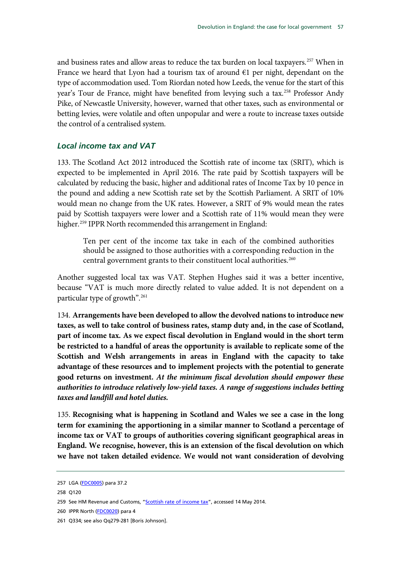and business rates and allow areas to reduce the tax burden on local taxpayers. [257](#page-58-0) When in France we heard that Lyon had a tourism tax of around  $\epsilon$ 1 per night, dependant on the type of accommodation used. Tom Riordan noted how Leeds, the venue for the start of this year's Tour de France, might have benefited from levying such a tax.<sup>[258](#page-58-0)</sup> Professor Andy Pike, of Newcastle University, however, warned that other taxes, such as environmental or betting levies, were volatile and often unpopular and were a route to increase taxes outside the control of a centralised system.

#### *Local income tax and VAT*

133. The Scotland Act 2012 introduced the Scottish rate of income tax (SRIT), which is expected to be implemented in April 2016. The rate paid by Scottish taxpayers will be calculated by reducing the basic, higher and additional rates of Income Tax by 10 pence in the pound and adding a new Scottish rate set by the Scottish Parliament. A SRIT of 10% would mean no change from the UK rates. However, a SRIT of 9% would mean the rates paid by Scottish taxpayers were lower and a Scottish rate of 11% would mean they were higher.<sup>259</sup> IPPR North recommended this arrangement in England:

Ten per cent of the income tax take in each of the combined authorities should be assigned to those authorities with a corresponding reduction in the central government grants to their constituent local authorities.<sup>[260](#page-58-0)</sup>

Another suggested local tax was VAT. Stephen Hughes said it was a better incentive, because "VAT is much more directly related to value added. It is not dependent on a particular type of growth".[261](#page-58-0)

134. **Arrangements have been developed to allow the devolved nations to introduce new taxes, as well to take control of business rates, stamp duty and, in the case of Scotland, part of income tax. As we expect fiscal devolution in England would in the short term be restricted to a handful of areas the opportunity is available to replicate some of the Scottish and Welsh arrangements in areas in England with the capacity to take advantage of these resources and to implement projects with the potential to generate good returns on investment.** *At the minimum fiscal devolution should empower these authorities to introduce relatively low-yield taxes. A range of suggestions includes betting taxes and landfill and hotel duties.*

135. **Recognising what is happening in Scotland and Wales we see a case in the long term for examining the apportioning in a similar manner to Scotland a percentage of income tax or VAT to groups of authorities covering significant geographical areas in England. We recognise, however, this is an extension of the fiscal devolution on which we have not taken detailed evidence. We would not want consideration of devolving** 

<span id="page-58-0"></span><sup>257</sup> LGA [\(FDC0005\)](http://data.parliament.uk/WrittenEvidence/CommitteeEvidence.svc/EvidenceDocument/Communities%20and%20Local%20Government/Fiscal%20devolution%20to%20cities%20and%20city%20regions/written/4852.html) para 37.2

<sup>258</sup> Q120

<sup>259</sup> See HM Revenue and Customs, ["Scottish rate of income tax"](http://www.hmrc.gov.uk/news/scottish-rate.htm), accessed 14 May 2014.

<sup>260</sup> IPPR North [\(FDC0020\)](http://data.parliament.uk/WrittenEvidence/CommitteeEvidence.svc/EvidenceDocument/Communities%20and%20Local%20Government/Fiscal%20devolution%20to%20cities%20and%20city%20regions/written/4929.html) para 4

<sup>261</sup> Q334; see also Qq279-281 [Boris Johnson].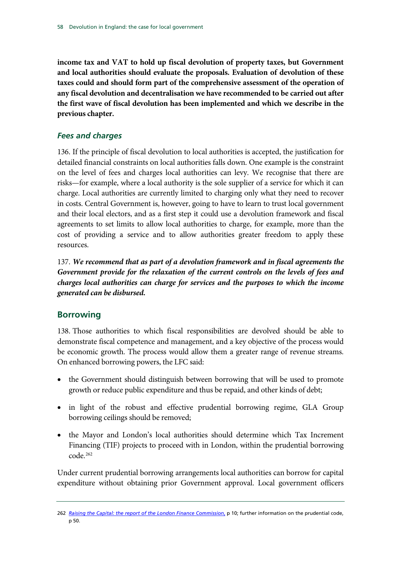**income tax and VAT to hold up fiscal devolution of property taxes, but Government and local authorities should evaluate the proposals. Evaluation of devolution of these taxes could and should form part of the comprehensive assessment of the operation of any fiscal devolution and decentralisation we have recommended to be carried out after the first wave of fiscal devolution has been implemented and which we describe in the previous chapter.**

## *Fees and charges*

136. If the principle of fiscal devolution to local authorities is accepted, the justification for detailed financial constraints on local authorities falls down. One example is the constraint on the level of fees and charges local authorities can levy. We recognise that there are risks—for example, where a local authority is the sole supplier of a service for which it can charge. Local authorities are currently limited to charging only what they need to recover in costs. Central Government is, however, going to have to learn to trust local government and their local electors, and as a first step it could use a devolution framework and fiscal agreements to set limits to allow local authorities to charge, for example, more than the cost of providing a service and to allow authorities greater freedom to apply these resources.

137. *We recommend that as part of a devolution framework and in fiscal agreements the Government provide for the relaxation of the current controls on the levels of fees and charges local authorities can charge for services and the purposes to which the income generated can be disbursed.*

## **Borrowing**

138. Those authorities to which fiscal responsibilities are devolved should be able to demonstrate fiscal competence and management, and a key objective of the process would be economic growth. The process would allow them a greater range of revenue streams. On enhanced borrowing powers, the LFC said:

- the Government should distinguish between borrowing that will be used to promote growth or reduce public expenditure and thus be repaid, and other kinds of debt;
- in light of the robust and effective prudential borrowing regime, GLA Group borrowing ceilings should be removed;
- the Mayor and London's local authorities should determine which Tax Increment Financing (TIF) projects to proceed with in London, within the prudential borrowing  $code<sub>.262</sub>$  $code<sub>.262</sub>$  $code<sub>.262</sub>$

Under current prudential borrowing arrangements local authorities can borrow for capital expenditure without obtaining prior Government approval. Local government officers

<span id="page-59-0"></span><sup>262</sup> *Raising the Capital: [the report of the London Finance Commission](http://www.london.gov.uk/sites/default/files/Raising%20the%20capital.pdf)*, p 10; further information on the prudential code, p 50.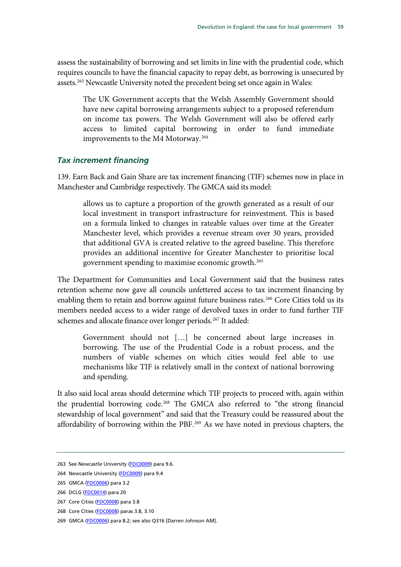assess the sustainability of borrowing and set limits in line with the prudential code, which requires councils to have the financial capacity to repay debt, as borrowing is unsecured by assets.<sup>[263](#page-60-0)</sup> Newcastle University noted the precedent being set once again in Wales:

The UK Government accepts that the Welsh Assembly Government should have new capital borrowing arrangements subject to a proposed referendum on income tax powers. The Welsh Government will also be offered early access to limited capital borrowing in order to fund immediate improvements to the M4 Motorway.<sup>[264](#page-60-0)</sup>

## *Tax increment financing*

139. Earn Back and Gain Share are tax increment financing (TIF) schemes now in place in Manchester and Cambridge respectively. The GMCA said its model:

allows us to capture a proportion of the growth generated as a result of our local investment in transport infrastructure for reinvestment. This is based on a formula linked to changes in rateable values over time at the Greater Manchester level, which provides a revenue stream over 30 years, provided that additional GVA is created relative to the agreed baseline. This therefore provides an additional incentive for Greater Manchester to prioritise local government spending to maximise economic growth. [265](#page-60-0)

The Department for Communities and Local Government said that the business rates retention scheme now gave all councils unfettered access to tax increment financing by enabling them to retain and borrow against future business rates.<sup>[266](#page-60-0)</sup> Core Cities told us its members needed access to a wider range of devolved taxes in order to fund further TIF schemes and allocate finance over longer periods.<sup>[267](#page-60-0)</sup> It added:

Government should not […] be concerned about large increases in borrowing. The use of the Prudential Code is a robust process, and the numbers of viable schemes on which cities would feel able to use mechanisms like TIF is relatively small in the context of national borrowing and spending.

It also said local areas should determine which TIF projects to proceed with, again within the prudential borrowing code.<sup>[268](#page-60-0)</sup> The GMCA also referred to "the strong financial stewardship of local government" and said that the Treasury could be reassured about the affordability of borrowing within the PBF.<sup>[269](#page-60-0)</sup> As we have noted in previous chapters, the

<span id="page-60-0"></span><sup>263</sup> See Newcastle University [\(FDC0009\)](http://data.parliament.uk/WrittenEvidence/CommitteeEvidence.svc/EvidenceDocument/Communities%20and%20Local%20Government/Fiscal%20devolution%20to%20cities%20and%20city%20regions/written/4896.html) para 9.6.

<sup>264</sup> Newcastle University [\(FDC0009\)](http://data.parliament.uk/WrittenEvidence/CommitteeEvidence.svc/EvidenceDocument/Communities%20and%20Local%20Government/Fiscal%20devolution%20to%20cities%20and%20city%20regions/written/4896.html) para 9.4

<sup>265</sup> GMCA [\(FDC0006\)](http://data.parliament.uk/WrittenEvidence/CommitteeEvidence.svc/EvidenceDocument/Communities%20and%20Local%20Government/Fiscal%20devolution%20to%20cities%20and%20city%20regions/written/4874.html) para 3.2

<sup>266</sup> DCLG [\(FDC0014\)](http://data.parliament.uk/WrittenEvidence/CommitteeEvidence.svc/EvidenceDocument/Communities%20and%20Local%20Government/Fiscal%20devolution%20to%20cities%20and%20city%20regions/written/4913.html) para 20

<sup>267</sup> Core Cities [\(FDC0008\)](http://data.parliament.uk/WrittenEvidence/CommitteeEvidence.svc/EvidenceDocument/Communities%20and%20Local%20Government/Fiscal%20devolution%20to%20cities%20and%20city%20regions/written/4894.html) para 3.8

<sup>268</sup> Core Cities [\(FDC0008\)](http://data.parliament.uk/WrittenEvidence/CommitteeEvidence.svc/EvidenceDocument/Communities%20and%20Local%20Government/Fiscal%20devolution%20to%20cities%20and%20city%20regions/written/4894.html) paras 3.8, 3.10

<sup>269</sup> GMCA [\(FDC0006\)](http://data.parliament.uk/WrittenEvidence/CommitteeEvidence.svc/EvidenceDocument/Communities%20and%20Local%20Government/Fiscal%20devolution%20to%20cities%20and%20city%20regions/written/4874.html) para 8.2; see also Q316 [Darren Johnson AM].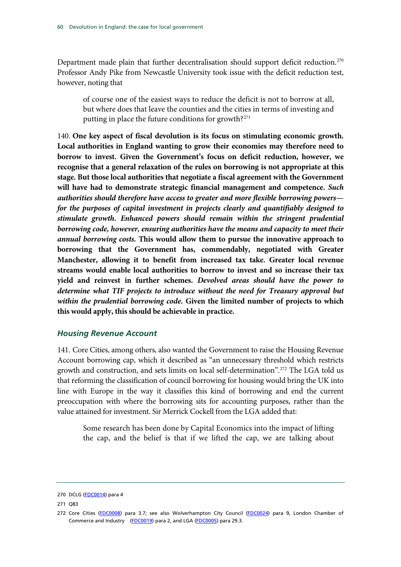Department made plain that further decentralisation should support deficit reduction.<sup>[270](#page-61-0)</sup> Professor Andy Pike from Newcastle University took issue with the deficit reduction test, however, noting that

of course one of the easiest ways to reduce the deficit is not to borrow at all, but where does that leave the counties and the cities in terms of investing and putting in place the future conditions for growth?[271](#page-61-0)

140. **One key aspect of fiscal devolution is its focus on stimulating economic growth. Local authorities in England wanting to grow their economies may therefore need to borrow to invest. Given the Government's focus on deficit reduction, however, we recognise that a general relaxation of the rules on borrowing is not appropriate at this stage. But those local authorities that negotiate a fiscal agreement with the Government will have had to demonstrate strategic financial management and competence.** *Such authorities should therefore have access to greater and more flexible borrowing powers for the purposes of capital investment in projects clearly and quantifiably designed to stimulate growth. Enhanced powers should remain within the stringent prudential borrowing code, however, ensuring authorities have the means and capacity to meet their annual borrowing costs.* **This would allow them to pursue the innovative approach to borrowing that the Government has, commendably, negotiated with Greater Manchester, allowing it to benefit from increased tax take. Greater local revenue streams would enable local authorities to borrow to invest and so increase their tax yield and reinvest in further schemes.** *Devolved areas should have the power to determine what TIF projects to introduce without the need for Treasury approval but within the prudential borrowing code.* **Given the limited number of projects to which this would apply, this should be achievable in practice.**

#### *Housing Revenue Account*

141. Core Cities, among others, also wanted the Government to raise the Housing Revenue Account borrowing cap, which it described as "an unnecessary threshold which restricts growth and construction, and sets limits on local self-determination".[272](#page-61-0) The LGA told us that reforming the classification of council borrowing for housing would bring the UK into line with Europe in the way it classifies this kind of borrowing and end the current preoccupation with where the borrowing sits for accounting purposes, rather than the value attained for investment. Sir Merrick Cockell from the LGA added that:

Some research has been done by Capital Economics into the impact of lifting the cap, and the belief is that if we lifted the cap, we are talking about

<span id="page-61-0"></span><sup>270</sup> DCLG [\(FDC0014\)](http://data.parliament.uk/WrittenEvidence/CommitteeEvidence.svc/EvidenceDocument/Communities%20and%20Local%20Government/Fiscal%20devolution%20to%20cities%20and%20city%20regions/written/4913.html) para 4

<sup>271</sup> Q83

<sup>272</sup> Core Cities [\(FDC0008\)](http://data.parliament.uk/WrittenEvidence/CommitteeEvidence.svc/EvidenceDocument/Communities%20and%20Local%20Government/Fiscal%20devolution%20to%20cities%20and%20city%20regions/written/4894.html) para 3.7; see also Wolverhampton City Council [\(FDC0024\)](http://data.parliament.uk/WrittenEvidence/CommitteeEvidence.svc/EvidenceDocument/Communities%20and%20Local%20Government/Fiscal%20devolution%20to%20cities%20and%20city%20regions/written/4936.html) para 9, London Chamber of Commerce and Industry [\(FDC0019\)](http://data.parliament.uk/WrittenEvidence/CommitteeEvidence.svc/EvidenceDocument/Communities%20and%20Local%20Government/Fiscal%20devolution%20to%20cities%20and%20city%20regions/written/4928.html) para 2, and LGA [\(FDC0005\)](http://data.parliament.uk/WrittenEvidence/CommitteeEvidence.svc/EvidenceDocument/Communities%20and%20Local%20Government/Fiscal%20devolution%20to%20cities%20and%20city%20regions/written/4852.html) para 29.3.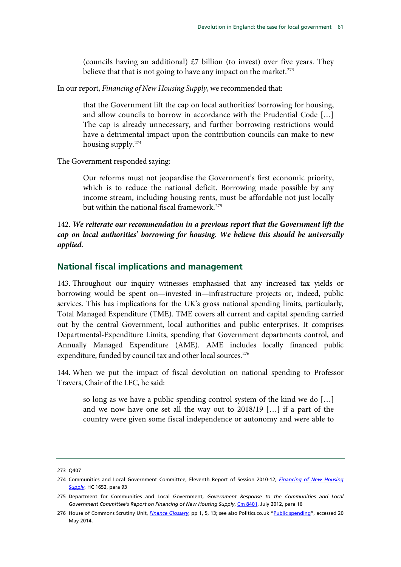(councils having an additional)  $£7$  billion (to invest) over five years. They believe that that is not going to have any impact on the market. $273$ 

In our report, *Financing of New Housing Supply*, we recommended that:

that the Government lift the cap on local authorities' borrowing for housing, and allow councils to borrow in accordance with the Prudential Code […] The cap is already unnecessary, and further borrowing restrictions would have a detrimental impact upon the contribution councils can make to new housing supply.[274](#page-62-0)

The Government responded saying:

Our reforms must not jeopardise the Government's first economic priority, which is to reduce the national deficit. Borrowing made possible by any income stream, including housing rents, must be affordable not just locally but within the national fiscal framework.<sup>[275](#page-62-0)</sup>

## 142. *We reiterate our recommendation in a previous report that the Government lift the cap on local authorities' borrowing for housing. We believe this should be universally applied.*

## **National fiscal implications and management**

143. Throughout our inquiry witnesses emphasised that any increased tax yields or borrowing would be spent on—invested in—infrastructure projects or, indeed, public services. This has implications for the UK's gross national spending limits, particularly, Total Managed Expenditure (TME). TME covers all current and capital spending carried out by the central Government, local authorities and public enterprises. It comprises Departmental-Expenditure Limits, spending that Government departments control, and Annually Managed Expenditure (AME). AME includes locally financed public expenditure, funded by council tax and other local sources.<sup>[276](#page-62-0)</sup>

144. When we put the impact of fiscal devolution on national spending to Professor Travers, Chair of the LFC, he said:

so long as we have a public spending control system of the kind we do […] and we now have one set all the way out to 2018/19 […] if a part of the country were given some fiscal independence or autonomy and were able to

<span id="page-62-0"></span><sup>273</sup> Q407

<sup>274</sup> Communities and Local Government Committee, Eleventh Report of Session 2010-12, *[Financing of New Housing](http://www.google.co.uk/url?sa=t&rct=j&q=&esrc=s&frm=1&source=web&cd=1&cad=rja&uact=8&ved=0CC0QFjAA&url=http%3A%2F%2Fwww.publications.parliament.uk%2Fpa%2Fcm201012%2Fcmselect%2Fcmcomloc%2F1652%2F1652.pdf&ei=9-IhU5nQAbCS7AaIq4Ew&usg=AFQjCNFstXP61q3kxOLliONhpE2vQHMTeg&bvm=bv.62922401,d.ZGU)  [Supply](http://www.google.co.uk/url?sa=t&rct=j&q=&esrc=s&frm=1&source=web&cd=1&cad=rja&uact=8&ved=0CC0QFjAA&url=http%3A%2F%2Fwww.publications.parliament.uk%2Fpa%2Fcm201012%2Fcmselect%2Fcmcomloc%2F1652%2F1652.pdf&ei=9-IhU5nQAbCS7AaIq4Ew&usg=AFQjCNFstXP61q3kxOLliONhpE2vQHMTeg&bvm=bv.62922401,d.ZGU)*, HC 1652, para 93

<sup>275</sup> Department for Communities and Local Government, *Government Response to the Communities and Local Government Committee's Report on Financing of New Housing Supply*[, Cm 8401,](https://www.gov.uk/government/uploads/system/uploads/attachment_data/file/228821/8401.pdf) July 2012, para 16

<sup>276</sup> House of Commons Scrutiny Unit, *[Finance Glossary](http://www.parliament.uk/documents/commons/Scrutiny/120515_finance%20glossary.pdf)*, pp 1, 5, 13; see also Politics.co.uk ["Public spending"](http://www.politics.co.uk/reference/public-spending), accessed 20 May 2014.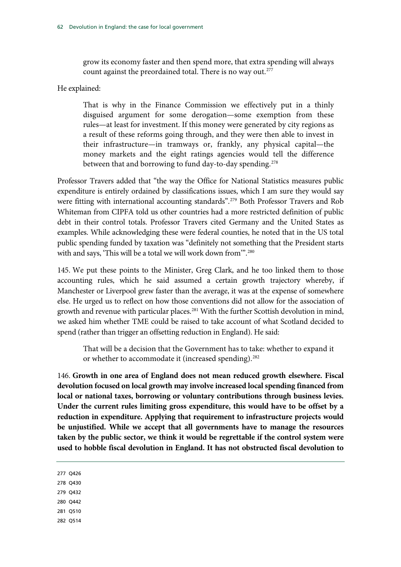grow its economy faster and then spend more, that extra spending will always count against the preordained total. There is no way out.<sup>[277](#page-63-0)</sup>

#### He explained:

That is why in the Finance Commission we effectively put in a thinly disguised argument for some derogation—some exemption from these rules—at least for investment. If this money were generated by city regions as a result of these reforms going through, and they were then able to invest in their infrastructure—in tramways or, frankly, any physical capital—the money markets and the eight ratings agencies would tell the difference between that and borrowing to fund day-to-day spending.<sup>[278](#page-63-0)</sup>

Professor Travers added that "the way the Office for National Statistics measures public expenditure is entirely ordained by classifications issues, which I am sure they would say were fitting with international accounting standards".<sup>[279](#page-63-0)</sup> Both Professor Travers and Rob Whiteman from CIPFA told us other countries had a more restricted definition of public debt in their control totals. Professor Travers cited Germany and the United States as examples. While acknowledging these were federal counties, he noted that in the US total public spending funded by taxation was "definitely not something that the President starts with and says, 'This will be a total we will work down from".<sup>[280](#page-63-0)</sup>

145. We put these points to the Minister, Greg Clark, and he too linked them to those accounting rules, which he said assumed a certain growth trajectory whereby, if Manchester or Liverpool grew faster than the average, it was at the expense of somewhere else. He urged us to reflect on how those conventions did not allow for the association of growth and revenue with particular places.<sup>[281](#page-63-0)</sup> With the further Scottish devolution in mind, we asked him whether TME could be raised to take account of what Scotland decided to spend (rather than trigger an offsetting reduction in England). He said:

That will be a decision that the Government has to take: whether to expand it or whether to accommodate it (increased spending).<sup>[282](#page-63-0)</sup>

146. **Growth in one area of England does not mean reduced growth elsewhere. Fiscal devolution focused on local growth may involve increased local spending financed from local or national taxes, borrowing or voluntary contributions through business levies. Under the current rules limiting gross expenditure, this would have to be offset by a reduction in expenditure. Applying that requirement to infrastructure projects would be unjustified. While we accept that all governments have to manage the resources taken by the public sector, we think it would be regrettable if the control system were used to hobble fiscal devolution in England. It has not obstructed fiscal devolution to** 

- 278 Q430
- 279 Q432
- 280 Q442
- 281 Q510
- 282 Q514

<span id="page-63-0"></span><sup>277</sup> Q426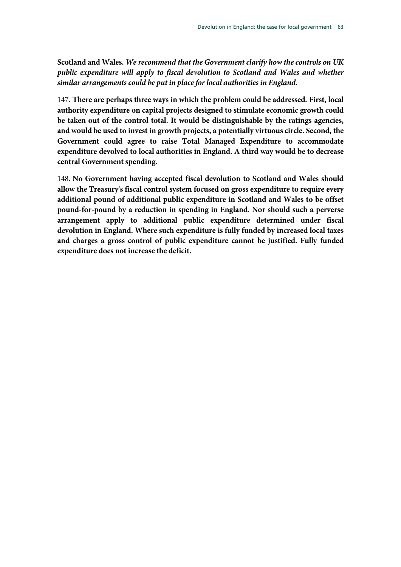**Scotland and Wales.** *We recommend that the Government clarify how the controls on UK public expenditure will apply to fiscal devolution to Scotland and Wales and whether similar arrangements could be put in place for local authorities in England.*

147. **There are perhaps three ways in which the problem could be addressed. First, local authority expenditure on capital projects designed to stimulate economic growth could be taken out of the control total. It would be distinguishable by the ratings agencies, and would be used to invest in growth projects, a potentially virtuous circle. Second, the Government could agree to raise Total Managed Expenditure to accommodate expenditure devolved to local authorities in England. A third way would be to decrease central Government spending.**

148. **No Government having accepted fiscal devolution to Scotland and Wales should allow the Treasury's fiscal control system focused on gross expenditure to require every additional pound of additional public expenditure in Scotland and Wales to be offset pound-for-pound by a reduction in spending in England. Nor should such a perverse arrangement apply to additional public expenditure determined under fiscal devolution in England. Where such expenditure is fully funded by increased local taxes and charges a gross control of public expenditure cannot be justified. Fully funded expenditure does not increase the deficit.**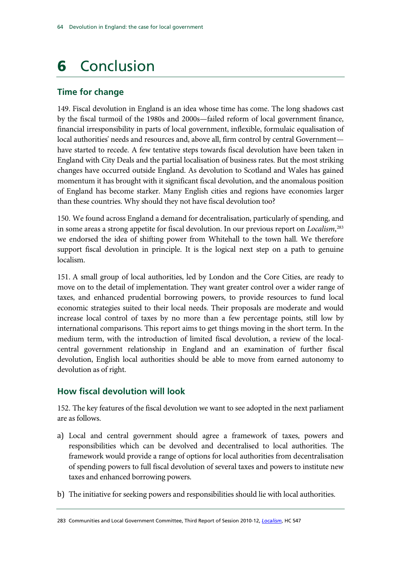# 6 Conclusion

## **Time for change**

149. Fiscal devolution in England is an idea whose time has come. The long shadows cast by the fiscal turmoil of the 1980s and 2000s—failed reform of local government finance, financial irresponsibility in parts of local government, inflexible, formulaic equalisation of local authorities' needs and resources and, above all, firm control by central Government have started to recede. A few tentative steps towards fiscal devolution have been taken in England with City Deals and the partial localisation of business rates. But the most striking changes have occurred outside England. As devolution to Scotland and Wales has gained momentum it has brought with it significant fiscal devolution, and the anomalous position of England has become starker. Many English cities and regions have economies larger than these countries. Why should they not have fiscal devolution too?

150. We found across England a demand for decentralisation, particularly of spending, and in some areas a strong appetite for fiscal devolution. In our previous report on *Localism*, [283](#page-65-0) we endorsed the idea of shifting power from Whitehall to the town hall. We therefore support fiscal devolution in principle. It is the logical next step on a path to genuine localism.

151. A small group of local authorities, led by London and the Core Cities, are ready to move on to the detail of implementation. They want greater control over a wider range of taxes, and enhanced prudential borrowing powers, to provide resources to fund local economic strategies suited to their local needs. Their proposals are moderate and would increase local control of taxes by no more than a few percentage points, still low by international comparisons. This report aims to get things moving in the short term. In the medium term, with the introduction of limited fiscal devolution, a review of the localcentral government relationship in England and an examination of further fiscal devolution, English local authorities should be able to move from earned autonomy to devolution as of right.

## **How fiscal devolution will look**

152. The key features of the fiscal devolution we want to see adopted in the next parliament are as follows.

- a) Local and central government should agree a framework of taxes, powers and responsibilities which can be devolved and decentralised to local authorities. The framework would provide a range of options for local authorities from decentralisation of spending powers to full fiscal devolution of several taxes and powers to institute new taxes and enhanced borrowing powers.
- b) The initiative for seeking powers and responsibilities should lie with local authorities.

<span id="page-65-0"></span>283 Communities and Local Government Committee, Third Report of Session 2010-12, *[Localism](http://www.publications.parliament.uk/pa/cm201012/cmselect/cmcomloc/547/54702.htm)*, HC 547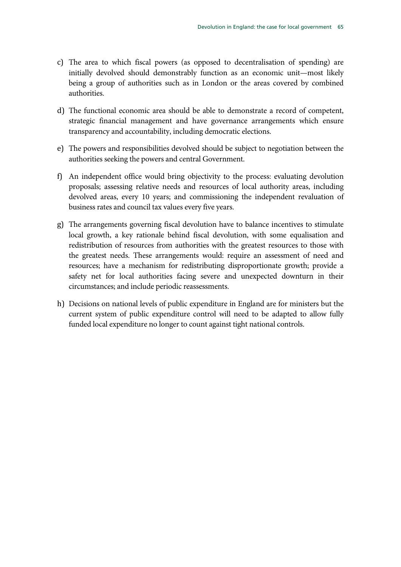- c) The area to which fiscal powers (as opposed to decentralisation of spending) are initially devolved should demonstrably function as an economic unit—most likely being a group of authorities such as in London or the areas covered by combined authorities.
- d) The functional economic area should be able to demonstrate a record of competent, strategic financial management and have governance arrangements which ensure transparency and accountability, including democratic elections.
- e) The powers and responsibilities devolved should be subject to negotiation between the authorities seeking the powers and central Government.
- f) An independent office would bring objectivity to the process: evaluating devolution proposals; assessing relative needs and resources of local authority areas, including devolved areas, every 10 years; and commissioning the independent revaluation of business rates and council tax values every five years.
- g) The arrangements governing fiscal devolution have to balance incentives to stimulate local growth, a key rationale behind fiscal devolution, with some equalisation and redistribution of resources from authorities with the greatest resources to those with the greatest needs. These arrangements would: require an assessment of need and resources; have a mechanism for redistributing disproportionate growth; provide a safety net for local authorities facing severe and unexpected downturn in their circumstances; and include periodic reassessments.
- h) Decisions on national levels of public expenditure in England are for ministers but the current system of public expenditure control will need to be adapted to allow fully funded local expenditure no longer to count against tight national controls.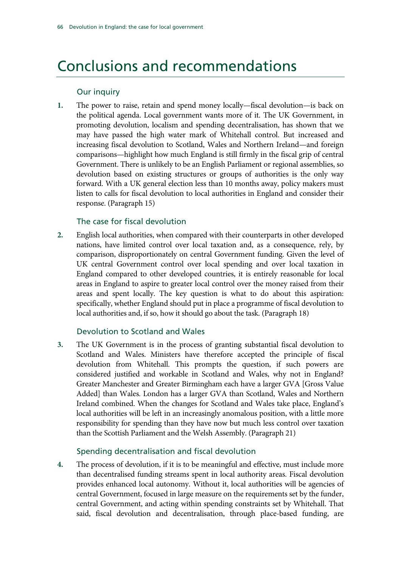# Conclusions and recommendations

## Our inquiry

**1.** The power to raise, retain and spend money locally—fiscal devolution—is back on the political agenda. Local government wants more of it. The UK Government, in promoting devolution, localism and spending decentralisation, has shown that we may have passed the high water mark of Whitehall control. But increased and increasing fiscal devolution to Scotland, Wales and Northern Ireland—and foreign comparisons—highlight how much England is still firmly in the fiscal grip of central Government. There is unlikely to be an English Parliament or regional assemblies, so devolution based on existing structures or groups of authorities is the only way forward. With a UK general election less than 10 months away, policy makers must listen to calls for fiscal devolution to local authorities in England and consider their response. (Paragraph 15)

## The case for fiscal devolution

**2.** English local authorities, when compared with their counterparts in other developed nations, have limited control over local taxation and, as a consequence, rely, by comparison, disproportionately on central Government funding. Given the level of UK central Government control over local spending and over local taxation in England compared to other developed countries, it is entirely reasonable for local areas in England to aspire to greater local control over the money raised from their areas and spent locally. The key question is what to do about this aspiration: specifically, whether England should put in place a programme of fiscal devolution to local authorities and, if so, how it should go about the task. (Paragraph 18)

## Devolution to Scotland and Wales

**3.** The UK Government is in the process of granting substantial fiscal devolution to Scotland and Wales. Ministers have therefore accepted the principle of fiscal devolution from Whitehall. This prompts the question, if such powers are considered justified and workable in Scotland and Wales, why not in England? Greater Manchester and Greater Birmingham each have a larger GVA [Gross Value Added] than Wales. London has a larger GVA than Scotland, Wales and Northern Ireland combined. When the changes for Scotland and Wales take place, England's local authorities will be left in an increasingly anomalous position, with a little more responsibility for spending than they have now but much less control over taxation than the Scottish Parliament and the Welsh Assembly. (Paragraph 21)

## Spending decentralisation and fiscal devolution

**4.** The process of devolution, if it is to be meaningful and effective, must include more than decentralised funding streams spent in local authority areas. Fiscal devolution provides enhanced local autonomy. Without it, local authorities will be agencies of central Government, focused in large measure on the requirements set by the funder, central Government, and acting within spending constraints set by Whitehall. That said, fiscal devolution and decentralisation, through place-based funding, are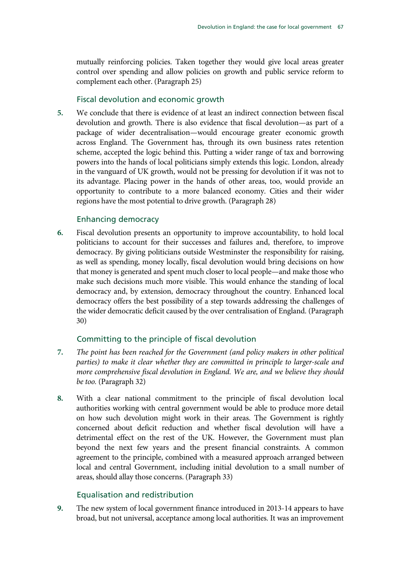mutually reinforcing policies. Taken together they would give local areas greater control over spending and allow policies on growth and public service reform to complement each other. (Paragraph 25)

#### Fiscal devolution and economic growth

**5.** We conclude that there is evidence of at least an indirect connection between fiscal devolution and growth. There is also evidence that fiscal devolution—as part of a package of wider decentralisation—would encourage greater economic growth across England. The Government has, through its own business rates retention scheme, accepted the logic behind this. Putting a wider range of tax and borrowing powers into the hands of local politicians simply extends this logic. London, already in the vanguard of UK growth, would not be pressing for devolution if it was not to its advantage. Placing power in the hands of other areas, too, would provide an opportunity to contribute to a more balanced economy. Cities and their wider regions have the most potential to drive growth. (Paragraph 28)

#### Enhancing democracy

**6.** Fiscal devolution presents an opportunity to improve accountability, to hold local politicians to account for their successes and failures and, therefore, to improve democracy. By giving politicians outside Westminster the responsibility for raising, as well as spending, money locally, fiscal devolution would bring decisions on how that money is generated and spent much closer to local people—and make those who make such decisions much more visible. This would enhance the standing of local democracy and, by extension, democracy throughout the country. Enhanced local democracy offers the best possibility of a step towards addressing the challenges of the wider democratic deficit caused by the over centralisation of England. (Paragraph 30)

## Committing to the principle of fiscal devolution

- **7.** *The point has been reached for the Government (and policy makers in other political parties) to make it clear whether they are committed in principle to larger-scale and more comprehensive fiscal devolution in England. We are, and we believe they should be too.* (Paragraph 32)
- **8.** With a clear national commitment to the principle of fiscal devolution local authorities working with central government would be able to produce more detail on how such devolution might work in their areas. The Government is rightly concerned about deficit reduction and whether fiscal devolution will have a detrimental effect on the rest of the UK. However, the Government must plan beyond the next few years and the present financial constraints. A common agreement to the principle, combined with a measured approach arranged between local and central Government, including initial devolution to a small number of areas, should allay those concerns. (Paragraph 33)

## Equalisation and redistribution

**9.** The new system of local government finance introduced in 2013-14 appears to have broad, but not universal, acceptance among local authorities. It was an improvement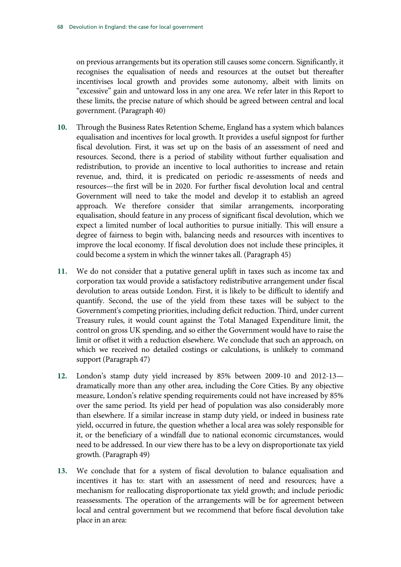on previous arrangements but its operation still causes some concern. Significantly, it recognises the equalisation of needs and resources at the outset but thereafter incentivises local growth and provides some autonomy, albeit with limits on "excessive" gain and untoward loss in any one area. We refer later in this Report to these limits, the precise nature of which should be agreed between central and local government. (Paragraph 40)

- **10.** Through the Business Rates Retention Scheme, England has a system which balances equalisation and incentives for local growth. It provides a useful signpost for further fiscal devolution. First, it was set up on the basis of an assessment of need and resources. Second, there is a period of stability without further equalisation and redistribution, to provide an incentive to local authorities to increase and retain revenue, and, third, it is predicated on periodic re-assessments of needs and resources—the first will be in 2020. For further fiscal devolution local and central Government will need to take the model and develop it to establish an agreed approach. We therefore consider that similar arrangements, incorporating equalisation, should feature in any process of significant fiscal devolution, which we expect a limited number of local authorities to pursue initially. This will ensure a degree of fairness to begin with, balancing needs and resources with incentives to improve the local economy. If fiscal devolution does not include these principles, it could become a system in which the winner takes all. (Paragraph 45)
- **11.** We do not consider that a putative general uplift in taxes such as income tax and corporation tax would provide a satisfactory redistributive arrangement under fiscal devolution to areas outside London. First, it is likely to be difficult to identify and quantify. Second, the use of the yield from these taxes will be subject to the Government's competing priorities, including deficit reduction. Third, under current Treasury rules, it would count against the Total Managed Expenditure limit, the control on gross UK spending, and so either the Government would have to raise the limit or offset it with a reduction elsewhere. We conclude that such an approach, on which we received no detailed costings or calculations, is unlikely to command support (Paragraph 47)
- **12.** London's stamp duty yield increased by 85% between 2009-10 and 2012-13 dramatically more than any other area, including the Core Cities. By any objective measure, London's relative spending requirements could not have increased by 85% over the same period. Its yield per head of population was also considerably more than elsewhere. If a similar increase in stamp duty yield, or indeed in business rate yield, occurred in future, the question whether a local area was solely responsible for it, or the beneficiary of a windfall due to national economic circumstances, would need to be addressed. In our view there has to be a levy on disproportionate tax yield growth. (Paragraph 49)
- **13.** We conclude that for a system of fiscal devolution to balance equalisation and incentives it has to: start with an assessment of need and resources; have a mechanism for reallocating disproportionate tax yield growth; and include periodic reassessments. The operation of the arrangements will be for agreement between local and central government but we recommend that before fiscal devolution take place in an area: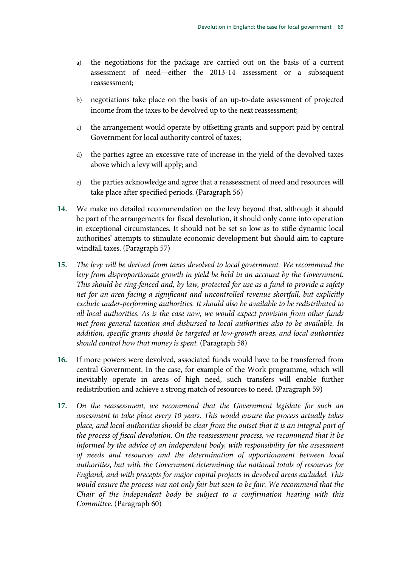- a) the negotiations for the package are carried out on the basis of a current assessment of need—either the 2013-14 assessment or a subsequent reassessment;
- b) negotiations take place on the basis of an up-to-date assessment of projected income from the taxes to be devolved up to the next reassessment;
- c) the arrangement would operate by offsetting grants and support paid by central Government for local authority control of taxes;
- d) the parties agree an excessive rate of increase in the yield of the devolved taxes above which a levy will apply; and
- e) the parties acknowledge and agree that a reassessment of need and resources will take place after specified periods. (Paragraph 56)
- **14.** We make no detailed recommendation on the levy beyond that, although it should be part of the arrangements for fiscal devolution, it should only come into operation in exceptional circumstances. It should not be set so low as to stifle dynamic local authorities' attempts to stimulate economic development but should aim to capture windfall taxes. (Paragraph 57)
- **15.** *The levy will be derived from taxes devolved to local government. We recommend the*  levy from disproportionate growth in yield be held in an account by the Government. *This should be ring-fenced and, by law, protected for use as a fund to provide a safety net for an area facing a significant and uncontrolled revenue shortfall, but explicitly exclude under-performing authorities. It should also be available to be redistributed to all local authorities. As is the case now, we would expect provision from other funds met from general taxation and disbursed to local authorities also to be available. In addition, specific grants should be targeted at low-growth areas, and local authorities should control how that money is spent.* (Paragraph 58)
- **16.** If more powers were devolved, associated funds would have to be transferred from central Government. In the case, for example of the Work programme, which will inevitably operate in areas of high need, such transfers will enable further redistribution and achieve a strong match of resources to need. (Paragraph 59)
- **17.** *On the reassessment, we recommend that the Government legislate for such an assessment to take place every 10 years. This would ensure the process actually takes place, and local authorities should be clear from the outset that it is an integral part of the process of fiscal devolution. On the reassessment process, we recommend that it be informed by the advice of an independent body, with responsibility for the assessment of needs and resources and the determination of apportionment between local authorities, but with the Government determining the national totals of resources for England, and with precepts for major capital projects in devolved areas excluded. This would ensure the process was not only fair but seen to be fair. We recommend that the Chair of the independent body be subject to a confirmation hearing with this Committee.* (Paragraph 60)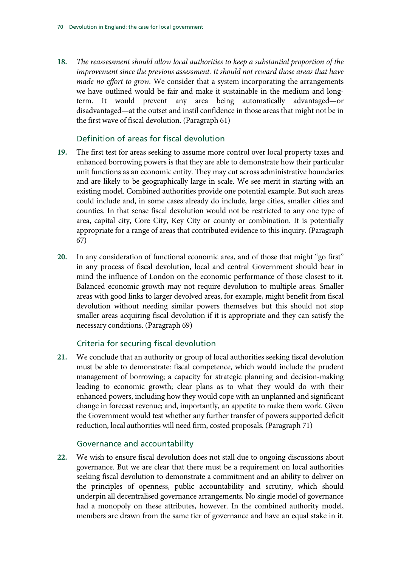**18.** *The reassessment should allow local authorities to keep a substantial proportion of the improvement since the previous assessment. It should not reward those areas that have made no effort to grow.* We consider that a system incorporating the arrangements we have outlined would be fair and make it sustainable in the medium and longterm. It would prevent any area being automatically advantaged—or disadvantaged—at the outset and instil confidence in those areas that might not be in the first wave of fiscal devolution. (Paragraph 61)

## Definition of areas for fiscal devolution

- **19.** The first test for areas seeking to assume more control over local property taxes and enhanced borrowing powers is that they are able to demonstrate how their particular unit functions as an economic entity. They may cut across administrative boundaries and are likely to be geographically large in scale. We see merit in starting with an existing model. Combined authorities provide one potential example. But such areas could include and, in some cases already do include, large cities, smaller cities and counties. In that sense fiscal devolution would not be restricted to any one type of area, capital city, Core City, Key City or county or combination. It is potentially appropriate for a range of areas that contributed evidence to this inquiry. (Paragraph 67)
- **20.** In any consideration of functional economic area, and of those that might "go first" in any process of fiscal devolution, local and central Government should bear in mind the influence of London on the economic performance of those closest to it. Balanced economic growth may not require devolution to multiple areas. Smaller areas with good links to larger devolved areas, for example, might benefit from fiscal devolution without needing similar powers themselves but this should not stop smaller areas acquiring fiscal devolution if it is appropriate and they can satisfy the necessary conditions. (Paragraph 69)

## Criteria for securing fiscal devolution

**21.** We conclude that an authority or group of local authorities seeking fiscal devolution must be able to demonstrate: fiscal competence, which would include the prudent management of borrowing; a capacity for strategic planning and decision-making leading to economic growth; clear plans as to what they would do with their enhanced powers, including how they would cope with an unplanned and significant change in forecast revenue; and, importantly, an appetite to make them work. Given the Government would test whether any further transfer of powers supported deficit reduction, local authorities will need firm, costed proposals. (Paragraph 71)

#### Governance and accountability

**22.** We wish to ensure fiscal devolution does not stall due to ongoing discussions about governance. But we are clear that there must be a requirement on local authorities seeking fiscal devolution to demonstrate a commitment and an ability to deliver on the principles of openness, public accountability and scrutiny, which should underpin all decentralised governance arrangements. No single model of governance had a monopoly on these attributes, however. In the combined authority model, members are drawn from the same tier of governance and have an equal stake in it.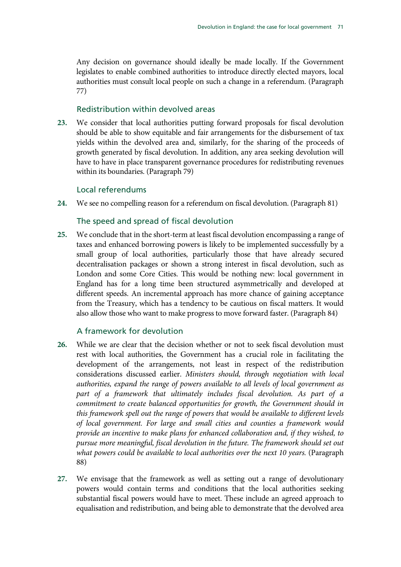Any decision on governance should ideally be made locally. If the Government legislates to enable combined authorities to introduce directly elected mayors, local authorities must consult local people on such a change in a referendum. (Paragraph 77)

## Redistribution within devolved areas

**23.** We consider that local authorities putting forward proposals for fiscal devolution should be able to show equitable and fair arrangements for the disbursement of tax yields within the devolved area and, similarly, for the sharing of the proceeds of growth generated by fiscal devolution. In addition, any area seeking devolution will have to have in place transparent governance procedures for redistributing revenues within its boundaries. (Paragraph 79)

## Local referendums

**24.** We see no compelling reason for a referendum on fiscal devolution. (Paragraph 81)

# The speed and spread of fiscal devolution

**25.** We conclude that in the short-term at least fiscal devolution encompassing a range of taxes and enhanced borrowing powers is likely to be implemented successfully by a small group of local authorities, particularly those that have already secured decentralisation packages or shown a strong interest in fiscal devolution, such as London and some Core Cities. This would be nothing new: local government in England has for a long time been structured asymmetrically and developed at different speeds. An incremental approach has more chance of gaining acceptance from the Treasury, which has a tendency to be cautious on fiscal matters. It would also allow those who want to make progress to move forward faster. (Paragraph 84)

## A framework for devolution

- **26.** While we are clear that the decision whether or not to seek fiscal devolution must rest with local authorities, the Government has a crucial role in facilitating the development of the arrangements, not least in respect of the redistribution considerations discussed earlier. *Ministers should, through negotiation with local authorities, expand the range of powers available to all levels of local government as part of a framework that ultimately includes fiscal devolution. As part of a commitment to create balanced opportunities for growth, the Government should in this framework spell out the range of powers that would be available to different levels of local government. For large and small cities and counties a framework would provide an incentive to make plans for enhanced collaboration and, if they wished, to pursue more meaningful, fiscal devolution in the future. The framework should set out*  what powers could be available to local authorities over the next 10 years. (Paragraph 88)
- **27.** We envisage that the framework as well as setting out a range of devolutionary powers would contain terms and conditions that the local authorities seeking substantial fiscal powers would have to meet. These include an agreed approach to equalisation and redistribution, and being able to demonstrate that the devolved area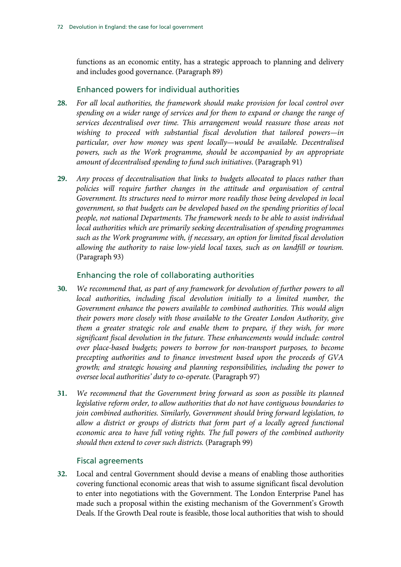functions as an economic entity, has a strategic approach to planning and delivery and includes good governance. (Paragraph 89)

# Enhanced powers for individual authorities

- **28.** *For all local authorities, the framework should make provision for local control over spending on a wider range of services and for them to expand or change the range of services decentralised over time. This arrangement would reassure those areas not wishing to proceed with substantial fiscal devolution that tailored powers—in particular, over how money was spent locally—would be available. Decentralised powers, such as the Work programme, should be accompanied by an appropriate amount of decentralised spending to fund such initiatives*. (Paragraph 91)
- **29.** *Any process of decentralisation that links to budgets allocated to places rather than policies will require further changes in the attitude and organisation of central Government. Its structures need to mirror more readily those being developed in local government, so that budgets can be developed based on the spending priorities of local people, not national Departments. The framework needs to be able to assist individual local authorities which are primarily seeking decentralisation of spending programmes such as the Work programme with, if necessary, an option for limited fiscal devolution allowing the authority to raise low-yield local taxes, such as on landfill or tourism.*  (Paragraph 93)

# Enhancing the role of collaborating authorities

- **30.** *We recommend that, as part of any framework for devolution of further powers to all local authorities, including fiscal devolution initially to a limited number, the Government enhance the powers available to combined authorities. This would align their powers more closely with those available to the Greater London Authority, give them a greater strategic role and enable them to prepare, if they wish, for more significant fiscal devolution in the future. These enhancements would include: control over place-based budgets; powers to borrow for non-transport purposes, to become precepting authorities and to finance investment based upon the proceeds of GVA growth; and strategic housing and planning responsibilities, including the power to oversee local authorities' duty to co-operate.* (Paragraph 97)
- **31.** *We recommend that the Government bring forward as soon as possible its planned legislative reform order, to allow authorities that do not have contiguous boundaries to join combined authorities. Similarly, Government should bring forward legislation, to allow a district or groups of districts that form part of a locally agreed functional economic area to have full voting rights. The full powers of the combined authority should then extend to cover such districts.* (Paragraph 99)

# Fiscal agreements

**32.** Local and central Government should devise a means of enabling those authorities covering functional economic areas that wish to assume significant fiscal devolution to enter into negotiations with the Government. The London Enterprise Panel has made such a proposal within the existing mechanism of the Government's Growth Deals. If the Growth Deal route is feasible, those local authorities that wish to should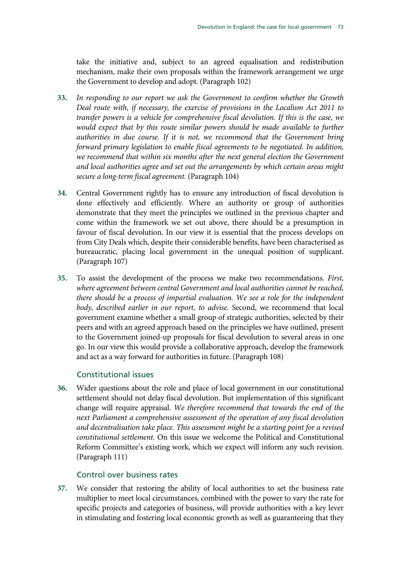take the initiative and, subject to an agreed equalisation and redistribution mechanism, make their own proposals within the framework arrangement we urge the Government to develop and adopt. (Paragraph 102)

- **33.** *In responding to our report we ask the Government to confirm whether the Growth Deal route with, if necessary, the exercise of provisions in the Localism Act 2011 to transfer powers is a vehicle for comprehensive fiscal devolution. If this is the case, we would expect that by this route similar powers should be made available to further authorities in due course. If it is not, we recommend that the Government bring forward primary legislation to enable fiscal agreements to be negotiated. In addition,*  we recommend that within six months after the next general election the Government *and local authorities agree and set out the arrangements by which certain areas might secure a long-term fiscal agreement.* (Paragraph 104)
- **34.** Central Government rightly has to ensure any introduction of fiscal devolution is done effectively and efficiently. Where an authority or group of authorities demonstrate that they meet the principles we outlined in the previous chapter and come within the framework we set out above, there should be a presumption in favour of fiscal devolution. In our view it is essential that the process develops on from City Deals which, despite their considerable benefits, have been characterised as bureaucratic, placing local government in the unequal position of supplicant. (Paragraph 107)
- **35.** To assist the development of the process we make two recommendations. *First, where agreement between central Government and local authorities cannot be reached, there should be a process of impartial evaluation. We see a role for the independent body, described earlier in our report, to advise.* Second, we recommend that local government examine whether a small group of strategic authorities, selected by their peers and with an agreed approach based on the principles we have outlined, present to the Government joined-up proposals for fiscal devolution to several areas in one go. In our view this would provide a collaborative approach, develop the framework and act as a way forward for authorities in future. (Paragraph 108)

## Constitutional issues

**36.** Wider questions about the role and place of local government in our constitutional settlement should not delay fiscal devolution. But implementation of this significant change will require appraisal. *We therefore recommend that towards the end of the next Parliament a comprehensive assessment of the operation of any fiscal devolution and decentralisation take place. This assessment might be a starting point for a revised constitutional settlement.* On this issue we welcome the Political and Constitutional Reform Committee's existing work, which we expect will inform any such revision. (Paragraph 111)

#### Control over business rates

**37.** We consider that restoring the ability of local authorities to set the business rate multiplier to meet local circumstances, combined with the power to vary the rate for specific projects and categories of business, will provide authorities with a key lever in stimulating and fostering local economic growth as well as guaranteeing that they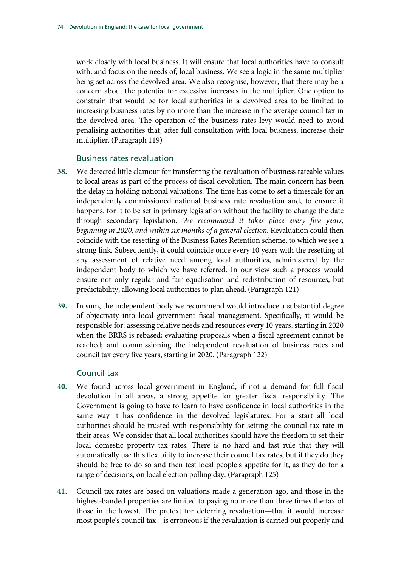work closely with local business. It will ensure that local authorities have to consult with, and focus on the needs of, local business. We see a logic in the same multiplier being set across the devolved area. We also recognise, however, that there may be a concern about the potential for excessive increases in the multiplier. One option to constrain that would be for local authorities in a devolved area to be limited to increasing business rates by no more than the increase in the average council tax in the devolved area. The operation of the business rates levy would need to avoid penalising authorities that, after full consultation with local business, increase their multiplier. (Paragraph 119)

#### Business rates revaluation

- **38.** We detected little clamour for transferring the revaluation of business rateable values to local areas as part of the process of fiscal devolution. The main concern has been the delay in holding national valuations. The time has come to set a timescale for an independently commissioned national business rate revaluation and, to ensure it happens, for it to be set in primary legislation without the facility to change the date through secondary legislation. *We recommend it takes place every five years, beginning in 2020, and within six months of a general election.* Revaluation could then coincide with the resetting of the Business Rates Retention scheme, to which we see a strong link. Subsequently, it could coincide once every 10 years with the resetting of any assessment of relative need among local authorities, administered by the independent body to which we have referred. In our view such a process would ensure not only regular and fair equalisation and redistribution of resources, but predictability, allowing local authorities to plan ahead. (Paragraph 121)
- **39.** In sum, the independent body we recommend would introduce a substantial degree of objectivity into local government fiscal management. Specifically, it would be responsible for: assessing relative needs and resources every 10 years, starting in 2020 when the BRRS is rebased; evaluating proposals when a fiscal agreement cannot be reached; and commissioning the independent revaluation of business rates and council tax every five years, starting in 2020. (Paragraph 122)

### Council tax

- **40.** We found across local government in England, if not a demand for full fiscal devolution in all areas, a strong appetite for greater fiscal responsibility. The Government is going to have to learn to have confidence in local authorities in the same way it has confidence in the devolved legislatures. For a start all local authorities should be trusted with responsibility for setting the council tax rate in their areas. We consider that all local authorities should have the freedom to set their local domestic property tax rates. There is no hard and fast rule that they will automatically use this flexibility to increase their council tax rates, but if they do they should be free to do so and then test local people's appetite for it, as they do for a range of decisions, on local election polling day. (Paragraph 125)
- **41.** Council tax rates are based on valuations made a generation ago, and those in the highest-banded properties are limited to paying no more than three times the tax of those in the lowest. The pretext for deferring revaluation—that it would increase most people's council tax—is erroneous if the revaluation is carried out properly and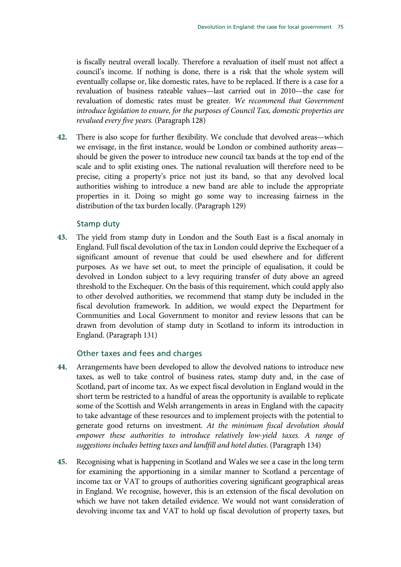is fiscally neutral overall locally. Therefore a revaluation of itself must not affect a council's income. If nothing is done, there is a risk that the whole system will eventually collapse or, like domestic rates, have to be replaced. If there is a case for a revaluation of business rateable values—last carried out in 2010—the case for revaluation of domestic rates must be greater. *We recommend that Government introduce legislation to ensure, for the purposes of Council Tax, domestic properties are revalued every five years.* (Paragraph 128)

**42.** There is also scope for further flexibility. We conclude that devolved areas—which we envisage, in the first instance, would be London or combined authority areas should be given the power to introduce new council tax bands at the top end of the scale and to split existing ones. The national revaluation will therefore need to be precise, citing a property's price not just its band, so that any devolved local authorities wishing to introduce a new band are able to include the appropriate properties in it. Doing so might go some way to increasing fairness in the distribution of the tax burden locally. (Paragraph 129)

### Stamp duty

**43.** The yield from stamp duty in London and the South East is a fiscal anomaly in England. Full fiscal devolution of the tax in London could deprive the Exchequer of a significant amount of revenue that could be used elsewhere and for different purposes. As we have set out, to meet the principle of equalisation, it could be devolved in London subject to a levy requiring transfer of duty above an agreed threshold to the Exchequer. On the basis of this requirement, which could apply also to other devolved authorities, we recommend that stamp duty be included in the fiscal devolution framework. In addition, we would expect the Department for Communities and Local Government to monitor and review lessons that can be drawn from devolution of stamp duty in Scotland to inform its introduction in England. (Paragraph 131)

#### Other taxes and fees and charges

- **44.** Arrangements have been developed to allow the devolved nations to introduce new taxes, as well to take control of business rates, stamp duty and, in the case of Scotland, part of income tax. As we expect fiscal devolution in England would in the short term be restricted to a handful of areas the opportunity is available to replicate some of the Scottish and Welsh arrangements in areas in England with the capacity to take advantage of these resources and to implement projects with the potential to generate good returns on investment. *At the minimum fiscal devolution should empower these authorities to introduce relatively low-yield taxes. A range of suggestions includes betting taxes and landfill and hotel duties.* (Paragraph 134)
- **45.** Recognising what is happening in Scotland and Wales we see a case in the long term for examining the apportioning in a similar manner to Scotland a percentage of income tax or VAT to groups of authorities covering significant geographical areas in England. We recognise, however, this is an extension of the fiscal devolution on which we have not taken detailed evidence. We would not want consideration of devolving income tax and VAT to hold up fiscal devolution of property taxes, but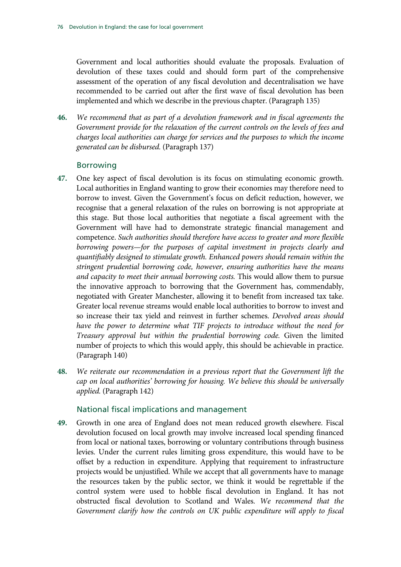Government and local authorities should evaluate the proposals. Evaluation of devolution of these taxes could and should form part of the comprehensive assessment of the operation of any fiscal devolution and decentralisation we have recommended to be carried out after the first wave of fiscal devolution has been implemented and which we describe in the previous chapter. (Paragraph 135)

**46.** *We recommend that as part of a devolution framework and in fiscal agreements the Government provide for the relaxation of the current controls on the levels of fees and charges local authorities can charge for services and the purposes to which the income generated can be disbursed.* (Paragraph 137)

### Borrowing

- **47.** One key aspect of fiscal devolution is its focus on stimulating economic growth. Local authorities in England wanting to grow their economies may therefore need to borrow to invest. Given the Government's focus on deficit reduction, however, we recognise that a general relaxation of the rules on borrowing is not appropriate at this stage. But those local authorities that negotiate a fiscal agreement with the Government will have had to demonstrate strategic financial management and competence. *Such authorities should therefore have access to greater and more flexible borrowing powers—for the purposes of capital investment in projects clearly and quantifiably designed to stimulate growth. Enhanced powers should remain within the stringent prudential borrowing code, however, ensuring authorities have the means and capacity to meet their annual borrowing costs.* This would allow them to pursue the innovative approach to borrowing that the Government has, commendably, negotiated with Greater Manchester, allowing it to benefit from increased tax take. Greater local revenue streams would enable local authorities to borrow to invest and so increase their tax yield and reinvest in further schemes. *Devolved areas should have the power to determine what TIF projects to introduce without the need for Treasury approval but within the prudential borrowing code.* Given the limited number of projects to which this would apply, this should be achievable in practice. (Paragraph 140)
- **48.** *We reiterate our recommendation in a previous report that the Government lift the cap on local authorities' borrowing for housing. We believe this should be universally applied.* (Paragraph 142)

#### National fiscal implications and management

**49.** Growth in one area of England does not mean reduced growth elsewhere. Fiscal devolution focused on local growth may involve increased local spending financed from local or national taxes, borrowing or voluntary contributions through business levies. Under the current rules limiting gross expenditure, this would have to be offset by a reduction in expenditure. Applying that requirement to infrastructure projects would be unjustified. While we accept that all governments have to manage the resources taken by the public sector, we think it would be regrettable if the control system were used to hobble fiscal devolution in England. It has not obstructed fiscal devolution to Scotland and Wales. *We recommend that the Government clarify how the controls on UK public expenditure will apply to fiscal*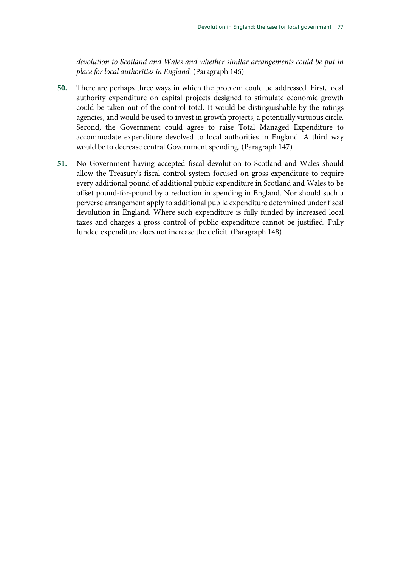*devolution to Scotland and Wales and whether similar arrangements could be put in place for local authorities in England.* (Paragraph 146)

- **50.** There are perhaps three ways in which the problem could be addressed. First, local authority expenditure on capital projects designed to stimulate economic growth could be taken out of the control total. It would be distinguishable by the ratings agencies, and would be used to invest in growth projects, a potentially virtuous circle. Second, the Government could agree to raise Total Managed Expenditure to accommodate expenditure devolved to local authorities in England. A third way would be to decrease central Government spending. (Paragraph 147)
- **51.** No Government having accepted fiscal devolution to Scotland and Wales should allow the Treasury's fiscal control system focused on gross expenditure to require every additional pound of additional public expenditure in Scotland and Wales to be offset pound-for-pound by a reduction in spending in England. Nor should such a perverse arrangement apply to additional public expenditure determined under fiscal devolution in England. Where such expenditure is fully funded by increased local taxes and charges a gross control of public expenditure cannot be justified. Fully funded expenditure does not increase the deficit. (Paragraph 148)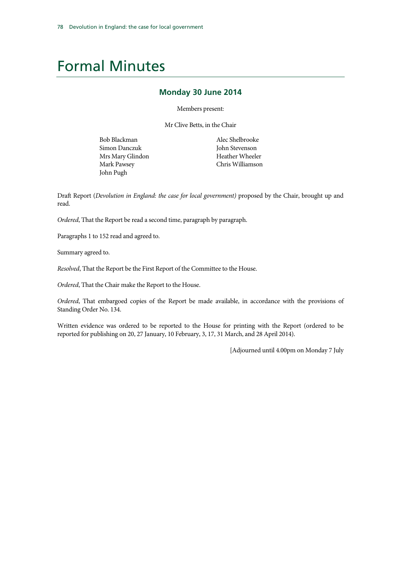# Formal Minutes

#### **Monday 30 June 2014**

Members present:

Mr Clive Betts, in the Chair

Bob Blackman Simon Danczuk Mrs Mary Glindon Mark Pawsey John Pugh

Alec Shelbrooke John Stevenson Heather Wheeler Chris Williamson

Draft Report (*Devolution in England: the case for local government)* proposed by the Chair, brought up and read.

*Ordered*, That the Report be read a second time, paragraph by paragraph.

Paragraphs 1 to 152 read and agreed to.

Summary agreed to.

*Resolved*, That the Report be the First Report of the Committee to the House.

*Ordered*, That the Chair make the Report to the House.

*Ordered*, That embargoed copies of the Report be made available, in accordance with the provisions of Standing Order No. 134.

Written evidence was ordered to be reported to the House for printing with the Report (ordered to be reported for publishing on 20, 27 January, 10 February, 3, 17, 31 March, and 28 April 2014).

[Adjourned until 4.00pm on Monday 7 July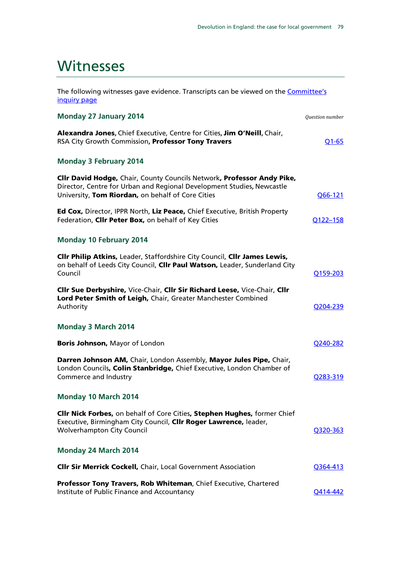# **Witnesses**

The following witnesses gave evidence. Transcripts can be viewed on the **Committee's** [inquiry page](http://www.parliament.uk/business/committees/committees-a-z/commons-select/communities-and-local-government-committee/inquiries/parliament-2010/cities/)

| <b>Monday 27 January 2014</b>                                                                                                                                                                         | Question number       |
|-------------------------------------------------------------------------------------------------------------------------------------------------------------------------------------------------------|-----------------------|
| Alexandra Jones, Chief Executive, Centre for Cities, Jim O'Neill, Chair,<br>RSA City Growth Commission, Professor Tony Travers                                                                        | $Q1-65$               |
| <b>Monday 3 February 2014</b>                                                                                                                                                                         |                       |
| Cllr David Hodge, Chair, County Councils Network, Professor Andy Pike,<br>Director, Centre for Urban and Regional Development Studies, Newcastle<br>University, Tom Riordan, on behalf of Core Cities | Q66-121               |
| Ed Cox, Director, IPPR North, Liz Peace, Chief Executive, British Property<br>Federation, Clir Peter Box, on behalf of Key Cities                                                                     | Q122-158              |
| <b>Monday 10 February 2014</b>                                                                                                                                                                        |                       |
| Cllr Philip Atkins, Leader, Staffordshire City Council, Cllr James Lewis,<br>on behalf of Leeds City Council, Clir Paul Watson, Leader, Sunderland City<br>Council                                    | Q159-203              |
| Cllr Sue Derbyshire, Vice-Chair, Cllr Sir Richard Leese, Vice-Chair, Cllr<br>Lord Peter Smith of Leigh, Chair, Greater Manchester Combined<br>Authority                                               | O <sub>204</sub> -239 |
| <b>Monday 3 March 2014</b>                                                                                                                                                                            |                       |
| Boris Johnson, Mayor of London                                                                                                                                                                        | Q240-282              |
| Darren Johnson AM, Chair, London Assembly, Mayor Jules Pipe, Chair,<br>London Councils, Colin Stanbridge, Chief Executive, London Chamber of<br>Commerce and Industry                                 | Q283-319              |
| Monday 10 March 2014                                                                                                                                                                                  |                       |
| Cllr Nick Forbes, on behalf of Core Cities, Stephen Hughes, former Chief<br>Executive, Birmingham City Council, Cllr Roger Lawrence, leader,<br><b>Wolverhampton City Council</b>                     | Q320-363              |
| Monday 24 March 2014                                                                                                                                                                                  |                       |
| <b>Clir Sir Merrick Cockell, Chair, Local Government Association</b>                                                                                                                                  | Q364-413              |
| Professor Tony Travers, Rob Whiteman, Chief Executive, Chartered<br>Institute of Public Finance and Accountancy                                                                                       | Q414-442              |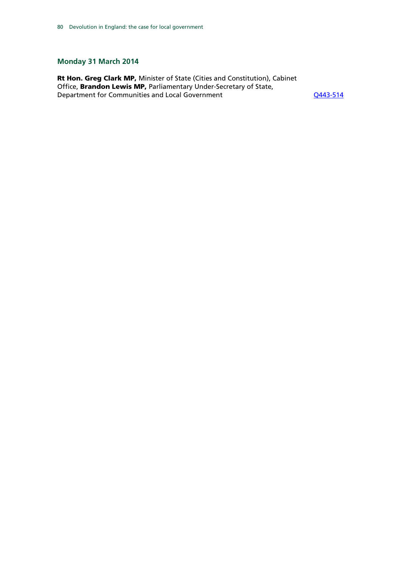## **Monday 31 March 2014**

Rt Hon. Greg Clark MP, Minister of State (Cities and Constitution), Cabinet Office, Brandon Lewis MP, Parliamentary Under-Secretary of State, Department for Communities and Local Government COMERGIAN COMMUNICATES OF THE RESIDENT COMMUNICATES OF THE RES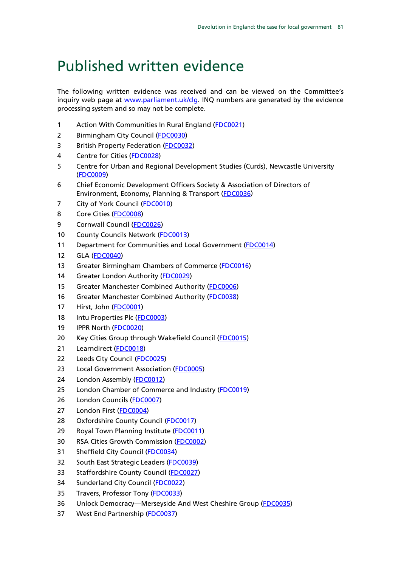# Published written evidence

The following written evidence was received and can be viewed on the Committee's inquiry web page at [www.parliament.uk/clg.](http://www.parliament.uk/clg) INQ numbers are generated by the evidence processing system and so may not be complete.

- 1 Action With Communities In Rural England [\(FDC0021\)](http://data.parliament.uk/WrittenEvidence/CommitteeEvidence.svc/EvidenceDocument/Communities%20and%20Local%20Government/Fiscal%20devolution%20to%20cities%20and%20city%20regions/written/4930.html)
- 2 Birmingham City Council [\(FDC0030\)](http://data.parliament.uk/WrittenEvidence/CommitteeEvidence.svc/EvidenceDocument/Communities%20and%20Local%20Government/Fiscal%20devolution%20to%20cities%20and%20city%20regions/written/4957.html)
- 3 British Property Federation [\(FDC0032\)](http://data.parliament.uk/WrittenEvidence/CommitteeEvidence.svc/EvidenceDocument/Communities%20and%20Local%20Government/Fiscal%20devolution%20to%20cities%20and%20city%20regions/written/4962.html)
- 4 Centre for Cities [\(FDC0028\)](http://data.parliament.uk/WrittenEvidence/CommitteeEvidence.svc/EvidenceDocument/Communities%20and%20Local%20Government/Fiscal%20devolution%20to%20cities%20and%20city%20regions/written/4948.html)
- 5 Centre for Urban and Regional Development Studies (Curds), Newcastle University [\(FDC0009\)](http://data.parliament.uk/WrittenEvidence/CommitteeEvidence.svc/EvidenceDocument/Communities%20and%20Local%20Government/Fiscal%20devolution%20to%20cities%20and%20city%20regions/written/4896.html)
- 6 Chief Economic Development Officers Society & Association of Directors of Environment, Economy, Planning & Transport [\(FDC0036\)](http://data.parliament.uk/WrittenEvidence/CommitteeEvidence.svc/EvidenceDocument/Communities%20and%20Local%20Government/Fiscal%20devolution%20to%20cities%20and%20city%20regions/written/5621.html)
- 7 City of York Council [\(FDC0010\)](http://data.parliament.uk/WrittenEvidence/CommitteeEvidence.svc/EvidenceDocument/Communities%20and%20Local%20Government/Fiscal%20devolution%20to%20cities%20and%20city%20regions/written/4904.html)
- 8 Core Cities [\(FDC0008\)](http://data.parliament.uk/WrittenEvidence/CommitteeEvidence.svc/EvidenceDocument/Communities%20and%20Local%20Government/Fiscal%20devolution%20to%20cities%20and%20city%20regions/written/4894.html)
- 9 Cornwall Council [\(FDC0026\)](http://data.parliament.uk/WrittenEvidence/CommitteeEvidence.svc/EvidenceDocument/Communities%20and%20Local%20Government/Fiscal%20devolution%20to%20cities%20and%20city%20regions/written/4938.html)
- 10 County Councils Network [\(FDC0013\)](http://data.parliament.uk/WrittenEvidence/CommitteeEvidence.svc/EvidenceDocument/Communities%20and%20Local%20Government/Fiscal%20devolution%20to%20cities%20and%20city%20regions/written/4912.html)
- 11 Department for Communities and Local Government [\(FDC0014\)](http://data.parliament.uk/WrittenEvidence/CommitteeEvidence.svc/EvidenceDocument/Communities%20and%20Local%20Government/Fiscal%20devolution%20to%20cities%20and%20city%20regions/written/4913.html)
- 12 GLA [\(FDC0040\)](http://data.parliament.uk/WrittenEvidence/CommitteeEvidence.svc/EvidenceDocument/Communities%20and%20Local%20Government/Fiscal%20devolution%20to%20cities%20and%20city%20regions/written/8481.html)
- 13 Greater Birmingham Chambers of Commerce [\(FDC0016\)](http://data.parliament.uk/WrittenEvidence/CommitteeEvidence.svc/EvidenceDocument/Communities%20and%20Local%20Government/Fiscal%20devolution%20to%20cities%20and%20city%20regions/written/4917.html)
- 14 Greater London Authority [\(FDC0029\)](http://data.parliament.uk/WrittenEvidence/CommitteeEvidence.svc/EvidenceDocument/Communities%20and%20Local%20Government/Fiscal%20devolution%20to%20cities%20and%20city%20regions/written/4949.html)
- 15 Greater Manchester Combined Authority [\(FDC0006\)](http://data.parliament.uk/WrittenEvidence/CommitteeEvidence.svc/EvidenceDocument/Communities%20and%20Local%20Government/Fiscal%20devolution%20to%20cities%20and%20city%20regions/written/4874.html)
- 16 Greater Manchester Combined Authority [\(FDC0038\)](http://data.parliament.uk/WrittenEvidence/CommitteeEvidence.svc/EvidenceDocument/Communities%20and%20Local%20Government/Fiscal%20devolution%20to%20cities%20and%20city%20regions/written/7072.html)
- 17 Hirst, John [\(FDC0001\)](http://data.parliament.uk/WrittenEvidence/CommitteeEvidence.svc/EvidenceDocument/Communities%20and%20Local%20Government/Fiscal%20devolution%20to%20cities%20and%20city%20regions/written/3938.html)
- 18 Intu Properties Plc [\(FDC0003\)](http://data.parliament.uk/WrittenEvidence/CommitteeEvidence.svc/EvidenceDocument/Communities%20and%20Local%20Government/Fiscal%20devolution%20to%20cities%20and%20city%20regions/written/4828.html)
- 19 IPPR North [\(FDC0020\)](http://data.parliament.uk/WrittenEvidence/CommitteeEvidence.svc/EvidenceDocument/Communities%20and%20Local%20Government/Fiscal%20devolution%20to%20cities%20and%20city%20regions/written/4929.html)
- 20 Key Cities Group through Wakefield Council [\(FDC0015\)](http://data.parliament.uk/WrittenEvidence/CommitteeEvidence.svc/EvidenceDocument/Communities%20and%20Local%20Government/Fiscal%20devolution%20to%20cities%20and%20city%20regions/written/4914.html)
- 21 Learndirect [\(FDC0018\)](http://data.parliament.uk/WrittenEvidence/CommitteeEvidence.svc/EvidenceDocument/Communities%20and%20Local%20Government/Fiscal%20devolution%20to%20cities%20and%20city%20regions/written/4927.html)
- 22 Leeds City Council [\(FDC0025\)](http://data.parliament.uk/WrittenEvidence/CommitteeEvidence.svc/EvidenceDocument/Communities%20and%20Local%20Government/Fiscal%20devolution%20to%20cities%20and%20city%20regions/written/4937.html)
- 23 Local Government Association [\(FDC0005\)](http://data.parliament.uk/WrittenEvidence/CommitteeEvidence.svc/EvidenceDocument/Communities%20and%20Local%20Government/Fiscal%20devolution%20to%20cities%20and%20city%20regions/written/4852.html)
- 24 London Assembly [\(FDC0012\)](http://data.parliament.uk/WrittenEvidence/CommitteeEvidence.svc/EvidenceDocument/Communities%20and%20Local%20Government/Fiscal%20devolution%20to%20cities%20and%20city%20regions/written/4908.html)
- 25 London Chamber of Commerce and Industry [\(FDC0019\)](http://data.parliament.uk/WrittenEvidence/CommitteeEvidence.svc/EvidenceDocument/Communities%20and%20Local%20Government/Fiscal%20devolution%20to%20cities%20and%20city%20regions/written/4928.html)
- 26 London Councils [\(FDC0007\)](http://data.parliament.uk/WrittenEvidence/CommitteeEvidence.svc/EvidenceDocument/Communities%20and%20Local%20Government/Fiscal%20devolution%20to%20cities%20and%20city%20regions/written/4878.html)
- 27 London First [\(FDC0004\)](http://data.parliament.uk/WrittenEvidence/CommitteeEvidence.svc/EvidenceDocument/Communities%20and%20Local%20Government/Fiscal%20devolution%20to%20cities%20and%20city%20regions/written/4842.html)
- 28 Oxfordshire County Council [\(FDC0017\)](http://data.parliament.uk/WrittenEvidence/CommitteeEvidence.svc/EvidenceDocument/Communities%20and%20Local%20Government/Fiscal%20devolution%20to%20cities%20and%20city%20regions/written/4926.html)
- 29 Royal Town Planning Institute [\(FDC0011\)](http://data.parliament.uk/WrittenEvidence/CommitteeEvidence.svc/EvidenceDocument/Communities%20and%20Local%20Government/Fiscal%20devolution%20to%20cities%20and%20city%20regions/written/4906.html)
- 30 RSA Cities Growth Commission [\(FDC0002\)](http://data.parliament.uk/WrittenEvidence/CommitteeEvidence.svc/EvidenceDocument/Communities%20and%20Local%20Government/Fiscal%20devolution%20to%20cities%20and%20city%20regions/written/4814.html)
- 31 Sheffield City Council [\(FDC0034\)](http://data.parliament.uk/WrittenEvidence/CommitteeEvidence.svc/EvidenceDocument/Communities%20and%20Local%20Government/Fiscal%20devolution%20to%20cities%20and%20city%20regions/written/5091.html)
- 32 South East Strategic Leaders [\(FDC0039\)](http://data.parliament.uk/WrittenEvidence/CommitteeEvidence.svc/EvidenceDocument/Communities%20and%20Local%20Government/Fiscal%20devolution%20to%20cities%20and%20city%20regions/written/7846.html)
- 33 Staffordshire County Council [\(FDC0027\)](http://data.parliament.uk/WrittenEvidence/CommitteeEvidence.svc/EvidenceDocument/Communities%20and%20Local%20Government/Fiscal%20devolution%20to%20cities%20and%20city%20regions/written/4939.html)
- 34 Sunderland City Council [\(FDC0022\)](http://data.parliament.uk/WrittenEvidence/CommitteeEvidence.svc/EvidenceDocument/Communities%20and%20Local%20Government/Fiscal%20devolution%20to%20cities%20and%20city%20regions/written/4933.html)
- 35 Travers, Professor Tony [\(FDC0033\)](http://data.parliament.uk/WrittenEvidence/CommitteeEvidence.svc/EvidenceDocument/Communities%20and%20Local%20Government/Fiscal%20devolution%20to%20cities%20and%20city%20regions/written/5003.html)
- 36 Unlock Democracy—Merseyside And West Cheshire Group [\(FDC0035\)](http://data.parliament.uk/WrittenEvidence/CommitteeEvidence.svc/EvidenceDocument/Communities%20and%20Local%20Government/Fiscal%20devolution%20to%20cities%20and%20city%20regions/written/5305.html)
- 37 West End Partnership [\(FDC0037\)](http://data.parliament.uk/WrittenEvidence/CommitteeEvidence.svc/EvidenceDocument/Communities%20and%20Local%20Government/Fiscal%20devolution%20to%20cities%20and%20city%20regions/written/6069.html)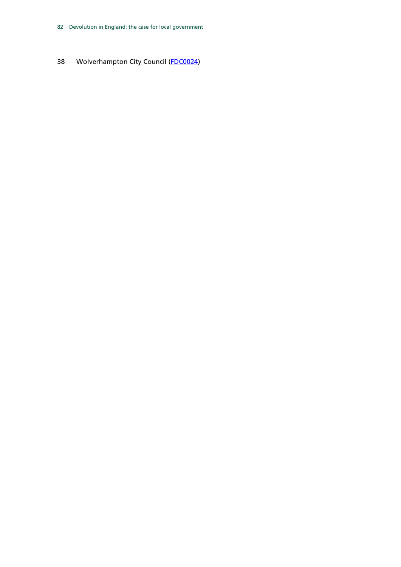38 Wolverhampton City Council [\(FDC0024\)](http://data.parliament.uk/WrittenEvidence/CommitteeEvidence.svc/EvidenceDocument/Communities%20and%20Local%20Government/Fiscal%20devolution%20to%20cities%20and%20city%20regions/written/4936.html)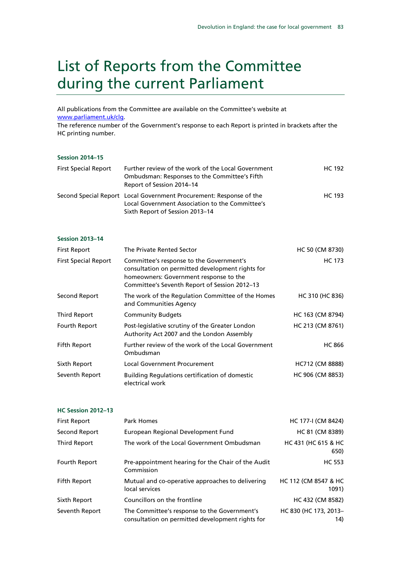# List of Reports from the Committee during the current Parliament

All publications from the Committee are available on the Committee's website at [www.parliament.uk/clg.](http://www.parliament.uk/clg)

The reference number of the Government's response to each Report is printed in brackets after the HC printing number.

#### **Session 2014–15**

| <b>First Special Report</b> | Further review of the work of the Local Government<br><b>Ombudsman: Responses to the Committee's Fifth</b><br>Report of Session 2014–14 | HC 192 |
|-----------------------------|-----------------------------------------------------------------------------------------------------------------------------------------|--------|
|                             | Second Special Report Local Government Procurement: Response of the<br>Local Government Association to the Committee's                  | HC 193 |
|                             | Sixth Report of Session 2013-14                                                                                                         |        |

#### **Session 2013–14**

| <b>First Report</b>         | The Private Rented Sector                                                                                                                                                               | HC 50 (CM 8730)  |
|-----------------------------|-----------------------------------------------------------------------------------------------------------------------------------------------------------------------------------------|------------------|
| <b>First Special Report</b> | Committee's response to the Government's<br>consultation on permitted development rights for<br>homeowners: Government response to the<br>Committee's Seventh Report of Session 2012-13 | <b>HC 173</b>    |
| Second Report               | The work of the Regulation Committee of the Homes<br>and Communities Agency                                                                                                             | HC 310 (HC 836)  |
| Third Report                | <b>Community Budgets</b>                                                                                                                                                                | HC 163 (CM 8794) |
| Fourth Report               | Post-legislative scrutiny of the Greater London<br>Authority Act 2007 and the London Assembly                                                                                           | HC 213 (CM 8761) |
| <b>Fifth Report</b>         | Further review of the work of the Local Government<br>Ombudsman                                                                                                                         | <b>HC 866</b>    |
| Sixth Report                | <b>Local Government Procurement</b>                                                                                                                                                     | HC712 (CM 8888)  |
| Seventh Report              | <b>Building Regulations certification of domestic</b><br>electrical work                                                                                                                | HC 906 (CM 8853) |

#### **HC Session 2012–13**

| <b>First Report</b> | Park Homes                                                                                       | HC 177-I (CM 8424)            |
|---------------------|--------------------------------------------------------------------------------------------------|-------------------------------|
| Second Report       | European Regional Development Fund                                                               | HC 81 (CM 8389)               |
| Third Report        | The work of the Local Government Ombudsman                                                       | HC 431 (HC 615 & HC<br>650)   |
| Fourth Report       | Pre-appointment hearing for the Chair of the Audit<br>Commission                                 | <b>HC 553</b>                 |
| Fifth Report        | Mutual and co-operative approaches to delivering<br>local services                               | HC 112 (CM 8547 & HC<br>1091) |
| Sixth Report        | Councillors on the frontline                                                                     | HC 432 (CM 8582)              |
| Seventh Report      | The Committee's response to the Government's<br>consultation on permitted development rights for | HC 830 (HC 173, 2013-<br>14)  |